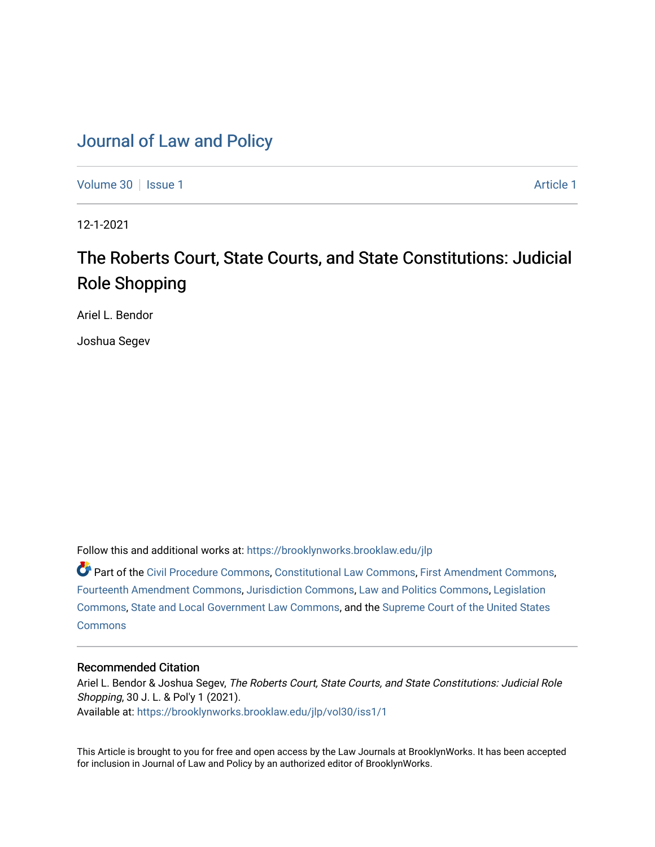## [Journal of Law and Policy](https://brooklynworks.brooklaw.edu/jlp)

[Volume 30](https://brooklynworks.brooklaw.edu/jlp/vol30) | [Issue 1](https://brooklynworks.brooklaw.edu/jlp/vol30/iss1) [Article 1](https://brooklynworks.brooklaw.edu/jlp/vol30/iss1/1) Article 1 Article 1 Article 1 Article 1 Article 1 Article 1 Article 1

12-1-2021

# The Roberts Court, State Courts, and State Constitutions: Judicial Role Shopping

Ariel L. Bendor

Joshua Segev

Follow this and additional works at: [https://brooklynworks.brooklaw.edu/jlp](https://brooklynworks.brooklaw.edu/jlp?utm_source=brooklynworks.brooklaw.edu%2Fjlp%2Fvol30%2Fiss1%2F1&utm_medium=PDF&utm_campaign=PDFCoverPages) 

Part of the [Civil Procedure Commons,](http://network.bepress.com/hgg/discipline/584?utm_source=brooklynworks.brooklaw.edu%2Fjlp%2Fvol30%2Fiss1%2F1&utm_medium=PDF&utm_campaign=PDFCoverPages) [Constitutional Law Commons](http://network.bepress.com/hgg/discipline/589?utm_source=brooklynworks.brooklaw.edu%2Fjlp%2Fvol30%2Fiss1%2F1&utm_medium=PDF&utm_campaign=PDFCoverPages), [First Amendment Commons](http://network.bepress.com/hgg/discipline/1115?utm_source=brooklynworks.brooklaw.edu%2Fjlp%2Fvol30%2Fiss1%2F1&utm_medium=PDF&utm_campaign=PDFCoverPages), [Fourteenth Amendment Commons](http://network.bepress.com/hgg/discipline/1116?utm_source=brooklynworks.brooklaw.edu%2Fjlp%2Fvol30%2Fiss1%2F1&utm_medium=PDF&utm_campaign=PDFCoverPages), [Jurisdiction Commons](http://network.bepress.com/hgg/discipline/850?utm_source=brooklynworks.brooklaw.edu%2Fjlp%2Fvol30%2Fiss1%2F1&utm_medium=PDF&utm_campaign=PDFCoverPages), [Law and Politics Commons](http://network.bepress.com/hgg/discipline/867?utm_source=brooklynworks.brooklaw.edu%2Fjlp%2Fvol30%2Fiss1%2F1&utm_medium=PDF&utm_campaign=PDFCoverPages), [Legislation](http://network.bepress.com/hgg/discipline/859?utm_source=brooklynworks.brooklaw.edu%2Fjlp%2Fvol30%2Fiss1%2F1&utm_medium=PDF&utm_campaign=PDFCoverPages) [Commons](http://network.bepress.com/hgg/discipline/859?utm_source=brooklynworks.brooklaw.edu%2Fjlp%2Fvol30%2Fiss1%2F1&utm_medium=PDF&utm_campaign=PDFCoverPages), [State and Local Government Law Commons,](http://network.bepress.com/hgg/discipline/879?utm_source=brooklynworks.brooklaw.edu%2Fjlp%2Fvol30%2Fiss1%2F1&utm_medium=PDF&utm_campaign=PDFCoverPages) and the [Supreme Court of the United States](http://network.bepress.com/hgg/discipline/1350?utm_source=brooklynworks.brooklaw.edu%2Fjlp%2Fvol30%2Fiss1%2F1&utm_medium=PDF&utm_campaign=PDFCoverPages)  **[Commons](http://network.bepress.com/hgg/discipline/1350?utm_source=brooklynworks.brooklaw.edu%2Fjlp%2Fvol30%2Fiss1%2F1&utm_medium=PDF&utm_campaign=PDFCoverPages)** 

## Recommended Citation

Ariel L. Bendor & Joshua Segev, The Roberts Court, State Courts, and State Constitutions: Judicial Role Shopping, 30 J. L. & Pol'y 1 (2021). Available at: [https://brooklynworks.brooklaw.edu/jlp/vol30/iss1/1](https://brooklynworks.brooklaw.edu/jlp/vol30/iss1/1?utm_source=brooklynworks.brooklaw.edu%2Fjlp%2Fvol30%2Fiss1%2F1&utm_medium=PDF&utm_campaign=PDFCoverPages)

This Article is brought to you for free and open access by the Law Journals at BrooklynWorks. It has been accepted for inclusion in Journal of Law and Policy by an authorized editor of BrooklynWorks.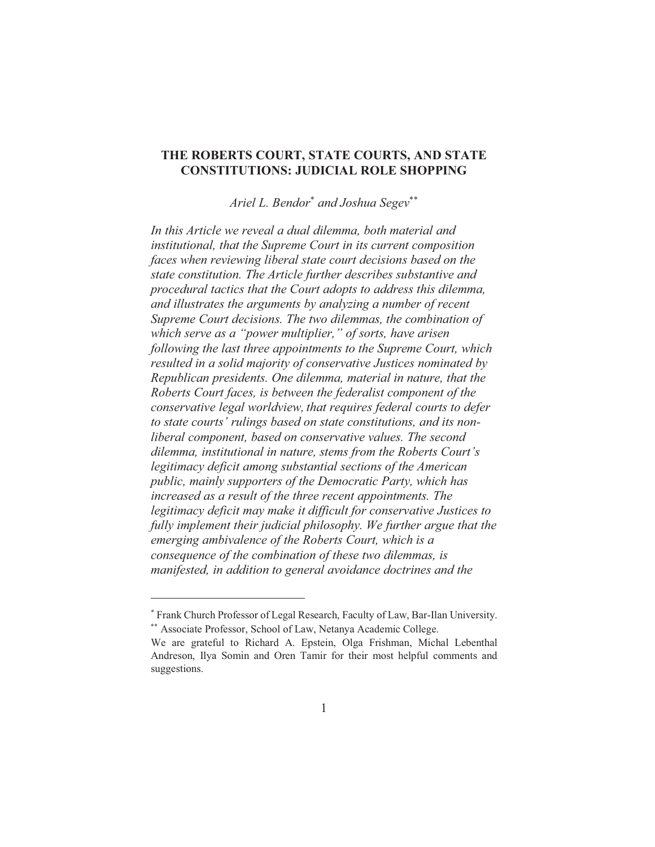## THE ROBERTS COURT, STATE COURTS, AND STATE **CONSTITUTIONS: JUDICIAL ROLE SHOPPING**

Ariel L. Bendor<sup>\*</sup> and Joshua Segev<sup>\*\*</sup>

In this Article we reveal a dual dilemma, both material and institutional, that the Supreme Court in its current composition faces when reviewing liberal state court decisions based on the state constitution. The Article further describes substantive and procedural tactics that the Court adopts to address this dilemma, and illustrates the arguments by analyzing a number of recent Supreme Court decisions. The two dilemmas, the combination of which serve as a "power multiplier," of sorts, have arisen following the last three appointments to the Supreme Court, which resulted in a solid majority of conservative Justices nominated by Republican presidents. One dilemma, material in nature, that the Roberts Court faces, is between the federalist component of the conservative legal worldview, that requires federal courts to defer to state courts' rulings based on state constitutions, and its nonliberal component, based on conservative values. The second dilemma, institutional in nature, stems from the Roberts Court's legitimacy deficit among substantial sections of the American public, mainly supporters of the Democratic Party, which has increased as a result of the three recent appointments. The legitimacy deficit may make it difficult for conservative Justices to fully implement their judicial philosophy. We further argue that the emerging ambivalence of the Roberts Court, which is a consequence of the combination of these two dilemmas, is manifested, in addition to general avoidance doctrines and the

<sup>\*</sup> Frank Church Professor of Legal Research, Faculty of Law, Bar-Ilan University.

<sup>\*\*</sup> Associate Professor, School of Law, Netanya Academic College.

We are grateful to Richard A. Epstein, Olga Frishman, Michal Lebenthal Andreson, Ilya Somin and Oren Tamir for their most helpful comments and suggestions.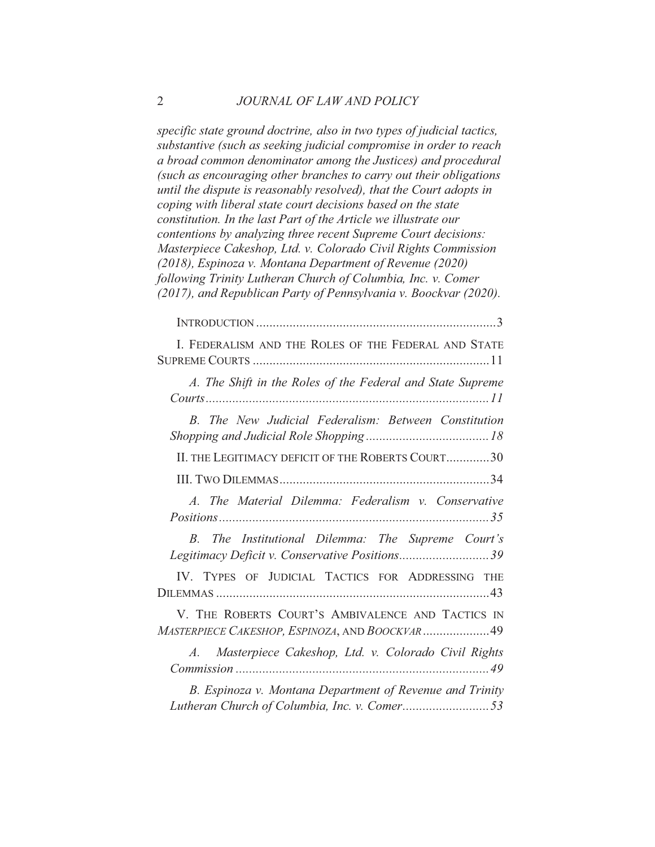specific state ground doctrine, also in two types of judicial tactics, substantive (such as seeking judicial compromise in order to reach a broad common denominator among the Justices) and procedural (such as encouraging other branches to carry out their obligations until the dispute is reasonably resolved), that the Court adopts in coping with liberal state court decisions based on the state constitution. In the last Part of the Article we illustrate our contentions by analyzing three recent Supreme Court decisions: Masterpiece Cakeshop, Ltd. v. Colorado Civil Rights Commission (2018), Espinoza v. Montana Department of Revenue (2020) following Trinity Lutheran Church of Columbia, Inc. v. Comer (2017), and Republican Party of Pennsylvania v. Boockvar (2020).

| I. FEDERALISM AND THE ROLES OF THE FEDERAL AND STATE                                                  |
|-------------------------------------------------------------------------------------------------------|
| A. The Shift in the Roles of the Federal and State Supreme                                            |
| B. The New Judicial Federalism: Between Constitution                                                  |
| II. THE LEGITIMACY DEFICIT OF THE ROBERTS COURT30                                                     |
|                                                                                                       |
| A. The Material Dilemma: Federalism v. Conservative                                                   |
| The Institutional Dilemma: The Supreme Court's<br>B<br>Legitimacy Deficit v. Conservative Positions39 |
| IV. TYPES OF JUDICIAL TACTICS FOR ADDRESSING THE                                                      |
| V. THE ROBERTS COURT'S AMBIVALENCE AND TACTICS IN<br>MASTERPIECE CAKESHOP, ESPINOZA, AND BOOCKVAR  49 |
| Masterpiece Cakeshop, Ltd. v. Colorado Civil Rights<br>$A$ .                                          |
| B. Espinoza v. Montana Department of Revenue and Trinity                                              |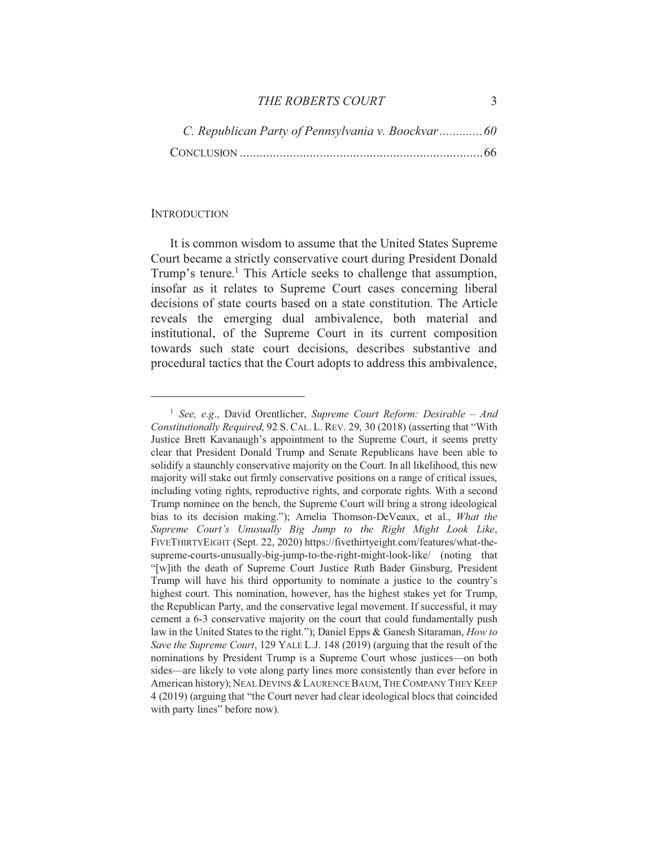#### THE ROBERTS COURT

| C. Republican Party of Pennsylvania v. Boockvar60 |
|---------------------------------------------------|
|                                                   |

#### **INTRODUCTION**

It is common wisdom to assume that the United States Supreme Court became a strictly conservative court during President Donald Trump's tenure.<sup>1</sup> This Article seeks to challenge that assumption, insofar as it relates to Supreme Court cases concerning liberal decisions of state courts based on a state constitution. The Article reveals the emerging dual ambivalence, both material and institutional, of the Supreme Court in its current composition towards such state court decisions, describes substantive and procedural tactics that the Court adopts to address this ambivalence,

<sup>&</sup>lt;sup>1</sup> See, e.g., David Orentlicher, Supreme Court Reform: Desirable – And Constitutionally Required, 92 S. CAL. L. REV. 29, 30 (2018) (asserting that "With Justice Brett Kavanaugh's appointment to the Supreme Court, it seems pretty clear that President Donald Trump and Senate Republicans have been able to solidify a staunchly conservative majority on the Court. In all likelihood, this new majority will stake out firmly conservative positions on a range of critical issues, including voting rights, reproductive rights, and corporate rights. With a second Trump nominee on the bench, the Supreme Court will bring a strong ideological bias to its decision making."); Amelia Thomson-DeVeaux, et al., What the Supreme Court's Unusually Big Jump to the Right Might Look Like, FIVETHIRTYEIGHT (Sept. 22, 2020) https://fivethirtyeight.com/features/what-thesupreme-courts-unusually-big-jump-to-the-right-might-look-like/ (noting that "[w]ith the death of Supreme Court Justice Ruth Bader Ginsburg, President Trump will have his third opportunity to nominate a justice to the country's highest court. This nomination, however, has the highest stakes yet for Trump, the Republican Party, and the conservative legal movement. If successful, it may cement a 6-3 conservative majority on the court that could fundamentally push law in the United States to the right."); Daniel Epps & Ganesh Sitaraman, How to Save the Supreme Court, 129 YALE L.J. 148 (2019) (arguing that the result of the nominations by President Trump is a Supreme Court whose justices—on both sides—are likely to vote along party lines more consistently than ever before in American history); NEAL DEVINS & LAURENCE BAUM, THE COMPANY THEY KEEP 4 (2019) (arguing that "the Court never had clear ideological blocs that coincided with party lines" before now).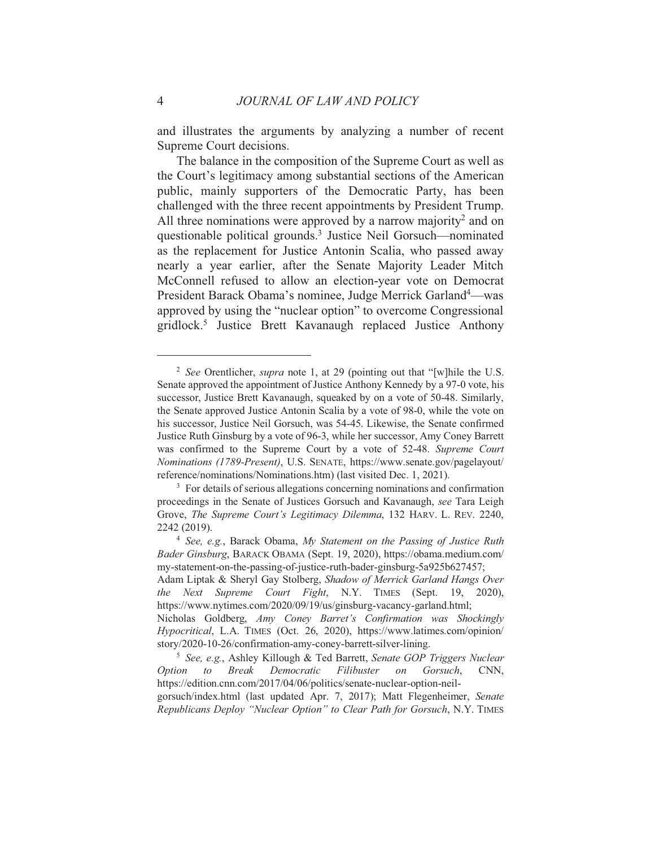and illustrates the arguments by analyzing a number of recent Supreme Court decisions.

The balance in the composition of the Supreme Court as well as the Court's legitimacy among substantial sections of the American public, mainly supporters of the Democratic Party, has been challenged with the three recent appointments by President Trump. All three nominations were approved by a narrow majority<sup>2</sup> and on questionable political grounds.<sup>3</sup> Justice Neil Gorsuch—nominated as the replacement for Justice Antonin Scalia, who passed away nearly a year earlier, after the Senate Majority Leader Mitch McConnell refused to allow an election-year vote on Democrat President Barack Obama's nominee, Judge Merrick Garland<sup>4</sup>—was approved by using the "nuclear option" to overcome Congressional gridlock.<sup>5</sup> Justice Brett Kavanaugh replaced Justice Anthony

<sup>&</sup>lt;sup>2</sup> See Orentlicher, *supra* note 1, at 29 (pointing out that "[w] hile the U.S. Senate approved the appointment of Justice Anthony Kennedy by a 97-0 vote, his successor, Justice Brett Kavanaugh, squeaked by on a vote of 50-48. Similarly, the Senate approved Justice Antonin Scalia by a vote of 98-0, while the vote on his successor, Justice Neil Gorsuch, was 54-45. Likewise, the Senate confirmed Justice Ruth Ginsburg by a vote of 96-3, while her successor, Amy Coney Barrett was confirmed to the Supreme Court by a vote of 52-48. Supreme Court Nominations (1789-Present), U.S. SENATE, https://www.senate.gov/pagelayout/ reference/nominations/Nominations.htm) (last visited Dec. 1, 2021).

<sup>&</sup>lt;sup>3</sup> For details of serious allegations concerning nominations and confirmation proceedings in the Senate of Justices Gorsuch and Kavanaugh, see Tara Leigh Grove, The Supreme Court's Legitimacy Dilemma, 132 HARV. L. REV. 2240, 2242 (2019).

<sup>&</sup>lt;sup>4</sup> See, e.g., Barack Obama, My Statement on the Passing of Justice Ruth Bader Ginsburg, BARACK OBAMA (Sept. 19, 2020), https://obama.medium.com/ my-statement-on-the-passing-of-justice-ruth-bader-ginsburg-5a925b627457;

Adam Liptak & Sheryl Gay Stolberg, Shadow of Merrick Garland Hangs Over Next Supreme Court Fight, N.Y. TIMES (Sept. 19, 2020), the https://www.nytimes.com/2020/09/19/us/ginsburg-vacancy-garland.html;

Nicholas Goldberg, Amy Coney Barret's Confirmation was Shockingly Hypocritical, L.A. TIMES (Oct. 26, 2020), https://www.latimes.com/opinion/ story/2020-10-26/confirmation-amy-coney-barrett-silver-lining.

<sup>&</sup>lt;sup>5</sup> See, e.g., Ashley Killough & Ted Barrett, Senate GOP Triggers Nuclear Option to **Break** Democratic Filibuster  $\overline{on}$ Gorsuch, CNN. https://edition.cnn.com/2017/04/06/politics/senate-nuclear-option-neilgorsuch/index.html (last updated Apr. 7, 2017); Matt Flegenheimer, Senate

Republicans Deploy "Nuclear Option" to Clear Path for Gorsuch, N.Y. TIMES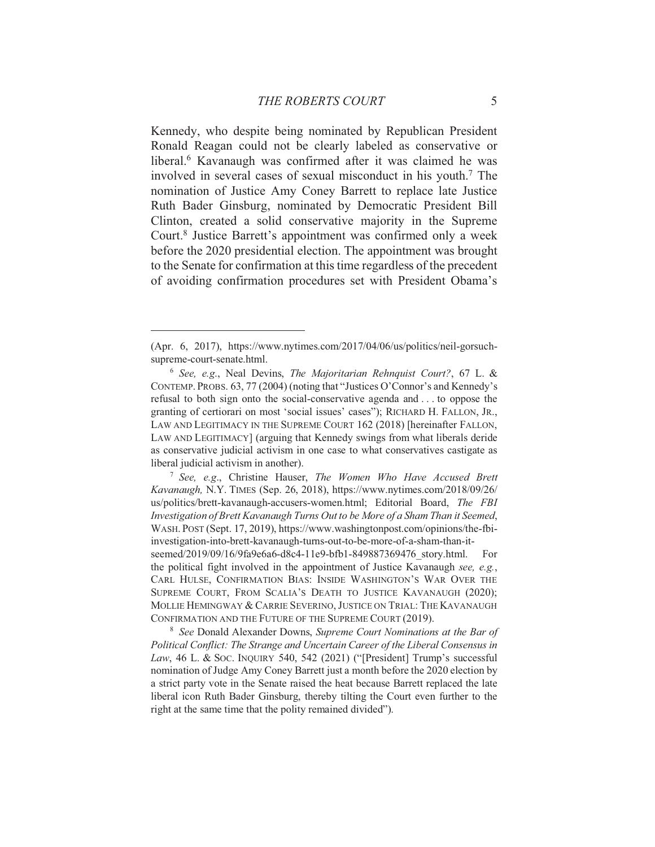Kennedy, who despite being nominated by Republican President Ronald Reagan could not be clearly labeled as conservative or liberal.<sup>6</sup> Kavanaugh was confirmed after it was claimed he was involved in several cases of sexual misconduct in his youth.<sup>7</sup> The nomination of Justice Amy Coney Barrett to replace late Justice Ruth Bader Ginsburg, nominated by Democratic President Bill Clinton, created a solid conservative majority in the Supreme Court.<sup>8</sup> Justice Barrett's appointment was confirmed only a week before the 2020 presidential election. The appointment was brought to the Senate for confirmation at this time regardless of the precedent of avoiding confirmation procedures set with President Obama's

<sup>7</sup> See, e.g., Christine Hauser, The Women Who Have Accused Brett Kavanaugh, N.Y. TIMES (Sep. 26, 2018), https://www.nytimes.com/2018/09/26/ us/politics/brett-kavanaugh-accusers-women.html; Editorial Board, The FBI Investigation of Brett Kavanaugh Turns Out to be More of a Sham Than it Seemed, WASH. POST (Sept. 17, 2019), https://www.washingtonpost.com/opinions/the-fbiinvestigation-into-brett-kavanaugh-turns-out-to-be-more-of-a-sham-than-it-

seemed/2019/09/16/9fa9e6a6-d8c4-11e9-bfb1-849887369476 story.html. For the political fight involved in the appointment of Justice Kavanaugh see, e.g., CARL HULSE, CONFIRMATION BIAS: INSIDE WASHINGTON'S WAR OVER THE SUPREME COURT, FROM SCALIA'S DEATH TO JUSTICE KAVANAUGH (2020); MOLLIE HEMINGWAY & CARRIE SEVERINO, JUSTICE ON TRIAL: THE KAVANAUGH CONFIRMATION AND THE FUTURE OF THE SUPREME COURT (2019).

<sup>8</sup> See Donald Alexander Downs, Supreme Court Nominations at the Bar of Political Conflict: The Strange and Uncertain Career of the Liberal Consensus in Law, 46 L. & Soc. INQUIRY 540, 542 (2021) ("[President] Trump's successful nomination of Judge Amy Coney Barrett just a month before the 2020 election by a strict party vote in the Senate raised the heat because Barrett replaced the late liberal icon Ruth Bader Ginsburg, thereby tilting the Court even further to the right at the same time that the polity remained divided").

<sup>(</sup>Apr. 6, 2017), https://www.nytimes.com/2017/04/06/us/politics/neil-gorsuchsupreme-court-senate.html.

 $6$  See, e.g., Neal Devins, The Majoritarian Rehnquist Court?, 67 L. & CONTEMP. PROBS. 63, 77 (2004) (noting that "Justices O'Connor's and Kennedy's refusal to both sign onto the social-conservative agenda and ... to oppose the granting of certiorari on most 'social issues' cases''); RICHARD H. FALLON, JR., LAW AND LEGITIMACY IN THE SUPREME COURT 162 (2018) [hereinafter FALLON, LAW AND LEGITIMACY] (arguing that Kennedy swings from what liberals deride as conservative judicial activism in one case to what conservatives castigate as liberal judicial activism in another).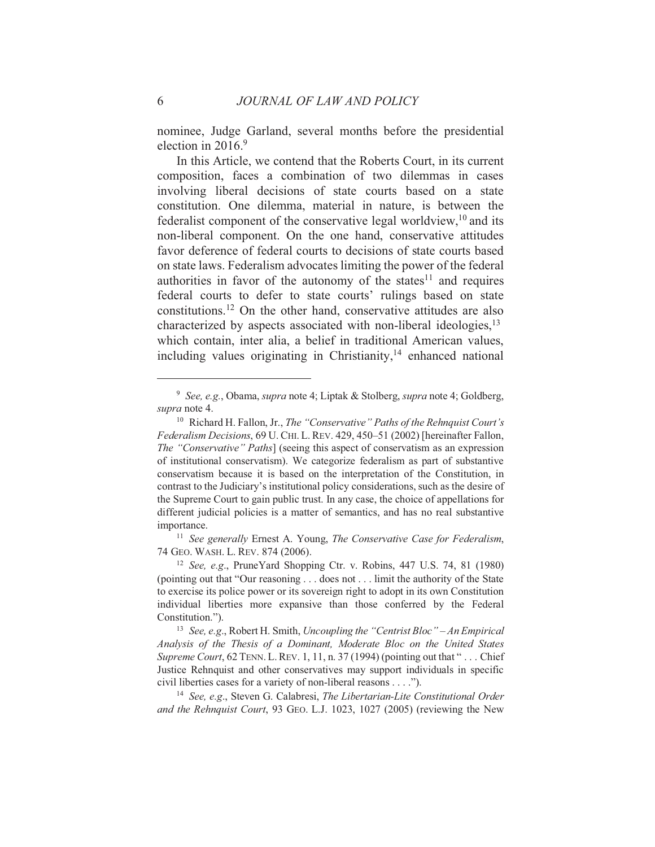nominee, Judge Garland, several months before the presidential election in  $2016.9$ 

In this Article, we contend that the Roberts Court, in its current composition, faces a combination of two dilemmas in cases involving liberal decisions of state courts based on a state constitution. One dilemma, material in nature, is between the federalist component of the conservative legal worldview,<sup>10</sup> and its non-liberal component. On the one hand, conservative attitudes favor deference of federal courts to decisions of state courts based on state laws. Federalism advocates limiting the power of the federal authorities in favor of the autonomy of the states<sup>11</sup> and requires federal courts to defer to state courts' rulings based on state constitutions.<sup>12</sup> On the other hand, conservative attitudes are also characterized by aspects associated with non-liberal ideologies,  $13$ which contain, inter alia, a belief in traditional American values, including values originating in Christianity,<sup>14</sup> enhanced national

<sup>11</sup> See generally Ernest A. Young, *The Conservative Case for Federalism*, 74 GEO. WASH. L. REV. 874 (2006).

<sup>&</sup>lt;sup>9</sup> See, e.g., Obama, supra note 4; Liptak & Stolberg, supra note 4; Goldberg, supra note 4.

<sup>&</sup>lt;sup>10</sup> Richard H. Fallon, Jr., *The "Conservative" Paths of the Rehnquist Court's* Federalism Decisions, 69 U. CHI. L. REV. 429, 450-51 (2002) [hereinafter Fallon, *The "Conservative" Paths*] (seeing this aspect of conservatism as an expression of institutional conservatism). We categorize federalism as part of substantive conservatism because it is based on the interpretation of the Constitution, in contrast to the Judiciary's institutional policy considerations, such as the desire of the Supreme Court to gain public trust. In any case, the choice of appellations for different judicial policies is a matter of semantics, and has no real substantive importance.

<sup>&</sup>lt;sup>12</sup> See, e.g., PruneYard Shopping Ctr. v. Robins, 447 U.S. 74, 81 (1980) (pointing out that "Our reasoning . . . does not . . . limit the authority of the State to exercise its police power or its sovereign right to adopt in its own Constitution individual liberties more expansive than those conferred by the Federal Constitution.").

<sup>&</sup>lt;sup>13</sup> See, e.g., Robert H. Smith, *Uncoupling the "Centrist Bloc"* – An Empirical Analysis of the Thesis of a Dominant, Moderate Bloc on the United States Supreme Court, 62 TENN. L. REV. 1, 11, n. 37 (1994) (pointing out that "... Chief Justice Rehnquist and other conservatives may support individuals in specific civil liberties cases for a variety of non-liberal reasons . . . .").

<sup>&</sup>lt;sup>14</sup> See, e.g., Steven G. Calabresi, *The Libertarian-Lite Constitutional Order* and the Rehnquist Court, 93 GEO, L.J. 1023, 1027 (2005) (reviewing the New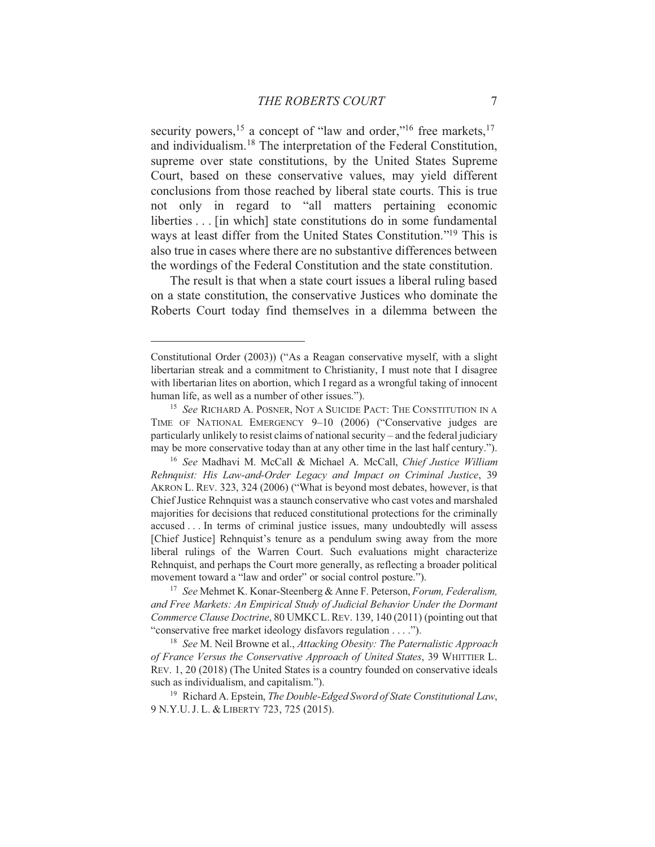security powers,<sup>15</sup> a concept of "law and order,"<sup>16</sup> free markets,<sup>17</sup> and individualism.<sup>18</sup> The interpretation of the Federal Constitution, supreme over state constitutions, by the United States Supreme Court, based on these conservative values, may yield different conclusions from those reached by liberal state courts. This is true not only in regard to "all matters pertaining economic liberties . . . [in which] state constitutions do in some fundamental ways at least differ from the United States Constitution."<sup>19</sup> This is also true in cases where there are no substantive differences between the wordings of the Federal Constitution and the state constitution.

The result is that when a state court issues a liberal ruling based on a state constitution, the conservative Justices who dominate the Roberts Court today find themselves in a dilemma between the

<sup>17</sup> See Mehmet K. Konar-Steenberg & Anne F. Peterson, Forum, Federalism, and Free Markets: An Empirical Study of Judicial Behavior Under the Dormant Commerce Clause Doctrine, 80 UMKC L. REV. 139, 140 (2011) (pointing out that "conservative free market ideology disfavors regulation . . . .").

<sup>18</sup> See M. Neil Browne et al., *Attacking Obesity: The Paternalistic Approach* of France Versus the Conservative Approach of United States, 39 WHITTIER L. REV. 1, 20 (2018) (The United States is a country founded on conservative ideals such as individualism, and capitalism.").

<sup>19</sup> Richard A. Epstein, *The Double-Edged Sword of State Constitutional Law*, 9 N.Y.U.J.L. & LIBERTY 723, 725 (2015).

Constitutional Order (2003)) ("As a Reagan conservative myself, with a slight libertarian streak and a commitment to Christianity, I must note that I disagree with libertarian lites on abortion, which I regard as a wrongful taking of innocent human life, as well as a number of other issues.").

<sup>&</sup>lt;sup>15</sup> See RICHARD A. POSNER, NOT A SUICIDE PACT: THE CONSTITUTION IN A TIME OF NATIONAL EMERGENCY 9-10 (2006) ("Conservative judges are particularly unlikely to resist claims of national security - and the federal judiciary may be more conservative today than at any other time in the last half century.").

<sup>&</sup>lt;sup>16</sup> See Madhavi M. McCall & Michael A. McCall, Chief Justice William Rehnquist: His Law-and-Order Legacy and Impact on Criminal Justice, 39 AKRON L. REV. 323, 324 (2006) ("What is beyond most debates, however, is that Chief Justice Rehnquist was a staunch conservative who cast votes and marshaled majorities for decisions that reduced constitutional protections for the criminally accused... In terms of criminal justice issues, many undoubtedly will assess [Chief Justice] Rehnquist's tenure as a pendulum swing away from the more liberal rulings of the Warren Court. Such evaluations might characterize Rehnquist, and perhaps the Court more generally, as reflecting a broader political movement toward a "law and order" or social control posture.").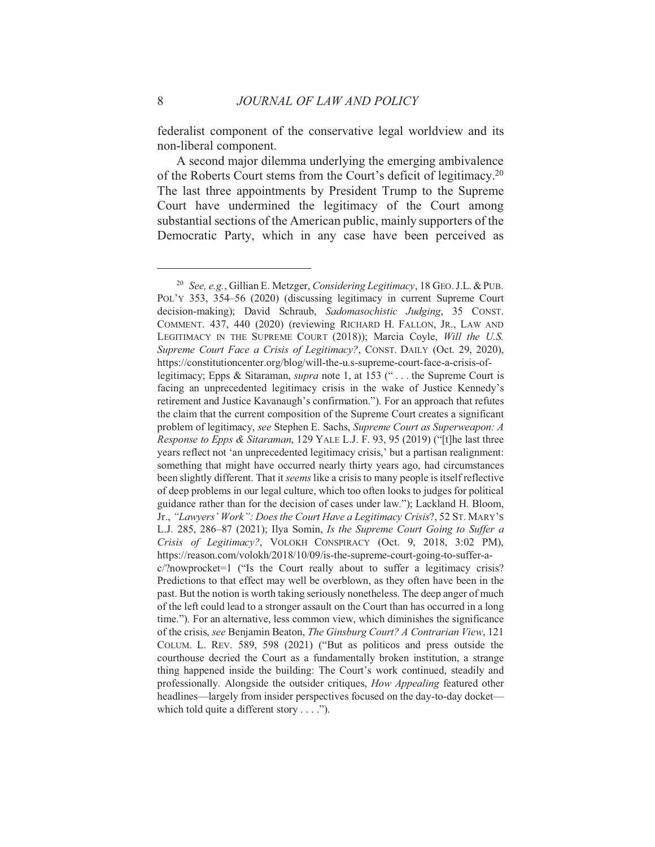federalist component of the conservative legal worldview and its non-liberal component.

A second major dilemma underlying the emerging ambivalence of the Roberts Court stems from the Court's deficit of legitimacy.<sup>20</sup> The last three appointments by President Trump to the Supreme Court have undermined the legitimacy of the Court among substantial sections of the American public, mainly supporters of the Democratic Party, which in any case have been perceived as

8

<sup>&</sup>lt;sup>20</sup> See, e.g., Gillian E. Metzger, *Considering Legitimacy*, 18 GEO, J.L. & PUB. POL'Y 353, 354-56 (2020) (discussing legitimacy in current Supreme Court decision-making); David Schraub, Sadomasochistic Judging, 35 CONST. COMMENT. 437, 440 (2020) (reviewing RICHARD H. FALLON, JR., LAW AND LEGITIMACY IN THE SUPREME COURT (2018)); Marcia Coyle, Will the U.S. Supreme Court Face a Crisis of Legitimacy?, CONST. DAILY (Oct. 29, 2020), https://constitutioncenter.org/blog/will-the-u.s-supreme-court-face-a-crisis-oflegitimacy; Epps & Sitaraman, *supra* note 1, at 153 ("... the Supreme Court is facing an unprecedented legitimacy crisis in the wake of Justice Kennedy's retirement and Justice Kavanaugh's confirmation."). For an approach that refutes the claim that the current composition of the Supreme Court creates a significant problem of legitimacy, see Stephen E. Sachs, Supreme Court as Superweapon: A Response to Epps & Sitaraman, 129 YALE L.J. F. 93, 95 (2019) ("[t]he last three years reflect not 'an unprecedented legitimacy crisis,' but a partisan realignment: something that might have occurred nearly thirty years ago, had circumstances been slightly different. That it *seems* like a crisis to many people is itself reflective of deep problems in our legal culture, which too often looks to judges for political guidance rather than for the decision of cases under law."); Lackland H. Bloom, Jr., "Lawyers' Work": Does the Court Have a Legitimacy Crisis?, 52 ST. MARY's L.J. 285, 286-87 (2021); Ilya Somin, Is the Supreme Court Going to Suffer a Crisis of Legitimacy?, VOLOKH CONSPIRACY (Oct. 9, 2018, 3:02 PM), https://reason.com/volokh/2018/10/09/is-the-supreme-court-going-to-suffer-a $c$ /?nowprocket=1 ("Is the Court really about to suffer a legitimacy crisis? Predictions to that effect may well be overblown, as they often have been in the past. But the notion is worth taking seriously nonetheless. The deep anger of much of the left could lead to a stronger assault on the Court than has occurred in a long time."). For an alternative, less common view, which diminishes the significance of the crisis, see Benjamin Beaton, The Ginsburg Court? A Contrarian View, 121 COLUM. L. REV. 589, 598 (2021) ("But as politicos and press outside the courthouse decried the Court as a fundamentally broken institution, a strange thing happened inside the building: The Court's work continued, steadily and professionally. Alongside the outsider critiques, How Appealing featured other headlines—largely from insider perspectives focused on the day-to-day docket which told quite a different story  $\dots$ .").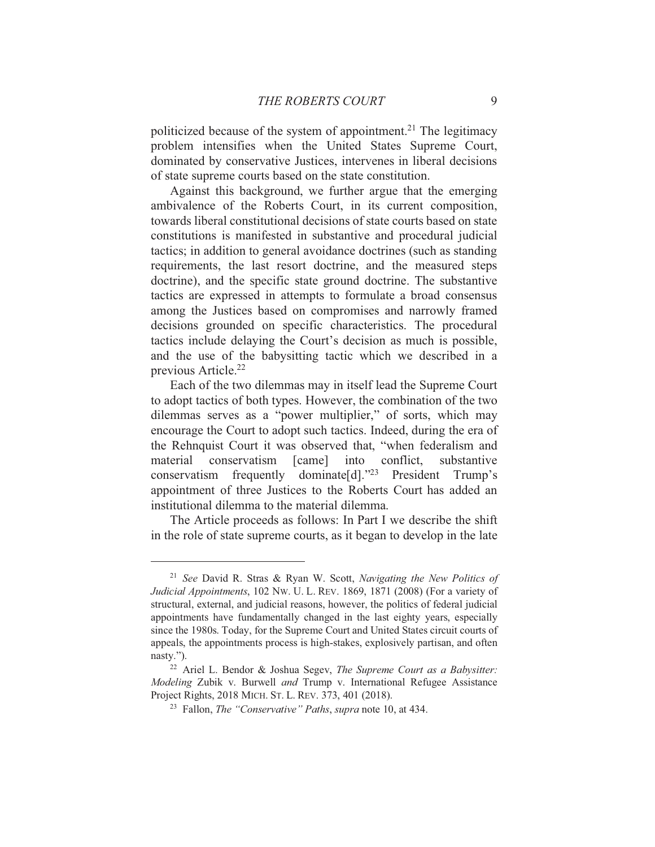politicized because of the system of appointment.<sup>21</sup> The legitimacy problem intensifies when the United States Supreme Court, dominated by conservative Justices, intervenes in liberal decisions of state supreme courts based on the state constitution.

Against this background, we further argue that the emerging ambivalence of the Roberts Court, in its current composition, towards liberal constitutional decisions of state courts based on state constitutions is manifested in substantive and procedural judicial tactics; in addition to general avoidance doctrines (such as standing requirements, the last resort doctrine, and the measured steps doctrine), and the specific state ground doctrine. The substantive tactics are expressed in attempts to formulate a broad consensus among the Justices based on compromises and narrowly framed decisions grounded on specific characteristics. The procedural tactics include delaying the Court's decision as much is possible, and the use of the babysitting tactic which we described in a previous Article.<sup>22</sup>

Each of the two dilemmas may in itself lead the Supreme Court to adopt tactics of both types. However, the combination of the two dilemmas serves as a "power multiplier," of sorts, which may encourage the Court to adopt such tactics. Indeed, during the era of the Rehnquist Court it was observed that, "when federalism and conservatism [came] into conflict. material substantive conservatism frequently dominate[d]."23 President Trump's appointment of three Justices to the Roberts Court has added an institutional dilemma to the material dilemma.

The Article proceeds as follows: In Part I we describe the shift in the role of state supreme courts, as it began to develop in the late

<sup>&</sup>lt;sup>21</sup> See David R. Stras & Ryan W. Scott, Navigating the New Politics of Judicial Appointments, 102 Nw. U. L. REV. 1869, 1871 (2008) (For a variety of structural, external, and judicial reasons, however, the politics of federal judicial appointments have fundamentally changed in the last eighty years, especially since the 1980s. Today, for the Supreme Court and United States circuit courts of appeals, the appointments process is high-stakes, explosively partisan, and often nasty.").

<sup>&</sup>lt;sup>22</sup> Ariel L. Bendor & Joshua Segev, The Supreme Court as a Babysitter: Modeling Zubik v. Burwell and Trump v. International Refugee Assistance Project Rights, 2018 MICH. ST. L. REV. 373, 401 (2018).

<sup>&</sup>lt;sup>23</sup> Fallon, *The "Conservative" Paths, supra* note 10, at 434.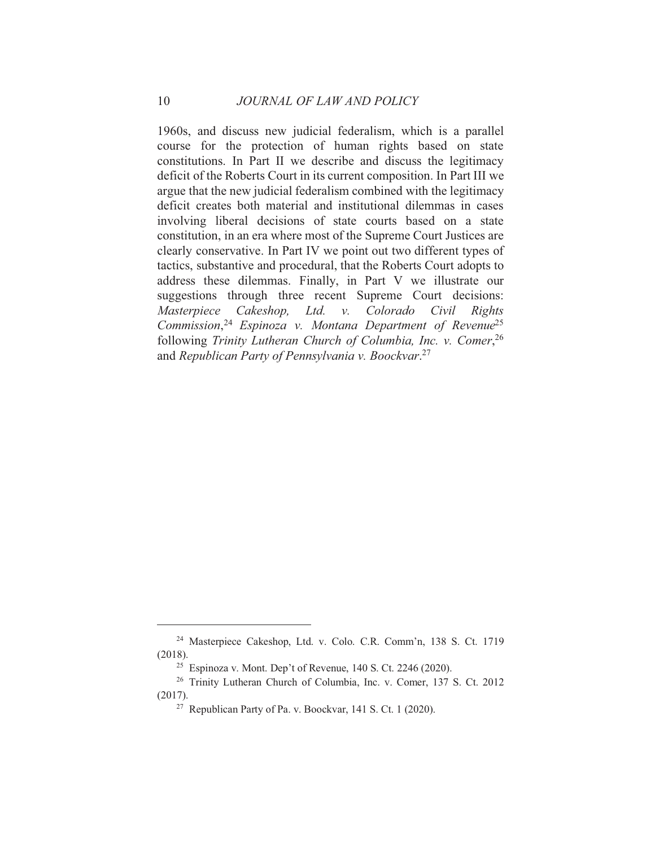1960s, and discuss new judicial federalism, which is a parallel course for the protection of human rights based on state constitutions. In Part II we describe and discuss the legitimacy deficit of the Roberts Court in its current composition. In Part III we argue that the new judicial federalism combined with the legitimacy deficit creates both material and institutional dilemmas in cases involving liberal decisions of state courts based on a state constitution, in an era where most of the Supreme Court Justices are clearly conservative. In Part IV we point out two different types of tactics, substantive and procedural, that the Roberts Court adopts to address these dilemmas. Finally, in Part V we illustrate our suggestions through three recent Supreme Court decisions: Masterpiece Cakeshop, Ltd. v. Colorado Civil Rights Commission,  $24$  Espinoza v. Montana Department of Revenue<sup>25</sup> following Trinity Lutheran Church of Columbia, Inc. v. Comer, 26 and Republican Party of Pennsylvania v. Boockvar.<sup>27</sup>

<sup>&</sup>lt;sup>24</sup> Masterpiece Cakeshop, Ltd. v. Colo. C.R. Comm'n, 138 S. Ct. 1719  $(2018).$ 

<sup>&</sup>lt;sup>25</sup> Espinoza v. Mont. Dep't of Revenue, 140 S. Ct. 2246 (2020).

<sup>&</sup>lt;sup>26</sup> Trinity Lutheran Church of Columbia, Inc. v. Comer, 137 S. Ct. 2012  $(2017).$ 

<sup>&</sup>lt;sup>27</sup> Republican Party of Pa. v. Boockvar, 141 S. Ct. 1 (2020).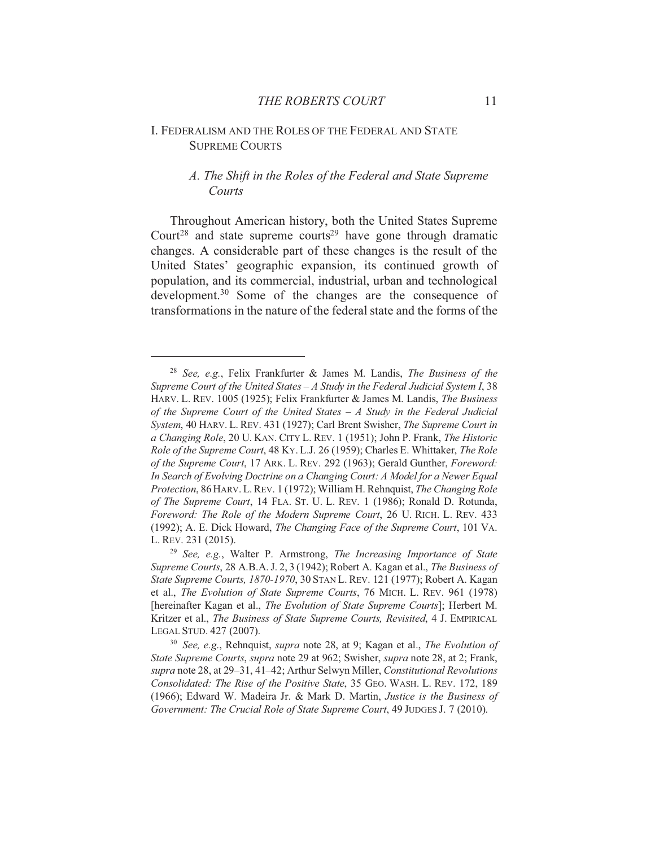## I. FEDERALISM AND THE ROLES OF THE FEDERAL AND STATE **SUPREME COURTS**

## A. The Shift in the Roles of the Federal and State Supreme Courts

Throughout American history, both the United States Supreme Court<sup>28</sup> and state supreme courts<sup>29</sup> have gone through dramatic changes. A considerable part of these changes is the result of the United States' geographic expansion, its continued growth of population, and its commercial, industrial, urban and technological development.<sup>30</sup> Some of the changes are the consequence of transformations in the nature of the federal state and the forms of the

<sup>&</sup>lt;sup>28</sup> See, e.g., Felix Frankfurter & James M. Landis, *The Business of the* Supreme Court of the United States  $-A$  Study in the Federal Judicial System I, 38 HARV. L. REV. 1005 (1925); Felix Frankfurter & James M. Landis, The Business of the Supreme Court of the United States  $-A$  Study in the Federal Judicial System, 40 HARV. L. REV. 431 (1927); Carl Brent Swisher, *The Supreme Court in* a Changing Role, 20 U. KAN. CITY L. REV. 1 (1951); John P. Frank, The Historic Role of the Supreme Court, 48 KY. L.J. 26 (1959); Charles E. Whittaker, The Role of the Supreme Court, 17 ARK. L. REV. 292 (1963); Gerald Gunther, Foreword: In Search of Evolving Doctrine on a Changing Court: A Model for a Newer Equal Protection, 86 HARV. L. REV. 1 (1972); William H. Rehnquist, The Changing Role of The Supreme Court, 14 FLA. ST. U. L. REV. 1 (1986); Ronald D. Rotunda, Foreword: The Role of the Modern Supreme Court, 26 U. RICH. L. REV. 433 (1992); A. E. Dick Howard, *The Changing Face of the Supreme Court*, 101 VA. L. REV. 231 (2015).

<sup>&</sup>lt;sup>29</sup> See, e.g., Walter P. Armstrong, *The Increasing Importance of State* Supreme Courts, 28 A.B.A. J. 2, 3 (1942); Robert A. Kagan et al., The Business of State Supreme Courts, 1870-1970, 30 STAN L. REV. 121 (1977); Robert A. Kagan et al., The Evolution of State Supreme Courts, 76 MICH. L. REV. 961 (1978) [hereinafter Kagan et al., The Evolution of State Supreme Courts]; Herbert M. Kritzer et al., The Business of State Supreme Courts, Revisited, 4 J. EMPIRICAL LEGAL STUD. 427 (2007).

<sup>&</sup>lt;sup>30</sup> See, e.g., Rehnquist, *supra* note 28, at 9; Kagan et al., *The Evolution of* State Supreme Courts, supra note 29 at 962; Swisher, supra note 28, at 2; Frank, supra note 28, at 29-31, 41-42; Arthur Selwyn Miller, Constitutional Revolutions Consolidated: The Rise of the Positive State, 35 GEO. WASH, L. REV. 172, 189 (1966); Edward W. Madeira Jr. & Mark D. Martin, *Justice is the Business of* Government: The Crucial Role of State Supreme Court, 49 JUDGES J. 7 (2010).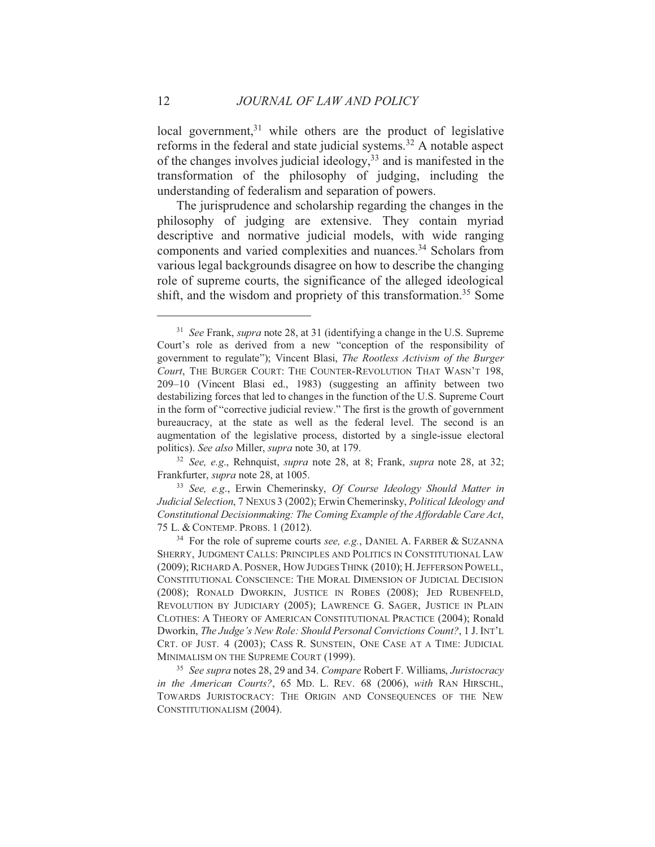local government,<sup>31</sup> while others are the product of legislative reforms in the federal and state judicial systems.<sup>32</sup> A notable aspect of the changes involves judicial ideology,  $33$  and is manifested in the transformation of the philosophy of judging, including the understanding of federalism and separation of powers.

The jurisprudence and scholarship regarding the changes in the philosophy of judging are extensive. They contain myriad descriptive and normative judicial models, with wide ranging components and varied complexities and nuances.<sup>34</sup> Scholars from various legal backgrounds disagree on how to describe the changing role of supreme courts, the significance of the alleged ideological shift, and the wisdom and propriety of this transformation.<sup>35</sup> Some

<sup>&</sup>lt;sup>31</sup> See Frank, *supra* note 28, at 31 (identifying a change in the U.S. Supreme Court's role as derived from a new "conception of the responsibility of government to regulate"); Vincent Blasi, The Rootless Activism of the Burger Court, THE BURGER COURT: THE COUNTER-REVOLUTION THAT WASN'T 198, 209-10 (Vincent Blasi ed., 1983) (suggesting an affinity between two destabilizing forces that led to changes in the function of the U.S. Supreme Court in the form of "corrective judicial review." The first is the growth of government bureaucracy, at the state as well as the federal level. The second is an augmentation of the legislative process, distorted by a single-issue electoral politics). See also Miller, supra note 30, at 179.

<sup>&</sup>lt;sup>32</sup> See, e.g., Rehnquist, *supra* note 28, at 8; Frank, *supra* note 28, at 32; Frankfurter, *supra* note 28, at 1005.

<sup>&</sup>lt;sup>33</sup> See, e.g., Erwin Chemerinsky, Of Course Ideology Should Matter in Judicial Selection, 7 NEXUS 3 (2002); Erwin Chemerinsky, Political Ideology and Constitutional Decisionmaking: The Coming Example of the Affordable Care Act, 75 L. & CONTEMP. PROBS. 1 (2012).

<sup>&</sup>lt;sup>34</sup> For the role of supreme courts see, e.g., DANIEL A. FARBER & SUZANNA SHERRY, JUDGMENT CALLS: PRINCIPLES AND POLITICS IN CONSTITUTIONAL LAW (2009); RICHARD A. POSNER, HOW JUDGES THINK (2010); H. JEFFERSON POWELL, CONSTITUTIONAL CONSCIENCE: THE MORAL DIMENSION OF JUDICIAL DECISION (2008); RONALD DWORKIN, JUSTICE IN ROBES (2008); JED RUBENFELD, REVOLUTION BY JUDICIARY (2005); LAWRENCE G. SAGER, JUSTICE IN PLAIN CLOTHES: A THEORY OF AMERICAN CONSTITUTIONAL PRACTICE (2004); Ronald Dworkin, The Judge's New Role: Should Personal Convictions Count?, 1 J. INT'L CRT. OF JUST. 4 (2003); CASS R. SUNSTEIN, ONE CASE AT A TIME: JUDICIAL MINIMALISM ON THE SUPREME COURT (1999).

<sup>&</sup>lt;sup>35</sup> See supra notes 28, 29 and 34. Compare Robert F. Williams, Juristocracy in the American Courts?, 65 MD. L. REV. 68 (2006), with RAN HIRSCHL, TOWARDS JURISTOCRACY: THE ORIGIN AND CONSEQUENCES OF THE NEW CONSTITUTIONALISM (2004).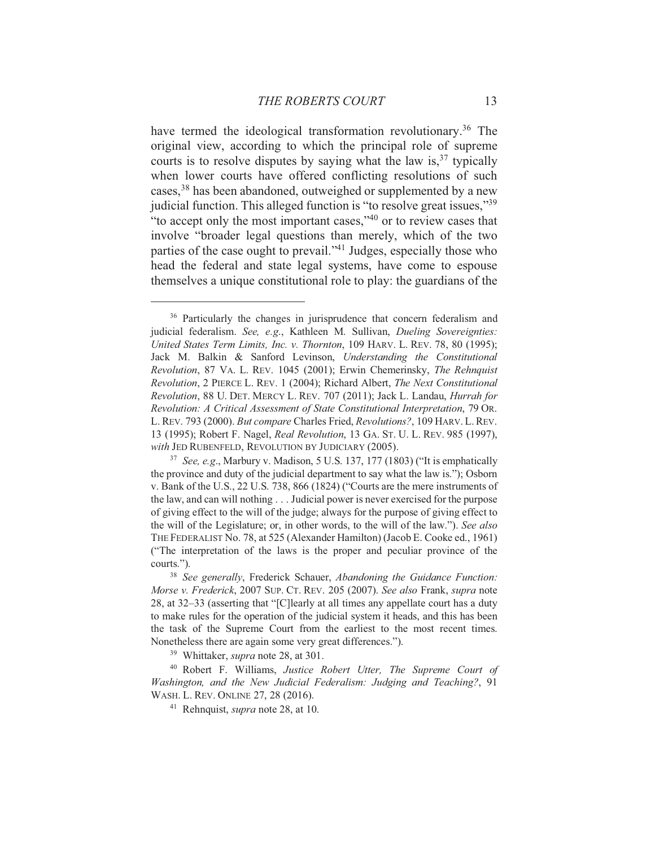have termed the ideological transformation revolutionary.<sup>36</sup> The original view, according to which the principal role of supreme courts is to resolve disputes by saying what the law is,  $37$  typically when lower courts have offered conflicting resolutions of such cases,<sup>38</sup> has been abandoned, outweighed or supplemented by a new judicial function. This alleged function is "to resolve great issues,"39 "to accept only the most important cases,"<sup>40</sup> or to review cases that involve "broader legal questions than merely, which of the two parties of the case ought to prevail."<sup>41</sup> Judges, especially those who head the federal and state legal systems, have come to espouse themselves a unique constitutional role to play: the guardians of the

<sup>39</sup> Whittaker, *supra* note 28, at 301.

<sup>&</sup>lt;sup>36</sup> Particularly the changes in jurisprudence that concern federalism and judicial federalism. See, e.g., Kathleen M. Sullivan, Dueling Sovereignties: United States Term Limits, Inc. v. Thornton, 109 HARV. L. REV. 78, 80 (1995); Jack M. Balkin & Sanford Levinson, Understanding the Constitutional Revolution, 87 VA. L. REV. 1045 (2001); Erwin Chemerinsky, The Rehnquist Revolution, 2 PIERCE L. REV. 1 (2004); Richard Albert, The Next Constitutional Revolution, 88 U. DET. MERCY L. REV. 707 (2011); Jack L. Landau, *Hurrah for* Revolution: A Critical Assessment of State Constitutional Interpretation, 79 OR. L. REV. 793 (2000). But compare Charles Fried, Revolutions?, 109 HARV. L. REV. 13 (1995); Robert F. Nagel, *Real Revolution*, 13 GA. ST. U. L. REV. 985 (1997), with JED RUBENFELD, REVOLUTION BY JUDICIARY (2005).

<sup>&</sup>lt;sup>37</sup> See, e.g., Marbury v. Madison, 5 U.S. 137, 177 (1803) ("It is emphatically the province and duty of the judicial department to say what the law is."); Osborn v. Bank of the U.S., 22 U.S. 738, 866 (1824) ("Courts are the mere instruments of the law, and can will nothing . . . Judicial power is never exercised for the purpose of giving effect to the will of the judge; always for the purpose of giving effect to the will of the Legislature; or, in other words, to the will of the law."). See also THE FEDERALIST No. 78, at 525 (Alexander Hamilton) (Jacob E. Cooke ed., 1961) ("The interpretation of the laws is the proper and peculiar province of the courts.").

<sup>&</sup>lt;sup>38</sup> See generally, Frederick Schauer, Abandoning the Guidance Function: Morse v. Frederick, 2007 SUP. CT. REV. 205 (2007). See also Frank, supra note 28, at 32-33 (asserting that "[C]learly at all times any appellate court has a duty to make rules for the operation of the judicial system it heads, and this has been the task of the Supreme Court from the earliest to the most recent times. Nonetheless there are again some very great differences.").

<sup>&</sup>lt;sup>40</sup> Robert F. Williams, Justice Robert Utter, The Supreme Court of Washington, and the New Judicial Federalism: Judging and Teaching?, 91 WASH. L. REV. ONLINE 27, 28 (2016).

<sup>&</sup>lt;sup>41</sup> Rehnquist, *supra* note 28, at 10.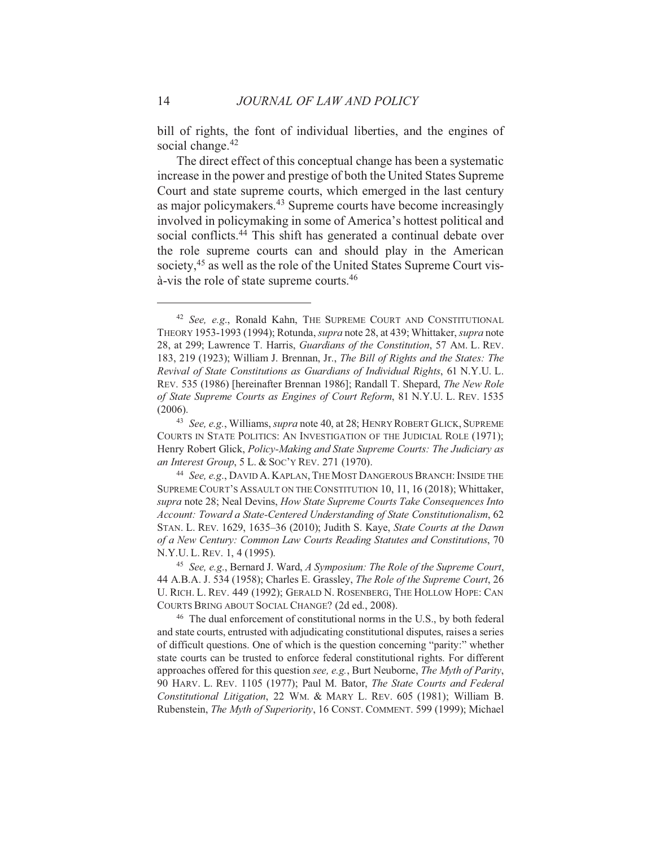bill of rights, the font of individual liberties, and the engines of social change.<sup>42</sup>

The direct effect of this conceptual change has been a systematic increase in the power and prestige of both the United States Supreme Court and state supreme courts, which emerged in the last century as major policymakers.<sup>43</sup> Supreme courts have become increasingly involved in policymaking in some of America's hottest political and social conflicts.<sup>44</sup> This shift has generated a continual debate over the role supreme courts can and should play in the American society,<sup>45</sup> as well as the role of the United States Supreme Court visà-vis the role of state supreme courts.<sup>46</sup>

<sup>&</sup>lt;sup>42</sup> See, e.g., Ronald Kahn, THE SUPREME COURT AND CONSTITUTIONAL THEORY 1953-1993 (1994); Rotunda, *supra* note 28, at 439; Whittaker, *supra* note 28, at 299; Lawrence T. Harris, Guardians of the Constitution, 57 AM. L. REV. 183, 219 (1923); William J. Brennan, Jr., The Bill of Rights and the States: The Revival of State Constitutions as Guardians of Individual Rights, 61 N.Y.U. L. REV. 535 (1986) [hereinafter Brennan 1986]; Randall T. Shepard, The New Role of State Supreme Courts as Engines of Court Reform, 81 N.Y.U. L. REV. 1535  $(2006).$ 

<sup>43</sup> See, e.g., Williams, *supra* note 40, at 28; HENRY ROBERT GLICK, SUPREME COURTS IN STATE POLITICS: AN INVESTIGATION OF THE JUDICIAL ROLE (1971); Henry Robert Glick, Policy-Making and State Supreme Courts: The Judiciary as an Interest Group, 5 L. & Soc'y REV. 271 (1970).

<sup>44</sup> See, e.g., DAVID A. KAPLAN, THE MOST DANGEROUS BRANCH: INSIDE THE SUPREME COURT'S ASSAULT ON THE CONSTITUTION 10, 11, 16 (2018); Whittaker, supra note 28; Neal Devins, How State Supreme Courts Take Consequences Into Account: Toward a State-Centered Understanding of State Constitutionalism, 62 STAN. L. REV. 1629, 1635-36 (2010); Judith S. Kaye, State Courts at the Dawn of a New Century: Common Law Courts Reading Statutes and Constitutions, 70 N.Y.U.L. REV. 1, 4 (1995).

<sup>&</sup>lt;sup>45</sup> See, e.g., Bernard J. Ward, A Symposium: The Role of the Supreme Court, 44 A.B.A. J. 534 (1958); Charles E. Grassley, The Role of the Supreme Court, 26 U. RICH. L. REV. 449 (1992); GERALD N. ROSENBERG, THE HOLLOW HOPE: CAN COURTS BRING ABOUT SOCIAL CHANGE? (2d ed., 2008).

<sup>&</sup>lt;sup>46</sup> The dual enforcement of constitutional norms in the U.S., by both federal and state courts, entrusted with adjudicating constitutional disputes, raises a series of difficult questions. One of which is the question concerning "parity:" whether state courts can be trusted to enforce federal constitutional rights. For different approaches offered for this question see, e.g., Burt Neuborne, The Myth of Parity, 90 HARV. L. REV. 1105 (1977); Paul M. Bator, The State Courts and Federal Constitutional Litigation, 22 WM. & MARY L. REV. 605 (1981); William B. Rubenstein, The Myth of Superiority, 16 CONST. COMMENT. 599 (1999); Michael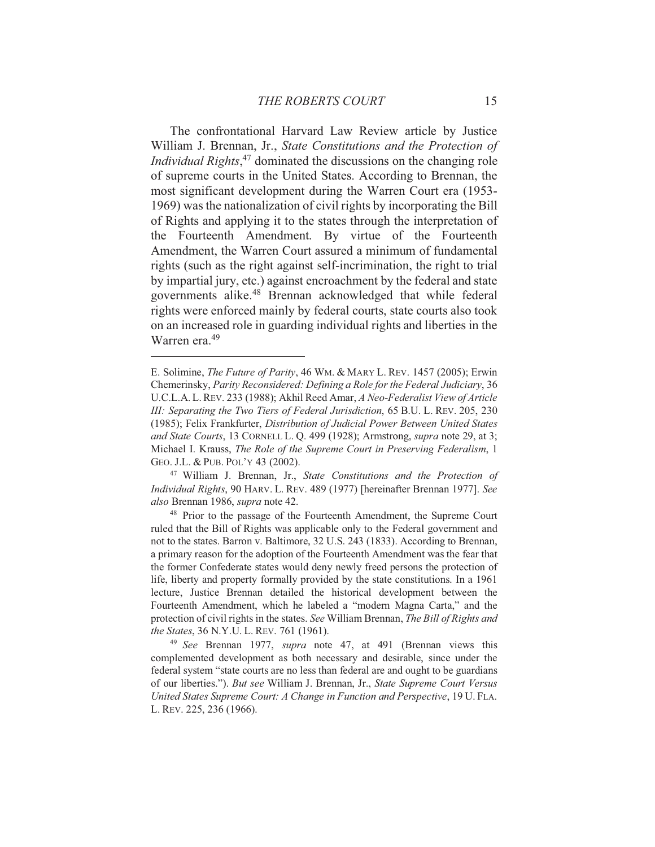The confrontational Harvard Law Review article by Justice William J. Brennan, Jr., State Constitutions and the Protection of *Individual Rights*,<sup>47</sup> dominated the discussions on the changing role of supreme courts in the United States. According to Brennan, the most significant development during the Warren Court era (1953-1969) was the nationalization of civil rights by incorporating the Bill of Rights and applying it to the states through the interpretation of the Fourteenth Amendment. By virtue of the Fourteenth Amendment, the Warren Court assured a minimum of fundamental rights (such as the right against self-incrimination, the right to trial by impartial jury, etc.) against encroachment by the federal and state governments alike.<sup>48</sup> Brennan acknowledged that while federal rights were enforced mainly by federal courts, state courts also took on an increased role in guarding individual rights and liberties in the Warren era.<sup>49</sup>

<sup>47</sup> William J. Brennan, Jr., State Constitutions and the Protection of Individual Rights, 90 HARV. L. REV. 489 (1977) [hereinafter Brennan 1977]. See also Brennan 1986, supra note 42.

<sup>48</sup> Prior to the passage of the Fourteenth Amendment, the Supreme Court ruled that the Bill of Rights was applicable only to the Federal government and not to the states. Barron v. Baltimore, 32 U.S. 243 (1833). According to Brennan, a primary reason for the adoption of the Fourteenth Amendment was the fear that the former Confederate states would deny newly freed persons the protection of life, liberty and property formally provided by the state constitutions. In a 1961 lecture, Justice Brennan detailed the historical development between the Fourteenth Amendment, which he labeled a "modern Magna Carta," and the protection of civil rights in the states. See William Brennan, The Bill of Rights and the States, 36 N.Y.U.L. REV. 761 (1961).

<sup>49</sup> See Brennan 1977, supra note 47, at 491 (Brennan views this complemented development as both necessary and desirable, since under the federal system "state courts are no less than federal are and ought to be guardians of our liberties."). But see William J. Brennan, Jr., State Supreme Court Versus United States Supreme Court: A Change in Function and Perspective, 19 U. FLA. L. REV. 225, 236 (1966).

E. Solimine, *The Future of Parity*, 46 WM. & MARY L. REV. 1457 (2005); Erwin Chemerinsky, Parity Reconsidered: Defining a Role for the Federal Judiciary, 36 U.C.L.A. L. REV. 233 (1988); Akhil Reed Amar, A Neo-Federalist View of Article III: Separating the Two Tiers of Federal Jurisdiction, 65 B.U. L. REV. 205, 230 (1985); Felix Frankfurter, Distribution of Judicial Power Between United States and State Courts, 13 CORNELL L. Q. 499 (1928); Armstrong, supra note 29, at 3; Michael I. Krauss, The Role of the Supreme Court in Preserving Federalism, 1 GEO. J.L. & PUB. POL'Y 43 (2002).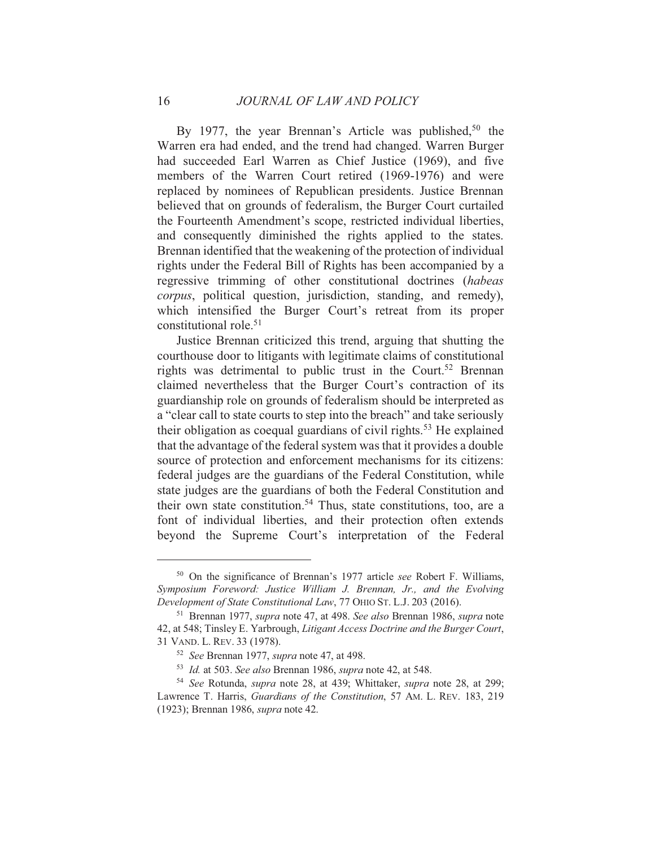By 1977, the year Brennan's Article was published,<sup>50</sup> the Warren era had ended, and the trend had changed. Warren Burger had succeeded Earl Warren as Chief Justice (1969), and five members of the Warren Court retired (1969-1976) and were replaced by nominees of Republican presidents. Justice Brennan believed that on grounds of federalism, the Burger Court curtailed the Fourteenth Amendment's scope, restricted individual liberties, and consequently diminished the rights applied to the states. Brennan identified that the weakening of the protection of individual rights under the Federal Bill of Rights has been accompanied by a regressive trimming of other constitutional doctrines (habeas *corpus*, political question, jurisdiction, standing, and remedy), which intensified the Burger Court's retreat from its proper constitutional role.<sup>51</sup>

Justice Brennan criticized this trend, arguing that shutting the courthouse door to litigants with legitimate claims of constitutional rights was detrimental to public trust in the Court.<sup>52</sup> Brennan claimed nevertheless that the Burger Court's contraction of its guardianship role on grounds of federalism should be interpreted as a "clear call to state courts to step into the breach" and take seriously their obligation as coequal guardians of civil rights.<sup>53</sup> He explained that the advantage of the federal system was that it provides a double source of protection and enforcement mechanisms for its citizens: federal judges are the guardians of the Federal Constitution, while state judges are the guardians of both the Federal Constitution and their own state constitution.<sup>54</sup> Thus, state constitutions, too, are a font of individual liberties, and their protection often extends beyond the Supreme Court's interpretation of the Federal

<sup>&</sup>lt;sup>50</sup> On the significance of Brennan's 1977 article see Robert F. Williams, Symposium Foreword: Justice William J. Brennan, Jr., and the Evolving Development of State Constitutional Law, 77 OHIO ST. L.J. 203 (2016).

<sup>&</sup>lt;sup>51</sup> Brennan 1977, *supra* note 47, at 498. See also Brennan 1986, *supra* note 42, at 548; Tinsley E. Yarbrough, Litigant Access Doctrine and the Burger Court, 31 VAND. L. REV. 33 (1978).

<sup>&</sup>lt;sup>52</sup> See Brennan 1977, *supra* note 47, at 498.

<sup>&</sup>lt;sup>53</sup> Id. at 503. See also Brennan 1986, supra note 42, at 548.

<sup>&</sup>lt;sup>54</sup> See Rotunda, *supra* note 28, at 439; Whittaker, *supra* note 28, at 299; Lawrence T. Harris, Guardians of the Constitution, 57 AM. L. REV. 183, 219 (1923); Brennan 1986, *supra* note 42.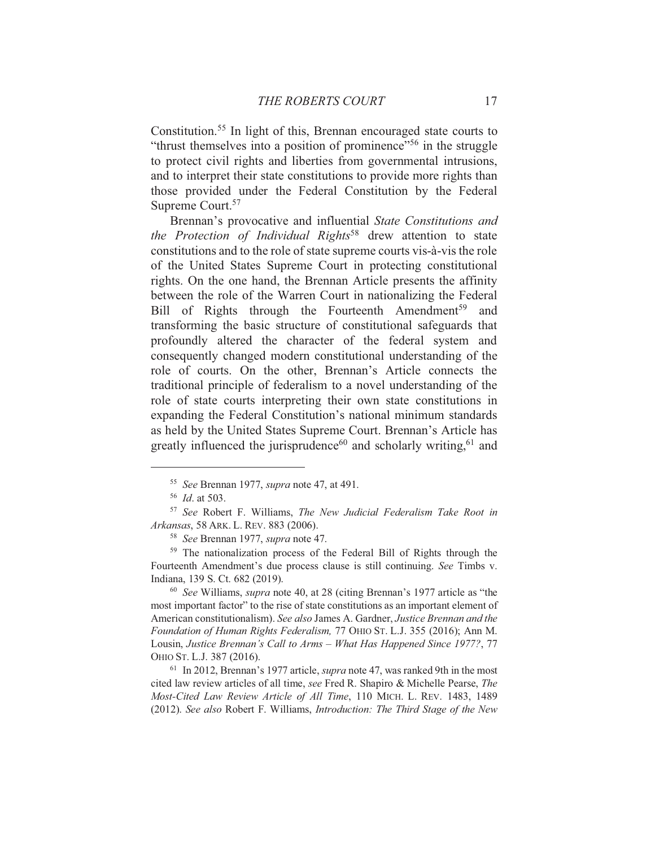Constitution.<sup>55</sup> In light of this, Brennan encouraged state courts to "thrust themselves into a position of prominence"<sup>56</sup> in the struggle to protect civil rights and liberties from governmental intrusions, and to interpret their state constitutions to provide more rights than those provided under the Federal Constitution by the Federal Supreme Court.<sup>57</sup>

Brennan's provocative and influential State Constitutions and the Protection of Individual Rights<sup>58</sup> drew attention to state constitutions and to the role of state supreme courts vis-à-vis the role of the United States Supreme Court in protecting constitutional rights. On the one hand, the Brennan Article presents the affinity between the role of the Warren Court in nationalizing the Federal Bill of Rights through the Fourteenth Amendment<sup>59</sup> and transforming the basic structure of constitutional safeguards that profoundly altered the character of the federal system and consequently changed modern constitutional understanding of the role of courts. On the other, Brennan's Article connects the traditional principle of federalism to a novel understanding of the role of state courts interpreting their own state constitutions in expanding the Federal Constitution's national minimum standards as held by the United States Supreme Court. Brennan's Article has greatly influenced the jurisprudence<sup>60</sup> and scholarly writing,<sup>61</sup> and

<sup>59</sup> The nationalization process of the Federal Bill of Rights through the Fourteenth Amendment's due process clause is still continuing. See Timbs v. Indiana, 139 S. Ct. 682 (2019).

<sup>60</sup> See Williams, *supra* note 40, at 28 (citing Brennan's 1977 article as "the most important factor" to the rise of state constitutions as an important element of American constitutionalism). See also James A. Gardner, Justice Brennan and the Foundation of Human Rights Federalism, 77 OHIO ST. L.J. 355 (2016); Ann M. Lousin, Justice Brennan's Call to Arms – What Has Happened Since 1977?, 77 OHIO ST. L.J. 387 (2016).

 $61$  In 2012, Brennan's 1977 article, *supra* note 47, was ranked 9th in the most cited law review articles of all time, see Fred R. Shapiro & Michelle Pearse, The Most-Cited Law Review Article of All Time, 110 MICH. L. REV. 1483, 1489 (2012). See also Robert F. Williams, Introduction: The Third Stage of the New

<sup>&</sup>lt;sup>55</sup> See Brennan 1977, *supra* note 47, at 491.

 $56$  *Id.* at 503.

<sup>&</sup>lt;sup>57</sup> See Robert F. Williams, The New Judicial Federalism Take Root in Arkansas, 58 ARK. L. REV. 883 (2006).

<sup>&</sup>lt;sup>58</sup> See Brennan 1977, *supra* note 47.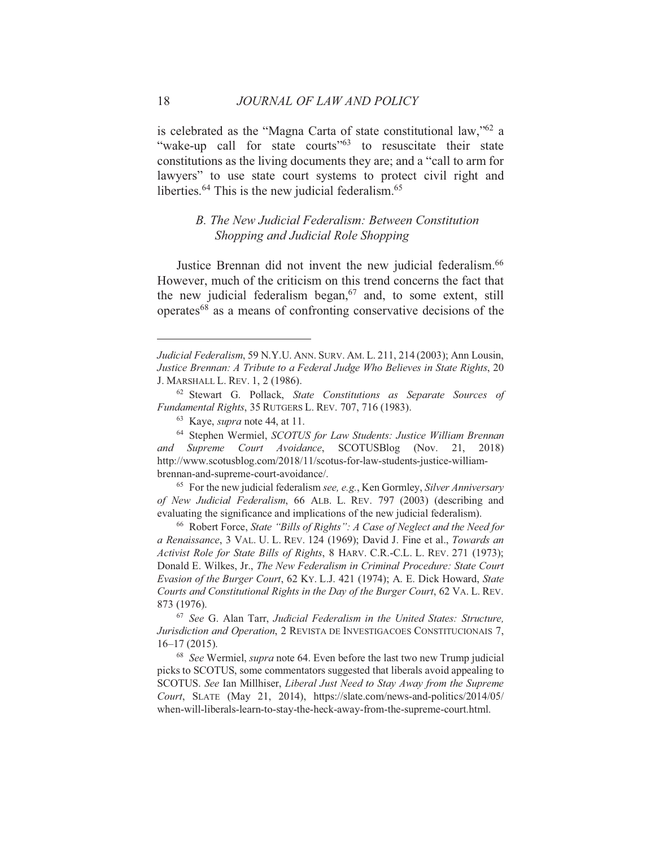is celebrated as the "Magna Carta of state constitutional law,"<sup>62</sup> a "wake-up call for state courts"<sup>63</sup> to resuscitate their state constitutions as the living documents they are; and a "call to arm for lawyers" to use state court systems to protect civil right and liberties.<sup>64</sup> This is the new judicial federalism.<sup>65</sup>

## B. The New Judicial Federalism: Between Constitution Shopping and Judicial Role Shopping

Justice Brennan did not invent the new judicial federalism.<sup>66</sup> However, much of the criticism on this trend concerns the fact that the new judicial federalism began,<sup>67</sup> and, to some extent, still operates<sup>68</sup> as a means of confronting conservative decisions of the

 $65$  For the new judicial federalism see, e.g., Ken Gormley, Silver Anniversary of New Judicial Federalism, 66 ALB. L. REV. 797 (2003) (describing and evaluating the significance and implications of the new judicial federalism).

<sup>66</sup> Robert Force, State "Bills of Rights": A Case of Neglect and the Need for a Renaissance, 3 VAL. U. L. REV. 124 (1969); David J. Fine et al., Towards an Activist Role for State Bills of Rights, 8 HARV. C.R.-C.L. L. REV. 271 (1973); Donald E. Wilkes, Jr., The New Federalism in Criminal Procedure: State Court Evasion of the Burger Court, 62 KY. L.J. 421 (1974); A. E. Dick Howard, State Courts and Constitutional Rights in the Day of the Burger Court, 62 VA. L. REV. 873 (1976).

<sup>67</sup> See G. Alan Tarr, Judicial Federalism in the United States: Structure, Jurisdiction and Operation, 2 REVISTA DE INVESTIGACOES CONSTITUCIONAIS 7,  $16-17(2015)$ .

<sup>68</sup> See Wermiel, *supra* note 64. Even before the last two new Trump judicial picks to SCOTUS, some commentators suggested that liberals avoid appealing to SCOTUS. See Ian Millhiser, Liberal Just Need to Stay Away from the Supreme Court, SLATE (May 21, 2014), https://slate.com/news-and-politics/2014/05/ when-will-liberals-learn-to-stay-the-heck-away-from-the-supreme-court.html.

Judicial Federalism, 59 N.Y.U. ANN. SURV. AM. L. 211, 214 (2003); Ann Lousin, Justice Brennan: A Tribute to a Federal Judge Who Believes in State Rights, 20 J. MARSHALL L. REV. 1, 2 (1986).

<sup>&</sup>lt;sup>62</sup> Stewart G. Pollack, State Constitutions as Separate Sources of Fundamental Rights, 35 RUTGERS L. REV. 707, 716 (1983).

<sup>&</sup>lt;sup>63</sup> Kaye, *supra* note 44, at 11.

<sup>&</sup>lt;sup>64</sup> Stephen Wermiel, SCOTUS for Law Students: Justice William Brennan and Supreme Court Avoidance, SCOTUSBlog (Nov. 21, 2018) http://www.scotusblog.com/2018/11/scotus-for-law-students-justice-williambrennan-and-supreme-court-avoidance/.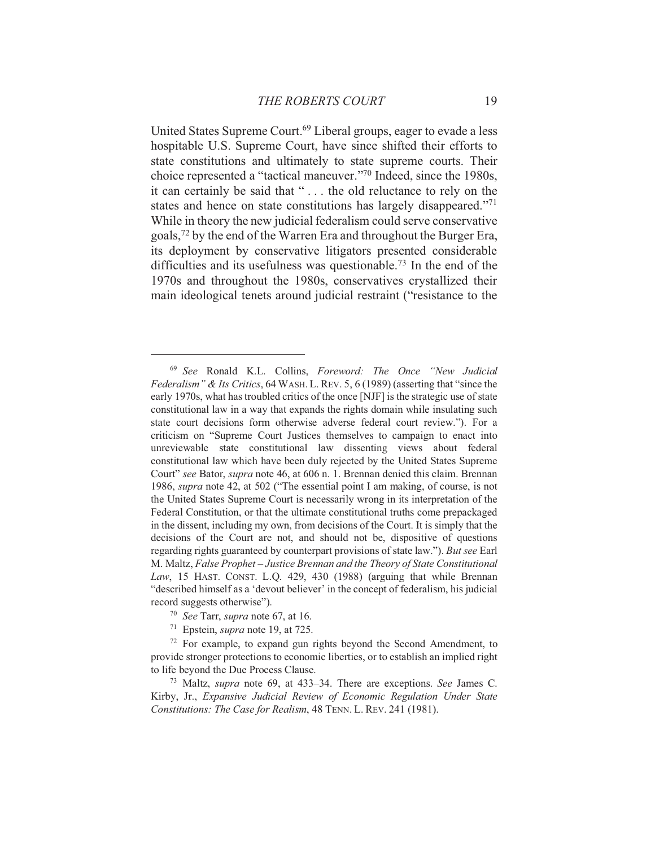United States Supreme Court.<sup>69</sup> Liberal groups, eager to evade a less hospitable U.S. Supreme Court, have since shifted their efforts to state constitutions and ultimately to state supreme courts. Their choice represented a "tactical maneuver."<sup>70</sup> Indeed, since the 1980s, it can certainly be said that "... the old reluctance to rely on the states and hence on state constitutions has largely disappeared."<sup>71</sup> While in theory the new judicial federalism could serve conservative goals,<sup>72</sup> by the end of the Warren Era and throughout the Burger Era, its deployment by conservative litigators presented considerable difficulties and its usefulness was questionable.<sup>73</sup> In the end of the 1970s and throughout the 1980s, conservatives crystallized their main ideological tenets around judicial restraint ("resistance to the

<sup>&</sup>lt;sup>69</sup> See Ronald K.L. Collins, Foreword: The Once "New Judicial Federalism" & Its Critics, 64 WASH. L. REV. 5, 6 (1989) (asserting that "since the early 1970s, what has troubled critics of the once [NJF] is the strategic use of state constitutional law in a way that expands the rights domain while insulating such state court decisions form otherwise adverse federal court review."). For a criticism on "Supreme Court Justices themselves to campaign to enact into unreviewable state constitutional law dissenting views about federal constitutional law which have been duly rejected by the United States Supreme Court" see Bator, *supra* note 46, at 606 n. 1. Brennan denied this claim. Brennan 1986, *supra* note 42, at 502 ("The essential point I am making, of course, is not the United States Supreme Court is necessarily wrong in its interpretation of the Federal Constitution, or that the ultimate constitutional truths come prepackaged in the dissent, including my own, from decisions of the Court. It is simply that the decisions of the Court are not, and should not be, dispositive of questions regarding rights guaranteed by counterpart provisions of state law."). But see Earl M. Maltz, False Prophet - Justice Brennan and the Theory of State Constitutional Law, 15 HAST. CONST. L.Q. 429, 430 (1988) (arguing that while Brennan "described himself as a 'devout believer' in the concept of federalism, his judicial record suggests otherwise").

<sup>&</sup>lt;sup>70</sup> See Tarr, *supra* note 67, at 16.

<sup>&</sup>lt;sup>71</sup> Epstein, *supra* note 19, at 725.

<sup>&</sup>lt;sup>72</sup> For example, to expand gun rights beyond the Second Amendment, to provide stronger protections to economic liberties, or to establish an implied right to life beyond the Due Process Clause.

<sup>&</sup>lt;sup>73</sup> Maltz, *supra* note 69, at 433–34. There are exceptions. See James C. Kirby, Jr., Expansive Judicial Review of Economic Regulation Under State Constitutions: The Case for Realism, 48 TENN, L. REV. 241 (1981).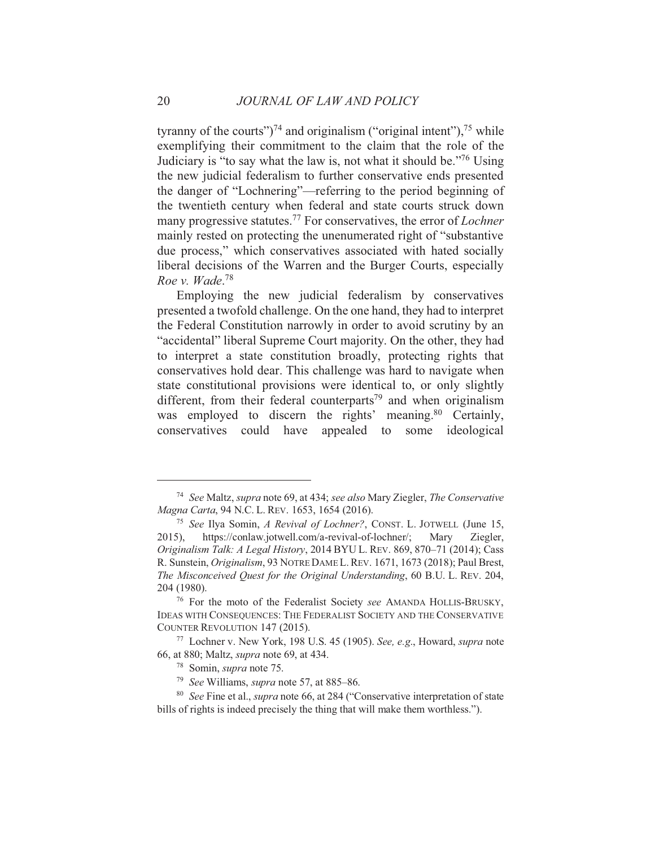tyranny of the courts" $)^{74}$  and originalism ("original intent"),  $^{75}$  while exemplifying their commitment to the claim that the role of the Judiciary is "to say what the law is, not what it should be."<sup>76</sup> Using the new judicial federalism to further conservative ends presented the danger of "Lochnering"—referring to the period beginning of the twentieth century when federal and state courts struck down many progressive statutes.<sup>77</sup> For conservatives, the error of *Lochner* mainly rested on protecting the unenumerated right of "substantive" due process," which conservatives associated with hated socially liberal decisions of the Warren and the Burger Courts, especially Roe v. Wade.<sup>78</sup>

Employing the new judicial federalism by conservatives presented a twofold challenge. On the one hand, they had to interpret the Federal Constitution narrowly in order to avoid scrutiny by an "accidental" liberal Supreme Court majority. On the other, they had to interpret a state constitution broadly, protecting rights that conservatives hold dear. This challenge was hard to navigate when state constitutional provisions were identical to, or only slightly different, from their federal counterparts<sup>79</sup> and when originalism was employed to discern the rights' meaning.<sup>80</sup> Certainly, conservatives could have appealed to some ideological

<sup>&</sup>lt;sup>74</sup> See Maltz, *supra* note 69, at 434; see also Mary Ziegler, *The Conservative* Magna Carta, 94 N.C. L. REV. 1653, 1654 (2016).

<sup>&</sup>lt;sup>75</sup> See Ilya Somin, A Revival of Lochner?, CONST. L. JOTWELL (June 15, https://conlaw.jotwell.com/a-revival-of-lochner/; Mary Ziegler, 2015), Originalism Talk: A Legal History, 2014 BYU L. REV. 869, 870–71 (2014); Cass R. Sunstein, Originalism, 93 NOTRE DAME L. REV. 1671, 1673 (2018); Paul Brest, The Misconceived Quest for the Original Understanding, 60 B.U. L. REV. 204, 204 (1980).

<sup>&</sup>lt;sup>76</sup> For the moto of the Federalist Society see AMANDA HOLLIS-BRUSKY, IDEAS WITH CONSEQUENCES: THE FEDERALIST SOCIETY AND THE CONSERVATIVE COUNTER REVOLUTION 147 (2015).

<sup>77</sup> Lochner v. New York, 198 U.S. 45 (1905). See, e.g., Howard, supra note 66, at 880; Maltz, *supra* note 69, at 434.

<sup>&</sup>lt;sup>78</sup> Somin, *supra* note 75.

<sup>&</sup>lt;sup>79</sup> See Williams, *supra* note 57, at 885–86.

<sup>&</sup>lt;sup>80</sup> See Fine et al., *supra* note 66, at 284 ("Conservative interpretation of state bills of rights is indeed precisely the thing that will make them worthless.").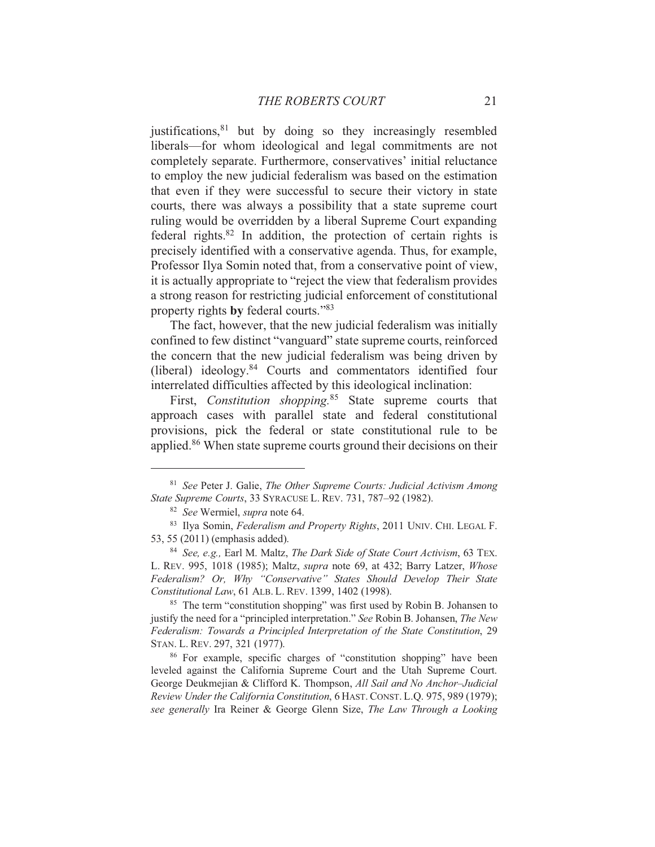justifications,<sup>81</sup> but by doing so they increasingly resembled liberals—for whom ideological and legal commitments are not completely separate. Furthermore, conservatives' initial reluctance to employ the new judicial federalism was based on the estimation that even if they were successful to secure their victory in state courts, there was always a possibility that a state supreme court ruling would be overridden by a liberal Supreme Court expanding federal rights. $82$  In addition, the protection of certain rights is precisely identified with a conservative agenda. Thus, for example, Professor Ilya Somin noted that, from a conservative point of view, it is actually appropriate to "reject the view that federalism provides" a strong reason for restricting judicial enforcement of constitutional property rights by federal courts."<sup>83</sup>

The fact, however, that the new judicial federalism was initially confined to few distinct "vanguard" state supreme courts, reinforced the concern that the new judicial federalism was being driven by (liberal) ideology.<sup>84</sup> Courts and commentators identified four interrelated difficulties affected by this ideological inclination:

First, Constitution shopping.<sup>85</sup> State supreme courts that approach cases with parallel state and federal constitutional provisions, pick the federal or state constitutional rule to be applied.<sup>86</sup> When state supreme courts ground their decisions on their

<sup>&</sup>lt;sup>81</sup> See Peter J. Galie, The Other Supreme Courts: Judicial Activism Among State Supreme Courts, 33 SYRACUSE L. REV. 731, 787-92 (1982).

<sup>&</sup>lt;sup>82</sup> See Wermiel, supra note 64.

<sup>&</sup>lt;sup>83</sup> Ilva Somin, *Federalism and Property Rights*, 2011 UNIV, CHI, LEGAL F. 53, 55 (2011) (emphasis added).

<sup>&</sup>lt;sup>84</sup> See, e.g., Earl M. Maltz, The Dark Side of State Court Activism, 63 TEX. L. REV. 995, 1018 (1985); Maltz, *supra* note 69, at 432; Barry Latzer, *Whose* Federalism? Or, Why "Conservative" States Should Develop Their State Constitutional Law, 61 ALB. L. REV. 1399, 1402 (1998).

<sup>&</sup>lt;sup>85</sup> The term "constitution shopping" was first used by Robin B. Johansen to justify the need for a "principled interpretation." See Robin B. Johansen, The New Federalism: Towards a Principled Interpretation of the State Constitution, 29 STAN. L. REV. 297, 321 (1977).

<sup>&</sup>lt;sup>86</sup> For example, specific charges of "constitution shopping" have been leveled against the California Supreme Court and the Utah Supreme Court. George Deukmejian & Clifford K. Thompson, All Sail and No Anchor-Judicial Review Under the California Constitution, 6 HAST. CONST. L.O. 975, 989 (1979); see generally Ira Reiner & George Glenn Size, The Law Through a Looking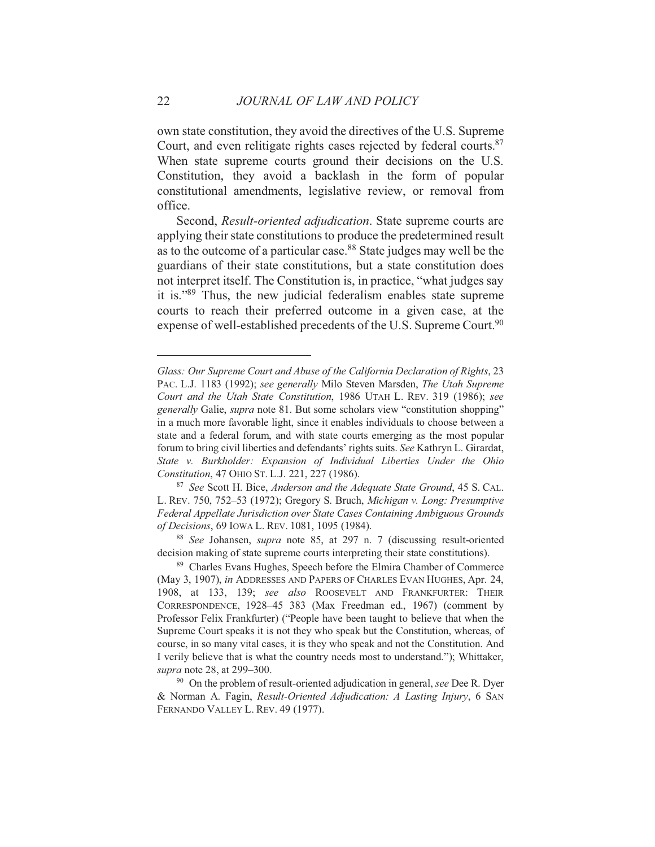own state constitution, they avoid the directives of the U.S. Supreme Court, and even relitigate rights cases rejected by federal courts.<sup>87</sup> When state supreme courts ground their decisions on the U.S. Constitution, they avoid a backlash in the form of popular constitutional amendments, legislative review, or removal from office.

Second, Result-oriented adjudication. State supreme courts are applying their state constitutions to produce the predetermined result as to the outcome of a particular case.<sup>88</sup> State judges may well be the guardians of their state constitutions, but a state constitution does not interpret itself. The Constitution is, in practice, "what judges say it is."89 Thus, the new judicial federalism enables state supreme courts to reach their preferred outcome in a given case, at the expense of well-established precedents of the U.S. Supreme Court.<sup>90</sup>

Glass: Our Supreme Court and Abuse of the California Declaration of Rights, 23 PAC. L.J. 1183 (1992); see generally Milo Steven Marsden, The Utah Supreme Court and the Utah State Constitution, 1986 UTAH L. REV. 319 (1986); see *generally* Galie, *supra* note 81. But some scholars view "constitution shopping" in a much more favorable light, since it enables individuals to choose between a state and a federal forum, and with state courts emerging as the most popular forum to bring civil liberties and defendants' rights suits. See Kathryn L. Girardat, State v. Burkholder: Expansion of Individual Liberties Under the Ohio Constitution, 47 OHIO ST. L.J. 221, 227 (1986).

<sup>&</sup>lt;sup>87</sup> See Scott H. Bice, Anderson and the Adequate State Ground, 45 S. CAL. L. REV. 750, 752-53 (1972); Gregory S. Bruch, Michigan v. Long: Presumptive Federal Appellate Jurisdiction over State Cases Containing Ambiguous Grounds of Decisions, 69 IOWA L. REV. 1081, 1095 (1984).

<sup>&</sup>lt;sup>88</sup> See Johansen, supra note 85, at 297 n. 7 (discussing result-oriented decision making of state supreme courts interpreting their state constitutions).

<sup>&</sup>lt;sup>89</sup> Charles Evans Hughes, Speech before the Elmira Chamber of Commerce (May 3, 1907), in ADDRESSES AND PAPERS OF CHARLES EVAN HUGHES, Apr. 24, 1908, at 133, 139; see also ROOSEVELT AND FRANKFURTER: THEIR CORRESPONDENCE, 1928-45 383 (Max Freedman ed., 1967) (comment by Professor Felix Frankfurter) ("People have been taught to believe that when the Supreme Court speaks it is not they who speak but the Constitution, whereas, of course, in so many vital cases, it is they who speak and not the Constitution. And I verily believe that is what the country needs most to understand."); Whittaker, supra note 28, at 299-300.

<sup>&</sup>lt;sup>90</sup> On the problem of result-oriented adjudication in general, see Dee R. Dyer & Norman A. Fagin, Result-Oriented Adjudication: A Lasting Injury, 6 SAN FERNANDO VALLEY L. REV. 49 (1977).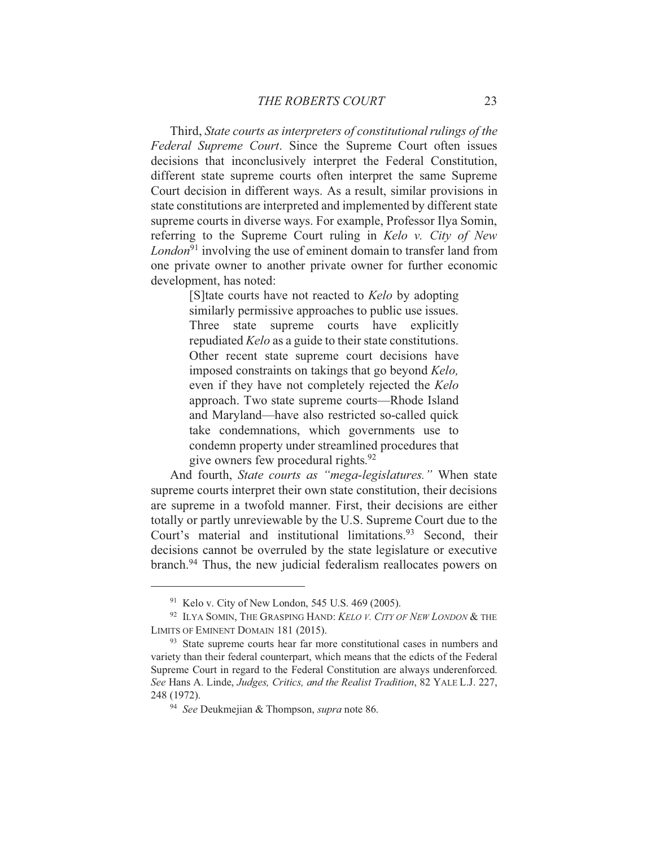Third, State courts as interpreters of constitutional rulings of the Federal Supreme Court. Since the Supreme Court often issues decisions that inconclusively interpret the Federal Constitution, different state supreme courts often interpret the same Supreme Court decision in different ways. As a result, similar provisions in state constitutions are interpreted and implemented by different state supreme courts in diverse ways. For example, Professor Ilya Somin, referring to the Supreme Court ruling in Kelo v. City of New *London*<sup>91</sup> involving the use of eminent domain to transfer land from one private owner to another private owner for further economic development, has noted:

> [S] tate courts have not reacted to Kelo by adopting similarly permissive approaches to public use issues. Three state supreme courts have explicitly repudiated *Kelo* as a guide to their state constitutions. Other recent state supreme court decisions have imposed constraints on takings that go beyond Kelo, even if they have not completely rejected the Kelo approach. Two state supreme courts—Rhode Island and Maryland—have also restricted so-called quick take condemnations, which governments use to condemn property under streamlined procedures that give owners few procedural rights.<sup>92</sup>

And fourth, State courts as "mega-legislatures." When state supreme courts interpret their own state constitution, their decisions are supreme in a twofold manner. First, their decisions are either totally or partly unreviewable by the U.S. Supreme Court due to the Court's material and institutional limitations.<sup>93</sup> Second, their decisions cannot be overruled by the state legislature or executive branch.<sup>94</sup> Thus, the new judicial federalism reallocates powers on

 $91$  Kelo v. City of New London, 545 U.S. 469 (2005).

<sup>&</sup>lt;sup>92</sup> ILYA SOMIN, THE GRASPING HAND: KELO V. CITY OF NEW LONDON & THE LIMITS OF EMINENT DOMAIN 181 (2015).

<sup>&</sup>lt;sup>93</sup> State supreme courts hear far more constitutional cases in numbers and variety than their federal counterpart, which means that the edicts of the Federal Supreme Court in regard to the Federal Constitution are always underenforced. See Hans A. Linde, Judges, Critics, and the Realist Tradition, 82 YALE L.J. 227, 248 (1972).

<sup>&</sup>lt;sup>94</sup> See Deukmejian & Thompson, *supra* note 86.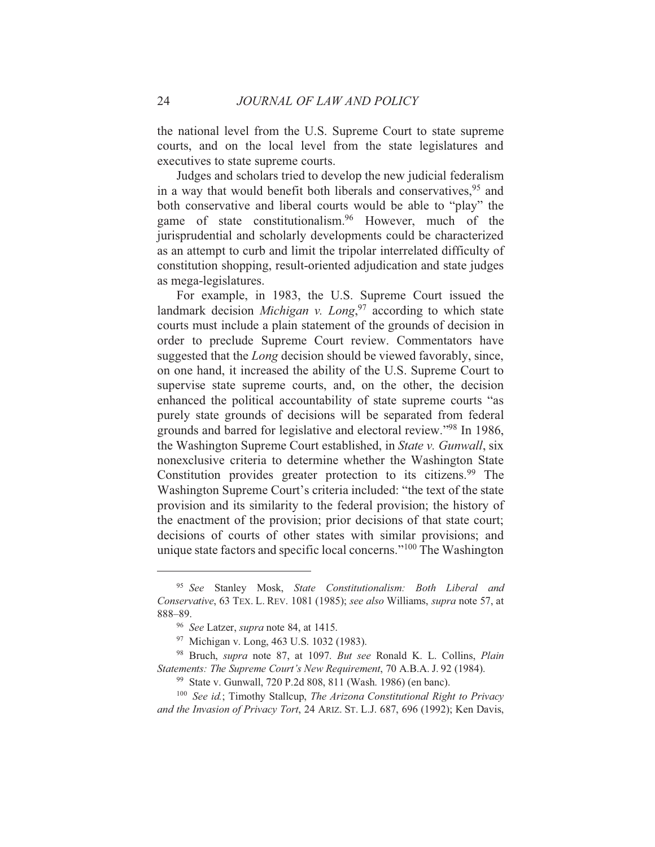the national level from the U.S. Supreme Court to state supreme courts, and on the local level from the state legislatures and executives to state supreme courts.

Judges and scholars tried to develop the new judicial federalism in a way that would benefit both liberals and conservatives,<sup>95</sup> and both conservative and liberal courts would be able to "play" the game of state constitutionalism.<sup>96</sup> However, much of the jurisprudential and scholarly developments could be characterized as an attempt to curb and limit the tripolar interrelated difficulty of constitution shopping, result-oriented adjudication and state judges as mega-legislatures.

For example, in 1983, the U.S. Supreme Court issued the landmark decision *Michigan* v. Long,<sup>97</sup> according to which state courts must include a plain statement of the grounds of decision in order to preclude Supreme Court review. Commentators have suggested that the *Long* decision should be viewed favorably, since, on one hand, it increased the ability of the U.S. Supreme Court to supervise state supreme courts, and, on the other, the decision enhanced the political accountability of state supreme courts "as purely state grounds of decisions will be separated from federal grounds and barred for legislative and electoral review."98 In 1986, the Washington Supreme Court established, in *State v. Gunwall*, six nonexclusive criteria to determine whether the Washington State Constitution provides greater protection to its citizens.<sup>99</sup> The Washington Supreme Court's criteria included: "the text of the state" provision and its similarity to the federal provision; the history of the enactment of the provision; prior decisions of that state court; decisions of courts of other states with similar provisions; and unique state factors and specific local concerns."<sup>100</sup> The Washington

<sup>&</sup>lt;sup>95</sup> See Stanley Mosk, State Constitutionalism: Both Liberal and Conservative, 63 TEX. L. REV. 1081 (1985); see also Williams, supra note 57, at 888-89.

<sup>&</sup>lt;sup>96</sup> See Latzer, *supra* note 84, at 1415.

<sup>&</sup>lt;sup>97</sup> Michigan v. Long, 463 U.S. 1032 (1983).

<sup>98</sup> Bruch, supra note 87, at 1097. But see Ronald K. L. Collins, Plain Statements: The Supreme Court's New Requirement, 70 A.B.A. J. 92 (1984).

<sup>&</sup>lt;sup>99</sup> State v. Gunwall, 720 P.2d 808, 811 (Wash. 1986) (en banc).

 $100$  See id.; Timothy Stallcup, The Arizona Constitutional Right to Privacy and the Invasion of Privacy Tort, 24 ARIZ, ST, L.J. 687, 696 (1992); Ken Davis,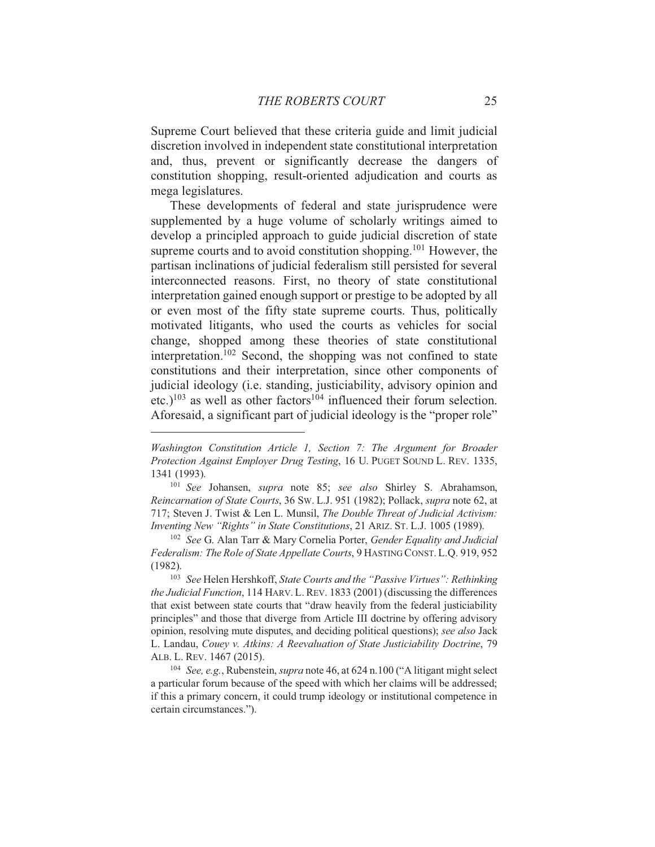Supreme Court believed that these criteria guide and limit judicial discretion involved in independent state constitutional interpretation and, thus, prevent or significantly decrease the dangers of constitution shopping, result-oriented adjudication and courts as mega legislatures.

These developments of federal and state jurisprudence were supplemented by a huge volume of scholarly writings aimed to develop a principled approach to guide judicial discretion of state supreme courts and to avoid constitution shopping.<sup>101</sup> However, the partisan inclinations of judicial federalism still persisted for several interconnected reasons. First, no theory of state constitutional interpretation gained enough support or prestige to be adopted by all or even most of the fifty state supreme courts. Thus, politically motivated litigants, who used the courts as vehicles for social change, shopped among these theories of state constitutional interpretation.<sup>102</sup> Second, the shopping was not confined to state constitutions and their interpretation, since other components of judicial ideology (i.e. standing, justiciability, advisory opinion and etc.)<sup>103</sup> as well as other factors<sup>104</sup> influenced their forum selection. Aforesaid, a significant part of judicial ideology is the "proper role"

Washington Constitution Article 1, Section 7: The Argument for Broader Protection Against Employer Drug Testing, 16 U. PUGET SOUND L. REV. 1335, 1341 (1993).

<sup>&</sup>lt;sup>101</sup> See Johansen, supra note 85; see also Shirley S. Abrahamson, Reincarnation of State Courts, 36 Sw. L.J. 951 (1982); Pollack, supra note 62, at 717; Steven J. Twist & Len L. Munsil, The Double Threat of Judicial Activism: Inventing New "Rights" in State Constitutions, 21 ARIZ. ST. L.J. 1005 (1989).

<sup>&</sup>lt;sup>102</sup> See G. Alan Tarr & Mary Cornelia Porter, Gender Equality and Judicial Federalism: The Role of State Appellate Courts, 9 HASTING CONST. L.Q. 919, 952  $(1982).$ 

<sup>&</sup>lt;sup>103</sup> See Helen Hershkoff, State Courts and the "Passive Virtues": Rethinking *the Judicial Function*, 114 HARV. L. REV. 1833 (2001) (discussing the differences that exist between state courts that "draw heavily from the federal justiciability principles" and those that diverge from Article III doctrine by offering advisory opinion, resolving mute disputes, and deciding political questions); see also Jack L. Landau, Couey v. Atkins: A Reevaluation of State Justiciability Doctrine, 79 ALB. L. REV. 1467 (2015).

<sup>&</sup>lt;sup>104</sup> See, e.g., Rubenstein, *supra* note 46, at 624 n.100 ("A litigant might select a particular forum because of the speed with which her claims will be addressed; if this a primary concern, it could trump ideology or institutional competence in certain circumstances.").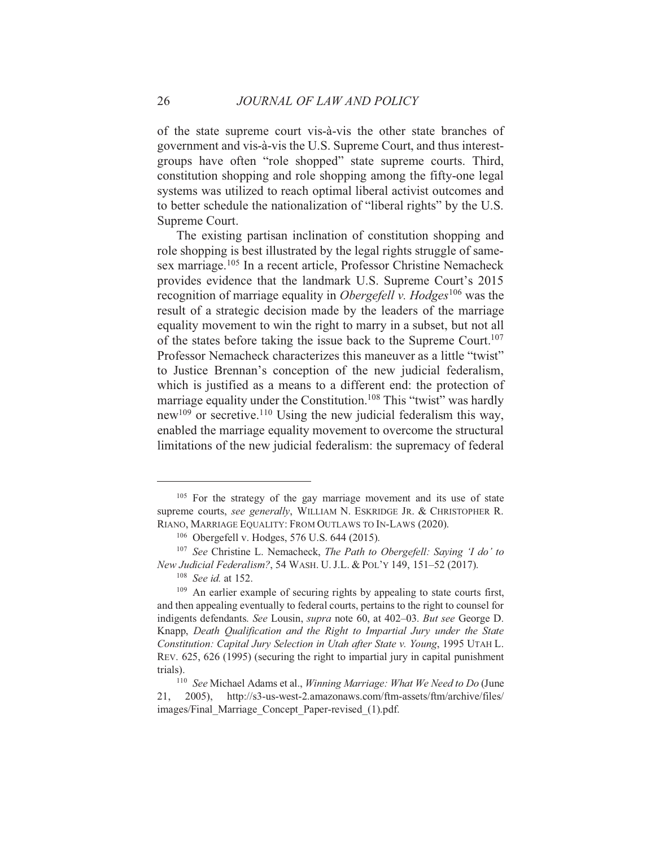of the state supreme court vis-à-vis the other state branches of government and vis-à-vis the U.S. Supreme Court, and thus interestgroups have often "role shopped" state supreme courts. Third, constitution shopping and role shopping among the fifty-one legal systems was utilized to reach optimal liberal activist outcomes and to better schedule the nationalization of "liberal rights" by the U.S. Supreme Court.

The existing partisan inclination of constitution shopping and role shopping is best illustrated by the legal rights struggle of samesex marriage.<sup>105</sup> In a recent article, Professor Christine Nemacheck provides evidence that the landmark U.S. Supreme Court's 2015 recognition of marriage equality in *Obergefell v. Hodges*<sup>106</sup> was the result of a strategic decision made by the leaders of the marriage equality movement to win the right to marry in a subset, but not all of the states before taking the issue back to the Supreme Court.<sup>107</sup> Professor Nemacheck characterizes this maneuver as a little "twist" to Justice Brennan's conception of the new judicial federalism, which is justified as a means to a different end: the protection of marriage equality under the Constitution.<sup>108</sup> This "twist" was hardly new<sup>109</sup> or secretive.<sup>110</sup> Using the new judicial federalism this way, enabled the marriage equality movement to overcome the structural limitations of the new judicial federalism: the supremacy of federal

<sup>&</sup>lt;sup>105</sup> For the strategy of the gay marriage movement and its use of state supreme courts, see generally, WILLIAM N. ESKRIDGE JR. & CHRISTOPHER R. RIANO, MARRIAGE EQUALITY: FROM OUTLAWS TO IN-LAWS (2020).

<sup>&</sup>lt;sup>106</sup> Obergefell v. Hodges, 576 U.S. 644 (2015).

<sup>&</sup>lt;sup>107</sup> See Christine L. Nemacheck, *The Path to Obergefell: Saving 'I do' to* New Judicial Federalism?, 54 WASH, U.J.L. & POL'Y 149, 151-52 (2017).

 $108$  See id. at 152.

<sup>&</sup>lt;sup>109</sup> An earlier example of securing rights by appealing to state courts first, and then appealing eventually to federal courts, pertains to the right to counsel for indigents defendants. See Lousin, *supra* note 60, at 402–03. But see George D. Knapp, Death Qualification and the Right to Impartial Jury under the State Constitution: Capital Jury Selection in Utah after State v. Young, 1995 UTAH L. REV. 625, 626 (1995) (securing the right to impartial jury in capital punishment trials).

<sup>&</sup>lt;sup>110</sup> See Michael Adams et al., Winning Marriage: What We Need to Do (June http://s3-us-west-2.amazonaws.com/ftm-assets/ftm/archive/files/  $21, 2005$ , images/Final Marriage Concept Paper-revised (1).pdf.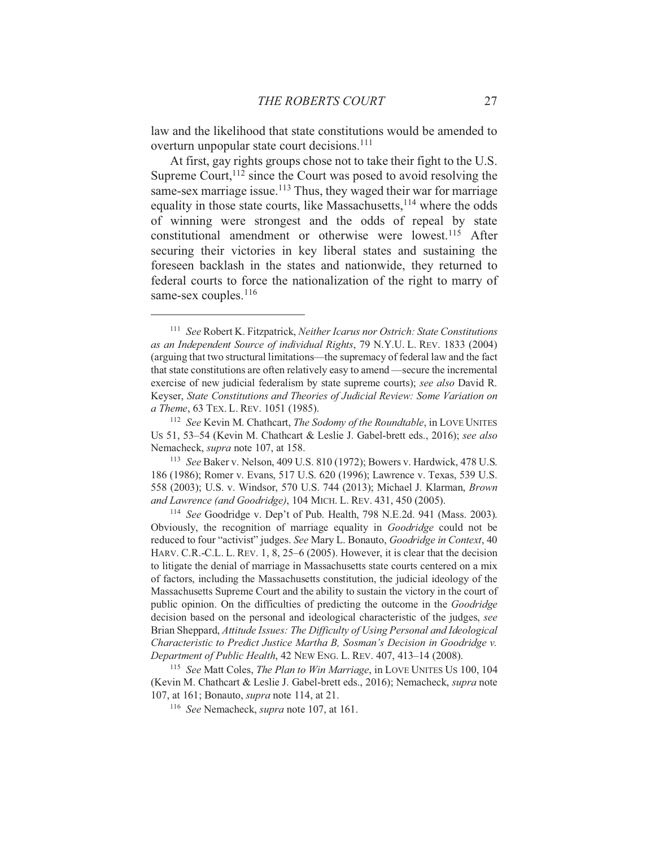law and the likelihood that state constitutions would be amended to overturn unpopular state court decisions.<sup>111</sup>

At first, gay rights groups chose not to take their fight to the U.S. Supreme Court,  $112$  since the Court was posed to avoid resolving the same-sex marriage issue.<sup>113</sup> Thus, they waged their war for marriage equality in those state courts, like Massachusetts, <sup>114</sup> where the odds of winning were strongest and the odds of repeal by state constitutional amendment or otherwise were lowest.<sup>115</sup> After securing their victories in key liberal states and sustaining the foreseen backlash in the states and nationwide, they returned to federal courts to force the nationalization of the right to marry of same-sex couples. $116$ 

<sup>113</sup> See Baker v. Nelson, 409 U.S. 810 (1972); Bowers v. Hardwick, 478 U.S. 186 (1986); Romer v. Evans, 517 U.S. 620 (1996); Lawrence v. Texas, 539 U.S. 558 (2003); U.S. v. Windsor, 570 U.S. 744 (2013); Michael J. Klarman, Brown and Lawrence (and Goodridge), 104 MICH. L. REV. 431, 450 (2005).

<sup>114</sup> See Goodridge v. Dep't of Pub. Health, 798 N.E.2d. 941 (Mass. 2003). Obviously, the recognition of marriage equality in *Goodridge* could not be reduced to four "activist" judges. See Mary L. Bonauto, Goodridge in Context, 40 HARV. C.R.-C.L. L. REV. 1, 8, 25–6 (2005). However, it is clear that the decision to litigate the denial of marriage in Massachusetts state courts centered on a mix of factors, including the Massachusetts constitution, the judicial ideology of the Massachusetts Supreme Court and the ability to sustain the victory in the court of public opinion. On the difficulties of predicting the outcome in the *Goodridge* decision based on the personal and ideological characteristic of the judges, see Brian Sheppard, Attitude Issues: The Difficulty of Using Personal and Ideological Characteristic to Predict Justice Martha B, Sosman's Decision in Goodridge v. Department of Public Health, 42 NEW ENG. L. REV. 407, 413-14 (2008).

<sup>115</sup> See Matt Coles, *The Plan to Win Marriage*, in LOVE UNITES US 100, 104 (Kevin M. Chathcart & Leslie J. Gabel-brett eds., 2016); Nemacheck, supra note 107, at 161; Bonauto, *supra* note 114, at 21.

 $116$  See Nemacheck, *supra* note 107, at 161.

<sup>&</sup>lt;sup>111</sup> See Robert K. Fitzpatrick, Neither Icarus nor Ostrich: State Constitutions as an Independent Source of individual Rights, 79 N.Y.U. L. REV. 1833 (2004) (arguing that two structural limitations—the supremacy of federal law and the fact that state constitutions are often relatively easy to amend—secure the incremental exercise of new judicial federalism by state supreme courts); see also David R. Keyser, State Constitutions and Theories of Judicial Review: Some Variation on a Theme, 63 TEX. L. REV. 1051 (1985).

<sup>&</sup>lt;sup>112</sup> See Kevin M. Chathcart, *The Sodomy of the Roundtable*, in LOVE UNITES Us 51, 53-54 (Kevin M. Chathcart & Leslie J. Gabel-brett eds., 2016); see also Nemacheck, *supra* note 107, at 158.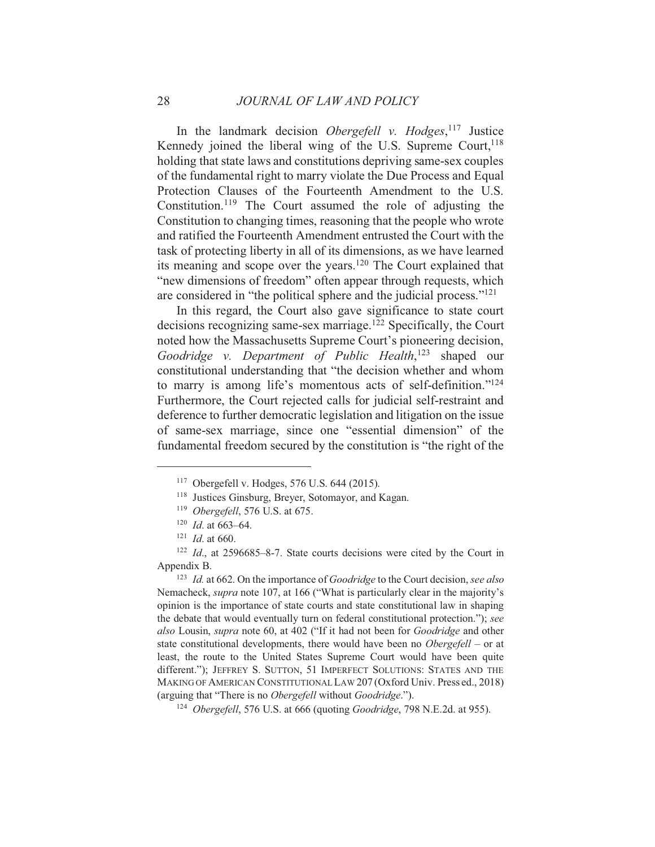In the landmark decision *Obergefell* v. *Hodges*, <sup>117</sup> Justice Kennedy joined the liberal wing of the U.S. Supreme Court, <sup>118</sup> holding that state laws and constitutions depriving same-sex couples of the fundamental right to marry violate the Due Process and Equal Protection Clauses of the Fourteenth Amendment to the U.S. Constitution.<sup>119</sup> The Court assumed the role of adjusting the Constitution to changing times, reasoning that the people who wrote and ratified the Fourteenth Amendment entrusted the Court with the task of protecting liberty in all of its dimensions, as we have learned its meaning and scope over the years.<sup>120</sup> The Court explained that "new dimensions of freedom" often appear through requests, which are considered in "the political sphere and the judicial process."<sup>121</sup>

In this regard, the Court also gave significance to state court decisions recognizing same-sex marriage.<sup>122</sup> Specifically, the Court noted how the Massachusetts Supreme Court's pioneering decision, Goodridge v. Department of Public Health,<sup>123</sup> shaped our constitutional understanding that "the decision whether and whom to marry is among life's momentous acts of self-definition."<sup>124</sup> Furthermore, the Court rejected calls for judicial self-restraint and deference to further democratic legislation and litigation on the issue of same-sex marriage, since one "essential dimension" of the fundamental freedom secured by the constitution is "the right of the

<sup>&</sup>lt;sup>117</sup> Obergefell v. Hodges, 576 U.S. 644 (2015).

<sup>&</sup>lt;sup>118</sup> Justices Ginsburg, Breyer, Sotomayor, and Kagan.

<sup>&</sup>lt;sup>119</sup> Obergefell, 576 U.S. at 675.

 $120$  *Id.* at 663–64.

 $121$  *Id.* at 660.

 $122$  *Id.*, at 2596685-8-7. State courts decisions were cited by the Court in Appendix B.

<sup>&</sup>lt;sup>123</sup> *Id.* at 662. On the importance of *Goodridge* to the Court decision, see also Nemacheck, *supra* note 107, at 166 ("What is particularly clear in the majority's opinion is the importance of state courts and state constitutional law in shaping the debate that would eventually turn on federal constitutional protection."); see also Lousin, *supra* note 60, at 402 ("If it had not been for *Goodridge* and other state constitutional developments, there would have been no *Obergefell* – or at least, the route to the United States Supreme Court would have been quite different."); JEFFREY S. SUTTON, 51 IMPERFECT SOLUTIONS: STATES AND THE MAKING OF AMERICAN CONSTITUTIONAL LAW 207 (Oxford Univ. Press ed., 2018) (arguing that "There is no Obergefell without Goodridge.").

<sup>&</sup>lt;sup>124</sup> Obergefell, 576 U.S. at 666 (quoting *Goodridge*, 798 N.E.2d. at 955).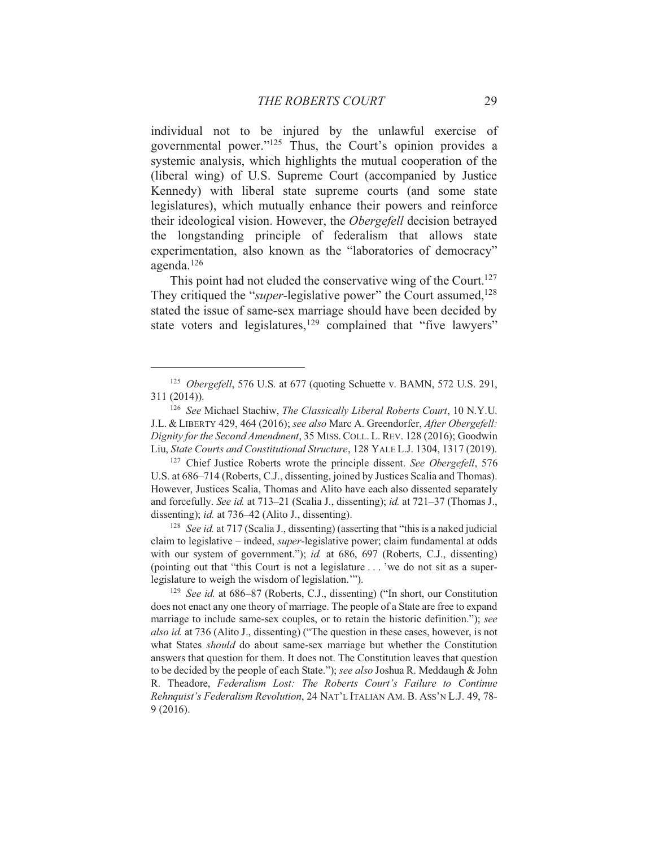individual not to be injured by the unlawful exercise of governmental power."<sup>125</sup> Thus, the Court's opinion provides a systemic analysis, which highlights the mutual cooperation of the (liberal wing) of U.S. Supreme Court (accompanied by Justice Kennedy) with liberal state supreme courts (and some state legislatures), which mutually enhance their powers and reinforce their ideological vision. However, the *Obergefell* decision betrayed the longstanding principle of federalism that allows state experimentation, also known as the "laboratories of democracy" agenda. $126$ 

This point had not eluded the conservative wing of the Court.<sup>127</sup> They critiqued the "super-legislative power" the Court assumed,<sup>128</sup> stated the issue of same-sex marriage should have been decided by state voters and legislatures,<sup>129</sup> complained that "five lawyers"

<sup>128</sup> See id. at 717 (Scalia J., dissenting) (asserting that "this is a naked judicial claim to legislative - indeed, *super*-legislative power; claim fundamental at odds with our system of government."); id. at 686, 697 (Roberts, C.J., dissenting) (pointing out that "this Court is not a legislature...' we do not sit as a superlegislature to weigh the wisdom of legislation."").

<sup>&</sup>lt;sup>125</sup> Obergefell, 576 U.S. at 677 (quoting Schuette v. BAMN, 572 U.S. 291,  $311(2014)$ ).

<sup>&</sup>lt;sup>126</sup> See Michael Stachiw, The Classically Liberal Roberts Court, 10 N.Y.U. J.L. & LIBERTY 429, 464 (2016); see also Marc A. Greendorfer, After Obergefell: Dignity for the Second Amendment, 35 MISS. COLL. L. REV. 128 (2016); Goodwin Liu, State Courts and Constitutional Structure, 128 YALE L.J. 1304, 1317 (2019).

<sup>&</sup>lt;sup>127</sup> Chief Justice Roberts wrote the principle dissent. See Obergefell, 576 U.S. at 686–714 (Roberts, C.J., dissenting, joined by Justices Scalia and Thomas). However, Justices Scalia, Thomas and Alito have each also dissented separately and forcefully. See id. at 713–21 (Scalia J., dissenting); id. at 721–37 (Thomas J., dissenting); *id.* at 736–42 (Alito J., dissenting).

<sup>&</sup>lt;sup>129</sup> See id. at 686–87 (Roberts, C.J., dissenting) ("In short, our Constitution" does not enact any one theory of marriage. The people of a State are free to expand marriage to include same-sex couples, or to retain the historic definition."); see also id. at 736 (Alito J., dissenting) ("The question in these cases, however, is not what States should do about same-sex marriage but whether the Constitution answers that question for them. It does not. The Constitution leaves that question to be decided by the people of each State."); see also Joshua R. Meddaugh & John R. Theadore, Federalism Lost: The Roberts Court's Failure to Continue Rehnquist's Federalism Revolution, 24 NAT'L ITALIAN AM, B. ASS'N L.J. 49, 78- $9(2016).$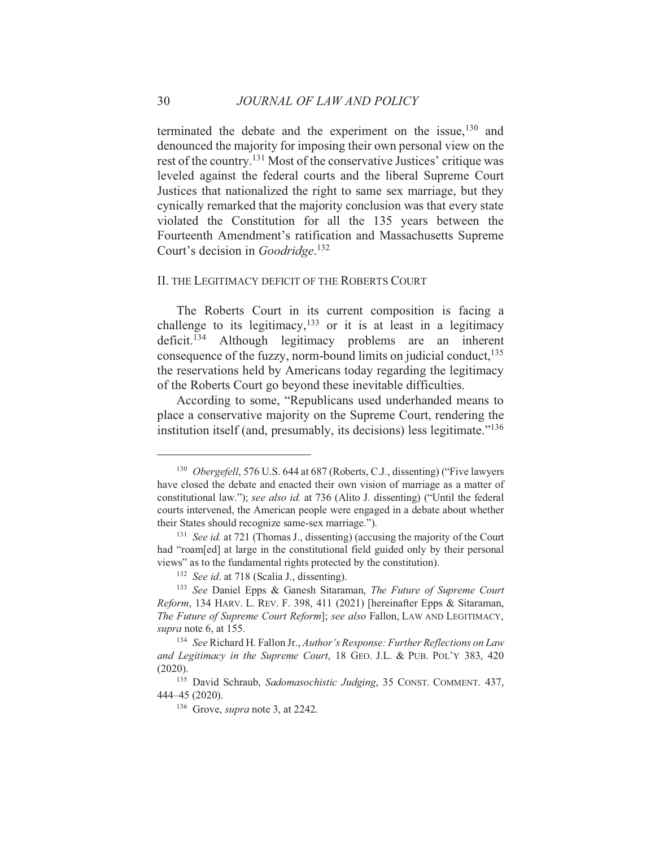terminated the debate and the experiment on the issue,<sup>130</sup> and denounced the majority for imposing their own personal view on the rest of the country.<sup>131</sup> Most of the conservative Justices' critique was leveled against the federal courts and the liberal Supreme Court Justices that nationalized the right to same sex marriage, but they cynically remarked that the majority conclusion was that every state violated the Constitution for all the 135 years between the Fourteenth Amendment's ratification and Massachusetts Supreme Court's decision in *Goodridge*.<sup>132</sup>

#### II. THE LEGITIMACY DEFICIT OF THE ROBERTS COURT

The Roberts Court in its current composition is facing a challenge to its legitimacy,  $133$  or it is at least in a legitimacy deficit.<sup>134</sup> Although legitimacy problems are an inherent consequence of the fuzzy, norm-bound limits on judicial conduct, <sup>135</sup> the reservations held by Americans today regarding the legitimacy of the Roberts Court go beyond these inevitable difficulties.

According to some, "Republicans used underhanded means to place a conservative majority on the Supreme Court, rendering the institution itself (and, presumably, its decisions) less legitimate."<sup>136</sup>

30

<sup>&</sup>lt;sup>130</sup> Obergefell, 576 U.S. 644 at 687 (Roberts, C.J., dissenting) ("Five lawyers" have closed the debate and enacted their own vision of marriage as a matter of constitutional law."); see also id. at 736 (Alito J. dissenting) ("Until the federal courts intervened, the American people were engaged in a debate about whether their States should recognize same-sex marriage.").

<sup>&</sup>lt;sup>131</sup> See id. at 721 (Thomas J., dissenting) (accusing the majority of the Court had "roam[ed] at large in the constitutional field guided only by their personal views" as to the fundamental rights protected by the constitution).

<sup>&</sup>lt;sup>132</sup> See id. at 718 (Scalia J., dissenting).

<sup>&</sup>lt;sup>133</sup> See Daniel Epps & Ganesh Sitaraman, The Future of Supreme Court Reform, 134 HARV. L. REV. F. 398, 411 (2021) [hereinafter Epps & Sitaraman, The Future of Supreme Court Reform]; see also Fallon, LAW AND LEGITIMACY, supra note 6, at 155.

<sup>&</sup>lt;sup>134</sup> See Richard H. Fallon Jr., Author's Response: Further Reflections on Law and Legitimacy in the Supreme Court, 18 GEO. J.L. & PUB. POL'Y 383, 420  $(2020).$ 

<sup>&</sup>lt;sup>135</sup> David Schraub, Sadomasochistic Judging, 35 CONST. COMMENT. 437, 444-45 (2020).

<sup>&</sup>lt;sup>136</sup> Grove, *supra* note 3, at 2242.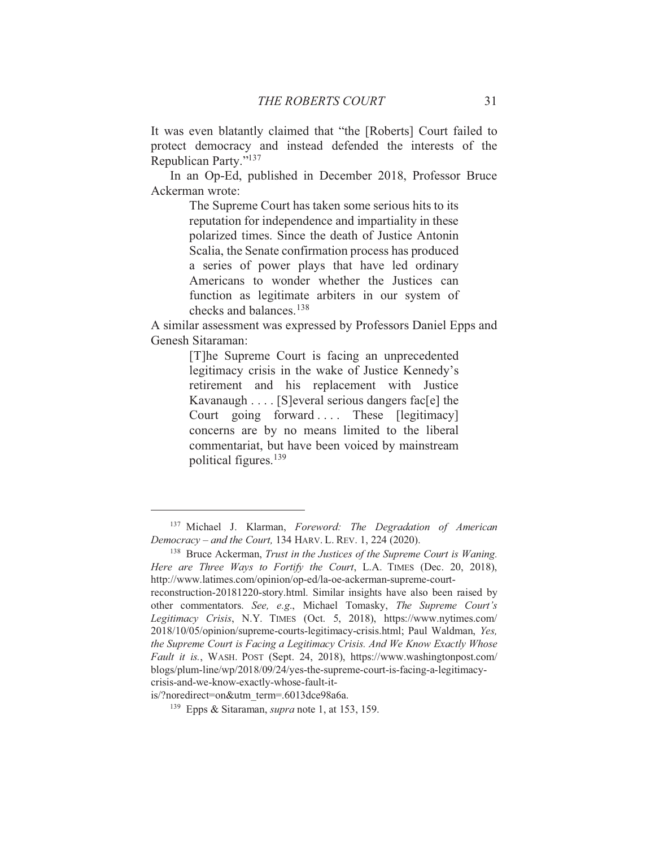It was even blatantly claimed that "the [Roberts] Court failed to protect democracy and instead defended the interests of the Republican Party."137

In an Op-Ed, published in December 2018, Professor Bruce Ackerman wrote:

> The Supreme Court has taken some serious hits to its reputation for independence and impartiality in these polarized times. Since the death of Justice Antonin Scalia, the Senate confirmation process has produced a series of power plays that have led ordinary Americans to wonder whether the Justices can function as legitimate arbiters in our system of checks and balances.<sup>138</sup>

A similar assessment was expressed by Professors Daniel Epps and Genesh Sitaraman:

> [T] he Supreme Court is facing an unprecedented legitimacy crisis in the wake of Justice Kennedy's retirement and his replacement with Justice Kavanaugh . . . . [S] everal serious dangers fac[e] the Court going forward.... These [legitimacy] concerns are by no means limited to the liberal commentariat, but have been voiced by mainstream political figures.<sup>139</sup>

is/?noredirect=on&utm term=.6013dce98a6a.

<sup>&</sup>lt;sup>137</sup> Michael J. Klarman, Foreword: The Degradation of American Democracy – and the Court, 134 HARV. L. REV. 1, 224 (2020).

<sup>&</sup>lt;sup>138</sup> Bruce Ackerman, *Trust in the Justices of the Supreme Court is Waning*. Here are Three Ways to Fortify the Court, L.A. TIMES (Dec. 20, 2018), http://www.latimes.com/opinion/op-ed/la-oe-ackerman-supreme-court-

reconstruction-20181220-story.html. Similar insights have also been raised by other commentators. See, e.g., Michael Tomasky, The Supreme Court's Legitimacy Crisis, N.Y. TIMES (Oct. 5, 2018), https://www.nytimes.com/ 2018/10/05/opinion/supreme-courts-legitimacy-crisis.html; Paul Waldman, Yes, the Supreme Court is Facing a Legitimacy Crisis. And We Know Exactly Whose Fault it is., WASH. POST (Sept. 24, 2018), https://www.washingtonpost.com/ blogs/plum-line/wp/2018/09/24/yes-the-supreme-court-is-facing-a-legitimacycrisis-and-we-know-exactly-whose-fault-it-

<sup>&</sup>lt;sup>139</sup> Epps & Sitaraman, *supra* note 1, at 153, 159.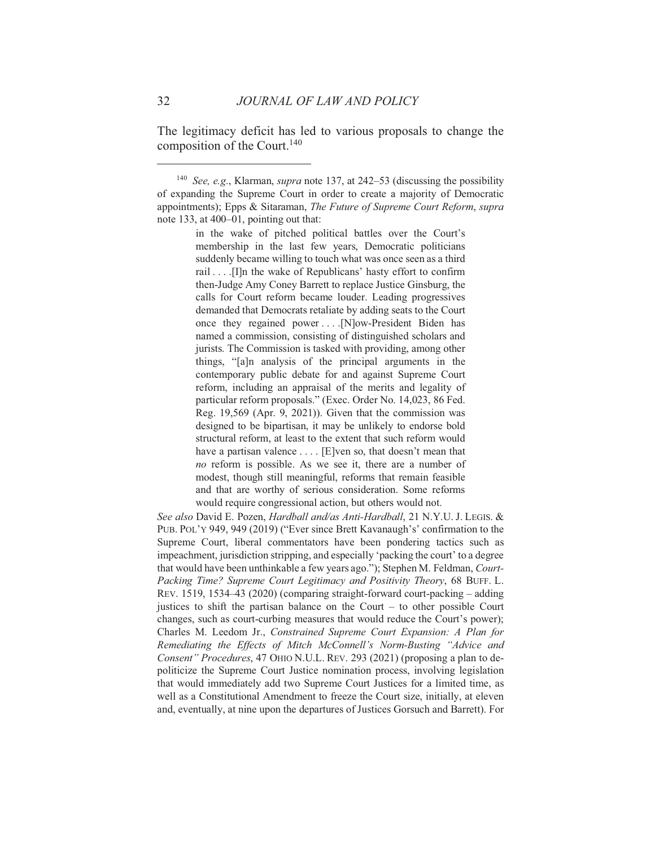The legitimacy deficit has led to various proposals to change the composition of the Court.<sup>140</sup>

<sup>&</sup>lt;sup>140</sup> See, e.g., Klarman, supra note 137, at 242-53 (discussing the possibility of expanding the Supreme Court in order to create a majority of Democratic appointments); Epps & Sitaraman, The Future of Supreme Court Reform, supra note 133, at 400–01, pointing out that:

in the wake of pitched political battles over the Court's membership in the last few years, Democratic politicians suddenly became willing to touch what was once seen as a third rail . . . . [I]n the wake of Republicans' hasty effort to confirm then-Judge Amy Coney Barrett to replace Justice Ginsburg, the calls for Court reform became louder. Leading progressives demanded that Democrats retaliate by adding seats to the Court once they regained power ... . [N]ow-President Biden has named a commission, consisting of distinguished scholars and jurists. The Commission is tasked with providing, among other things, "[a]n analysis of the principal arguments in the contemporary public debate for and against Supreme Court reform, including an appraisal of the merits and legality of particular reform proposals." (Exec. Order No. 14,023, 86 Fed. Reg. 19,569 (Apr. 9, 2021)). Given that the commission was designed to be bipartisan, it may be unlikely to endorse bold structural reform, at least to the extent that such reform would have a partisan valence .... [E]ven so, that doesn't mean that no reform is possible. As we see it, there are a number of modest, though still meaningful, reforms that remain feasible and that are worthy of serious consideration. Some reforms would require congressional action, but others would not.

See also David E. Pozen, Hardball and/as Anti-Hardball, 21 N.Y.U. J. LEGIS. & PUB. POL'Y 949, 949 (2019) ("Ever since Brett Kavanaugh's' confirmation to the Supreme Court, liberal commentators have been pondering tactics such as impeachment, jurisdiction stripping, and especially 'packing the court' to a degree that would have been unthinkable a few years ago."); Stephen M. Feldman, Court-Packing Time? Supreme Court Legitimacy and Positivity Theory, 68 BUFF. L. REV. 1519, 1534–43 (2020) (comparing straight-forward court-packing – adding justices to shift the partisan balance on the Court  $-$  to other possible Court changes, such as court-curbing measures that would reduce the Court's power); Charles M. Leedom Jr., Constrained Supreme Court Expansion: A Plan for Remediating the Effects of Mitch McConnell's Norm-Busting "Advice and Consent" Procedures, 47 OHIO N.U.L. REV. 293 (2021) (proposing a plan to depoliticize the Supreme Court Justice nomination process, involving legislation that would immediately add two Supreme Court Justices for a limited time, as well as a Constitutional Amendment to freeze the Court size, initially, at eleven and, eventually, at nine upon the departures of Justices Gorsuch and Barrett). For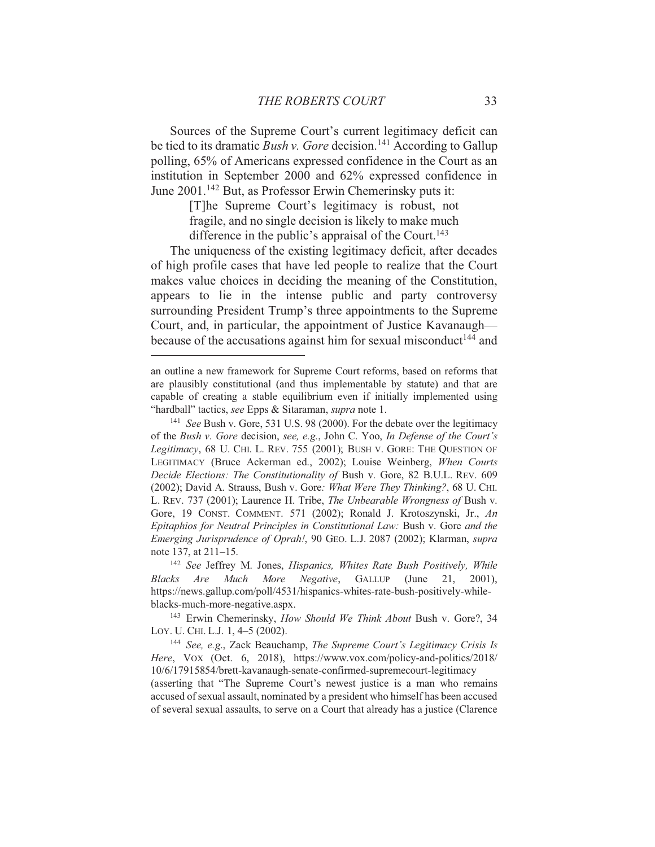Sources of the Supreme Court's current legitimacy deficit can be tied to its dramatic *Bush v. Gore* decision.<sup>141</sup> According to Gallup polling, 65% of Americans expressed confidence in the Court as an institution in September 2000 and 62% expressed confidence in June 2001.<sup>142</sup> But, as Professor Erwin Chemerinsky puts it:

> [T] he Supreme Court's legitimacy is robust, not fragile, and no single decision is likely to make much difference in the public's appraisal of the Court.<sup>143</sup>

The uniqueness of the existing legitimacy deficit, after decades of high profile cases that have led people to realize that the Court makes value choices in deciding the meaning of the Constitution, appears to lie in the intense public and party controversy surrounding President Trump's three appointments to the Supreme Court, and, in particular, the appointment of Justice Kavanaugh because of the accusations against him for sexual misconduct<sup>144</sup> and

an outline a new framework for Supreme Court reforms, based on reforms that are plausibly constitutional (and thus implementable by statute) and that are capable of creating a stable equilibrium even if initially implemented using "hardball" tactics, see Epps & Sitaraman, supra note 1.

<sup>&</sup>lt;sup>141</sup> See Bush v. Gore, 531 U.S. 98 (2000). For the debate over the legitimacy of the Bush v. Gore decision, see, e.g., John C. Yoo, In Defense of the Court's Legitimacy, 68 U. CHI. L. REV. 755 (2001); BUSH V. GORE: THE OUESTION OF LEGITIMACY (Bruce Ackerman ed., 2002); Louise Weinberg, When Courts Decide Elections: The Constitutionality of Bush v. Gore, 82 B.U.L. REV. 609 (2002); David A. Strauss, Bush v. Gore: What Were They Thinking?, 68 U. CHI. L. REV. 737 (2001); Laurence H. Tribe, The Unbearable Wrongness of Bush v. Gore, 19 CONST. COMMENT. 571 (2002); Ronald J. Krotoszynski, Jr., An Epitaphios for Neutral Principles in Constitutional Law: Bush v. Gore and the Emerging Jurisprudence of Oprah!, 90 GEO. L.J. 2087 (2002); Klarman, supra note 137, at 211–15.

<sup>&</sup>lt;sup>142</sup> See Jeffrey M. Jones, Hispanics, Whites Rate Bush Positively, While Blacks Are Much More Negative, GALLUP (June 21.  $2001$ ). https://news.gallup.com/poll/4531/hispanics-whites-rate-bush-positively-whileblacks-much-more-negative.aspx.

<sup>&</sup>lt;sup>143</sup> Erwin Chemerinsky, *How Should We Think About* Bush v. Gore?, 34 LOY. U. CHI. L.J. 1, 4-5 (2002).

<sup>&</sup>lt;sup>144</sup> See, e.g., Zack Beauchamp, The Supreme Court's Legitimacy Crisis Is Here, VOX (Oct. 6, 2018), https://www.yox.com/policy-and-politics/2018/ 10/6/17915854/brett-kavanaugh-senate-confirmed-supremecourt-legitimacy (asserting that "The Supreme Court's newest justice is a man who remains accused of sexual assault, nominated by a president who himself has been accused of several sexual assaults, to serve on a Court that already has a justice (Clarence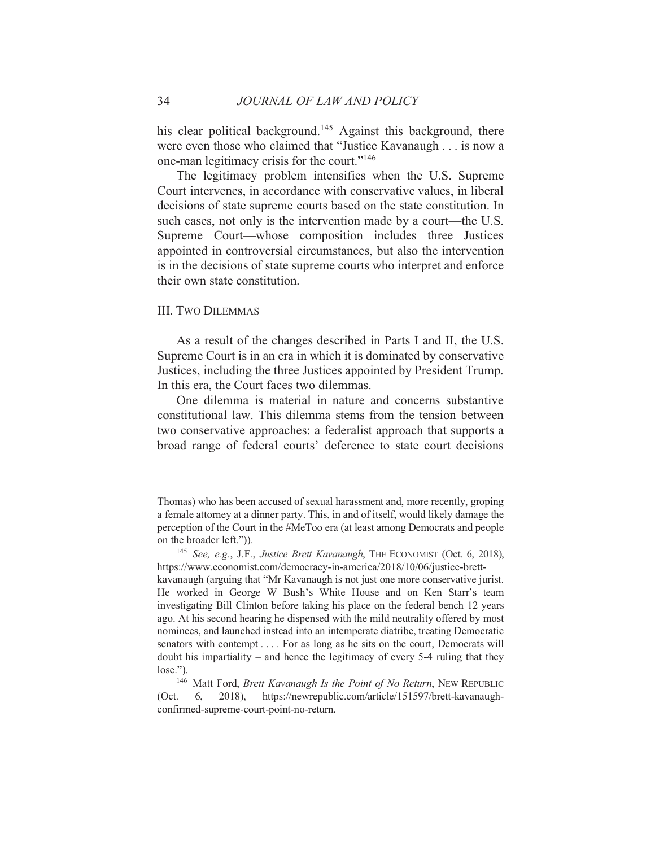his clear political background.<sup>145</sup> Against this background, there were even those who claimed that "Justice Kavanaugh . . . is now a one-man legitimacy crisis for the court."<sup>146</sup>

The legitimacy problem intensifies when the U.S. Supreme Court intervenes, in accordance with conservative values, in liberal decisions of state supreme courts based on the state constitution. In such cases, not only is the intervention made by a court—the U.S. Supreme Court—whose composition includes three Justices appointed in controversial circumstances, but also the intervention is in the decisions of state supreme courts who interpret and enforce their own state constitution.

#### **III. TWO DILEMMAS**

As a result of the changes described in Parts I and II, the U.S. Supreme Court is in an era in which it is dominated by conservative Justices, including the three Justices appointed by President Trump. In this era, the Court faces two dilemmas.

One dilemma is material in nature and concerns substantive constitutional law. This dilemma stems from the tension between two conservative approaches: a federalist approach that supports a broad range of federal courts' deference to state court decisions

Thomas) who has been accused of sexual harassment and, more recently, groping a female attorney at a dinner party. This, in and of itself, would likely damage the perception of the Court in the #MeToo era (at least among Democrats and people on the broader left.")).

<sup>&</sup>lt;sup>145</sup> See, e.g., J.F., Justice Brett Kavanaugh, THE ECONOMIST (Oct. 6, 2018), https://www.economist.com/democracy-in-america/2018/10/06/justice-brettkavanaugh (arguing that "Mr Kavanaugh is not just one more conservative jurist. He worked in George W Bush's White House and on Ken Starr's team investigating Bill Clinton before taking his place on the federal bench 12 years ago. At his second hearing he dispensed with the mild neutrality offered by most nominees, and launched instead into an intemperate diatribe, treating Democratic senators with contempt.... For as long as he sits on the court, Democrats will doubt his impartiality – and hence the legitimacy of every  $5-4$  ruling that they  $lose."$ ).

<sup>&</sup>lt;sup>146</sup> Matt Ford, *Brett Kavanaugh Is the Point of No Return*, NEW REPUBLIC 6.  $2018$ ), https://newrepublic.com/article/151597/brett-kavanaugh- $(Oct.$ confirmed-supreme-court-point-no-return.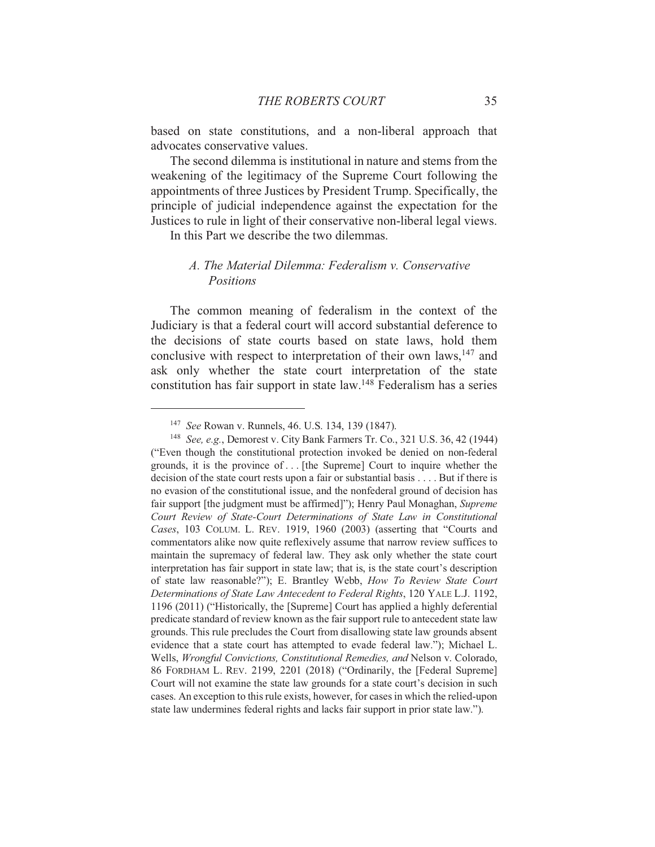based on state constitutions, and a non-liberal approach that advocates conservative values.

The second dilemma is institutional in nature and stems from the weakening of the legitimacy of the Supreme Court following the appointments of three Justices by President Trump. Specifically, the principle of judicial independence against the expectation for the Justices to rule in light of their conservative non-liberal legal views.

In this Part we describe the two dilemmas.

## A. The Material Dilemma: Federalism v. Conservative **Positions**

The common meaning of federalism in the context of the Judiciary is that a federal court will accord substantial deference to the decisions of state courts based on state laws, hold them conclusive with respect to interpretation of their own laws, <sup>147</sup> and ask only whether the state court interpretation of the state constitution has fair support in state law.<sup>148</sup> Federalism has a series

<sup>&</sup>lt;sup>147</sup> See Rowan v. Runnels, 46. U.S. 134, 139 (1847).

<sup>&</sup>lt;sup>148</sup> See, e.g., Demorest v. City Bank Farmers Tr. Co., 321 U.S. 36, 42 (1944) ("Even though the constitutional protection invoked be denied on non-federal grounds, it is the province of . . [the Supreme] Court to inquire whether the decision of the state court rests upon a fair or substantial basis . . . . But if there is no evasion of the constitutional issue, and the nonfederal ground of decision has fair support [the judgment must be affirmed]"); Henry Paul Monaghan, Supreme Court Review of State-Court Determinations of State Law in Constitutional Cases, 103 COLUM. L. REV. 1919, 1960 (2003) (asserting that "Courts and commentators alike now quite reflexively assume that narrow review suffices to maintain the supremacy of federal law. They ask only whether the state court interpretation has fair support in state law; that is, is the state court's description of state law reasonable?"); E. Brantley Webb, How To Review State Court Determinations of State Law Antecedent to Federal Rights, 120 YALE L.J. 1192, 1196 (2011) ("Historically, the [Supreme] Court has applied a highly deferential predicate standard of review known as the fair support rule to antecedent state law grounds. This rule precludes the Court from disallowing state law grounds absent evidence that a state court has attempted to evade federal law."); Michael L. Wells, Wrongful Convictions, Constitutional Remedies, and Nelson v. Colorado, 86 FORDHAM L. REV. 2199, 2201 (2018) ("Ordinarily, the [Federal Supreme] Court will not examine the state law grounds for a state court's decision in such cases. An exception to this rule exists, however, for cases in which the relied-upon state law undermines federal rights and lacks fair support in prior state law.").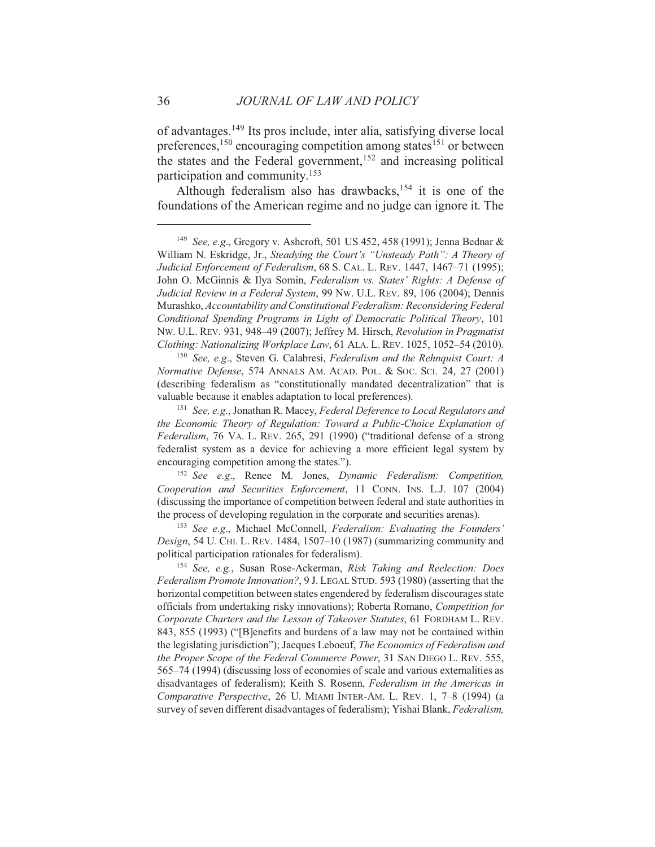of advantages.<sup>149</sup> Its pros include, inter alia, satisfying diverse local preferences,<sup>150</sup> encouraging competition among states<sup>151</sup> or between the states and the Federal government, <sup>152</sup> and increasing political participation and community.<sup>153</sup>

Although federalism also has drawbacks,<sup>154</sup> it is one of the foundations of the American regime and no judge can ignore it. The

<sup>150</sup> See, e.g., Steven G. Calabresi, Federalism and the Rehnquist Court: A Normative Defense, 574 ANNALS AM. ACAD. POL. & SOC. SCI. 24, 27 (2001) (describing federalism as "constitutionally mandated decentralization" that is valuable because it enables adaptation to local preferences).

<sup>151</sup> See, e.g., Jonathan R. Macey, Federal Deference to Local Regulators and the Economic Theory of Regulation: Toward a Public-Choice Explanation of Federalism, 76 VA. L. REV. 265, 291 (1990) ("traditional defense of a strong federalist system as a device for achieving a more efficient legal system by encouraging competition among the states.").

<sup>152</sup> See e.g., Renee M. Jones, Dynamic Federalism: Competition, Cooperation and Securities Enforcement, 11 CONN. INS. L.J. 107 (2004) (discussing the importance of competition between federal and state authorities in the process of developing regulation in the corporate and securities arenas).

<sup>153</sup> See e.g., Michael McConnell, Federalism: Evaluating the Founders' Design, 54 U. CHI. L. REV. 1484, 1507-10 (1987) (summarizing community and political participation rationales for federalism).

<sup>154</sup> See, e.g., Susan Rose-Ackerman, Risk Taking and Reelection: Does Federalism Promote Innovation?, 9 J. LEGAL STUD, 593 (1980) (asserting that the horizontal competition between states engendered by federalism discourages state officials from undertaking risky innovations); Roberta Romano, Competition for Corporate Charters and the Lesson of Takeover Statutes, 61 FORDHAM L. REV. 843, 855 (1993) ("[B]enefits and burdens of a law may not be contained within the legislating jurisdiction"); Jacques Leboeuf, The Economics of Federalism and the Proper Scope of the Federal Commerce Power, 31 SAN DIEGO L. REV. 555, 565–74 (1994) (discussing loss of economies of scale and various externalities as disadvantages of federalism); Keith S. Rosenn, Federalism in the Americas in Comparative Perspective, 26 U. MIAMI INTER-AM. L. REV. 1, 7-8 (1994) (a survey of seven different disadvantages of federalism); Yishai Blank, Federalism,

<sup>&</sup>lt;sup>149</sup> See, e.g., Gregory v. Ashcroft, 501 US 452, 458 (1991); Jenna Bednar & William N. Eskridge, Jr., Steadying the Court's "Unsteady Path": A Theory of Judicial Enforcement of Federalism, 68 S. CAL. L. REV. 1447, 1467-71 (1995); John O. McGinnis & Ilya Somin, Federalism vs. States' Rights: A Defense of Judicial Review in a Federal System, 99 Nw. U.L. REV. 89, 106 (2004); Dennis Murashko, Accountability and Constitutional Federalism: Reconsidering Federal Conditional Spending Programs in Light of Democratic Political Theory, 101 Nw. U.L. REV. 931, 948–49 (2007); Jeffrey M. Hirsch, Revolution in Pragmatist Clothing: Nationalizing Workplace Law, 61 ALA. L. REV. 1025, 1052-54 (2010).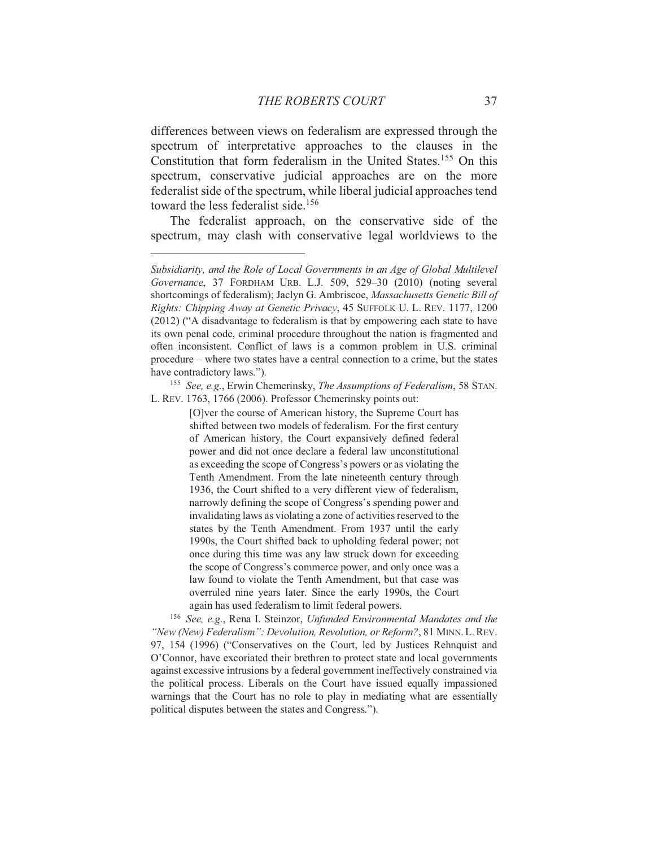differences between views on federalism are expressed through the spectrum of interpretative approaches to the clauses in the Constitution that form federalism in the United States.<sup>155</sup> On this spectrum, conservative judicial approaches are on the more federalist side of the spectrum, while liberal judicial approaches tend toward the less federalist side.<sup>156</sup>

The federalist approach, on the conservative side of the spectrum, may clash with conservative legal worldviews to the

<sup>155</sup> See, e.g., Erwin Chemerinsky, The Assumptions of Federalism, 58 STAN. L. REV. 1763, 1766 (2006). Professor Chemerinsky points out:

> [O]ver the course of American history, the Supreme Court has shifted between two models of federalism. For the first century of American history, the Court expansively defined federal power and did not once declare a federal law unconstitutional as exceeding the scope of Congress's powers or as violating the Tenth Amendment. From the late nineteenth century through 1936, the Court shifted to a very different view of federalism, narrowly defining the scope of Congress's spending power and invalidating laws as violating a zone of activities reserved to the states by the Tenth Amendment. From 1937 until the early 1990s, the Court shifted back to upholding federal power; not once during this time was any law struck down for exceeding the scope of Congress's commerce power, and only once was a law found to violate the Tenth Amendment, but that case was overruled nine years later. Since the early 1990s, the Court again has used federalism to limit federal powers.

<sup>156</sup> See, e.g., Rena I. Steinzor, Unfunded Environmental Mandates and the "New (New) Federalism": Devolution, Revolution, or Reform?, 81 MINN, L. REV. 97, 154 (1996) ("Conservatives on the Court, led by Justices Rehnquist and O'Connor, have excoriated their brethren to protect state and local governments against excessive intrusions by a federal government ineffectively constrained via the political process. Liberals on the Court have issued equally impassioned warnings that the Court has no role to play in mediating what are essentially political disputes between the states and Congress.").

Subsidiarity, and the Role of Local Governments in an Age of Global Multilevel Governance, 37 FORDHAM URB, L.J. 509, 529-30 (2010) (noting several shortcomings of federalism); Jaclyn G. Ambriscoe, Massachusetts Genetic Bill of Rights: Chipping Away at Genetic Privacy, 45 SUFFOLK U. L. REV. 1177, 1200 (2012) ("A disadvantage to federalism is that by empowering each state to have its own penal code, criminal procedure throughout the nation is fragmented and often inconsistent. Conflict of laws is a common problem in U.S. criminal procedure – where two states have a central connection to a crime, but the states have contradictory laws.").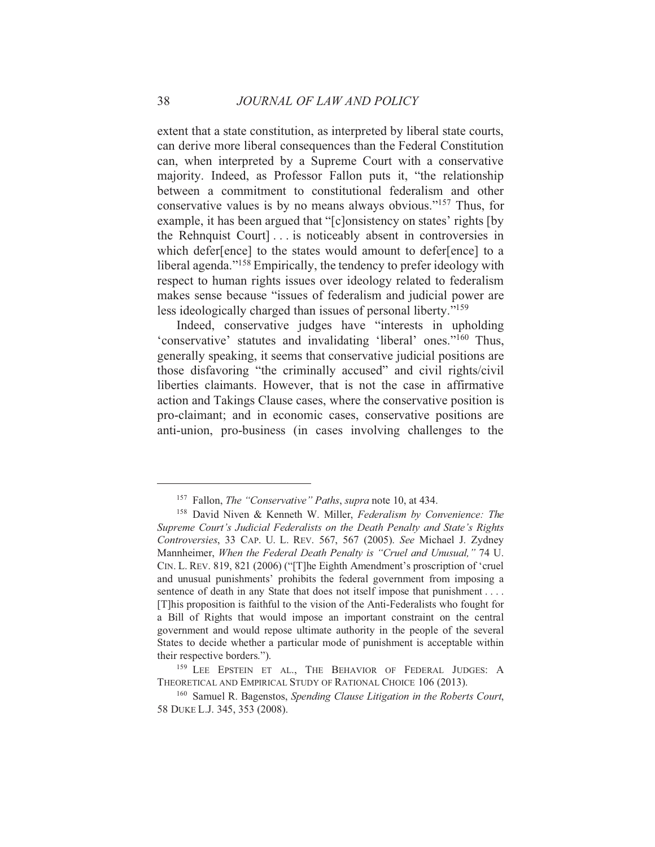extent that a state constitution, as interpreted by liberal state courts, can derive more liberal consequences than the Federal Constitution can, when interpreted by a Supreme Court with a conservative majority. Indeed, as Professor Fallon puts it, "the relationship between a commitment to constitutional federalism and other conservative values is by no means always obvious."<sup>157</sup> Thus, for example, it has been argued that "[c]onsistency on states' rights [by the Rehnquist Court | ... is noticeably absent in controversies in which defer[ence] to the states would amount to defer[ence] to a liberal agenda."<sup>158</sup> Empirically, the tendency to prefer ideology with respect to human rights issues over ideology related to federalism makes sense because "issues of federalism and judicial power are less ideologically charged than issues of personal liberty."<sup>159</sup>

Indeed, conservative judges have "interests in upholding 'conservative' statutes and invalidating 'liberal' ones."<sup>160</sup> Thus, generally speaking, it seems that conservative judicial positions are those disfavoring "the criminally accused" and civil rights/civil liberties claimants. However, that is not the case in affirmative action and Takings Clause cases, where the conservative position is pro-claimant; and in economic cases, conservative positions are anti-union, pro-business (in cases involving challenges to the

<sup>&</sup>lt;sup>157</sup> Fallon, *The "Conservative" Paths*, *supra* note 10, at 434.

<sup>&</sup>lt;sup>158</sup> David Niven & Kenneth W. Miller, Federalism by Convenience: The Supreme Court's Judicial Federalists on the Death Penalty and State's Rights Controversies, 33 CAP. U. L. REV. 567, 567 (2005). See Michael J. Zydney Mannheimer, When the Federal Death Penalty is "Cruel and Unusual," 74 U. CIN. L. REV. 819, 821 (2006) ("The Eighth Amendment's proscription of 'cruel and unusual punishments' prohibits the federal government from imposing a sentence of death in any State that does not itself impose that punishment .... [T] his proposition is faithful to the vision of the Anti-Federalists who fought for a Bill of Rights that would impose an important constraint on the central government and would repose ultimate authority in the people of the several States to decide whether a particular mode of punishment is acceptable within their respective borders.").

<sup>&</sup>lt;sup>159</sup> LEE EPSTEIN ET AL., THE BEHAVIOR OF FEDERAL JUDGES: A THEORETICAL AND EMPIRICAL STUDY OF RATIONAL CHOICE 106 (2013).

<sup>&</sup>lt;sup>160</sup> Samuel R. Bagenstos, Spending Clause Litigation in the Roberts Court, 58 DUKE L.J. 345, 353 (2008).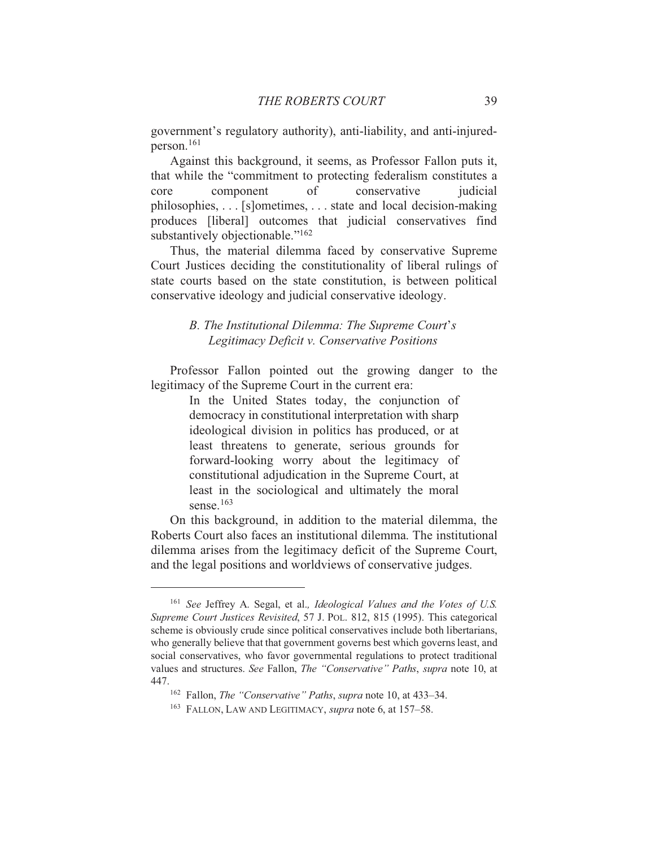government's regulatory authority), anti-liability, and anti-injured $person.<sup>161</sup>$ 

Against this background, it seems, as Professor Fallon puts it, that while the "commitment to protecting federalism constitutes a conservative core component  $\alpha$ f judicial philosophies, . . . [s] ometimes, . . . state and local decision-making produces [liberal] outcomes that judicial conservatives find substantively objectionable."<sup>162</sup>

Thus, the material dilemma faced by conservative Supreme Court Justices deciding the constitutionality of liberal rulings of state courts based on the state constitution, is between political conservative ideology and judicial conservative ideology.

## B. The Institutional Dilemma: The Supreme Court's Legitimacy Deficit v. Conservative Positions

Professor Fallon pointed out the growing danger to the legitimacy of the Supreme Court in the current era:

> In the United States today, the conjunction of democracy in constitutional interpretation with sharp ideological division in politics has produced, or at least threatens to generate, serious grounds for forward-looking worry about the legitimacy of constitutional adjudication in the Supreme Court, at least in the sociological and ultimately the moral sense $163$

On this background, in addition to the material dilemma, the Roberts Court also faces an institutional dilemma. The institutional dilemma arises from the legitimacy deficit of the Supreme Court, and the legal positions and worldviews of conservative judges.

<sup>&</sup>lt;sup>161</sup> See Jeffrey A. Segal, et al., Ideological Values and the Votes of U.S. Supreme Court Justices Revisited, 57 J. POL. 812, 815 (1995). This categorical scheme is obviously crude since political conservatives include both libertarians, who generally believe that that government governs best which governs least, and social conservatives, who favor governmental regulations to protect traditional values and structures. See Fallon, *The "Conservative" Paths*, *supra* note 10, at 447.

<sup>&</sup>lt;sup>162</sup> Fallon, *The "Conservative" Paths, supra* note 10, at 433-34.

<sup>&</sup>lt;sup>163</sup> FALLON, LAW AND LEGITIMACY, *supra* note 6, at 157–58.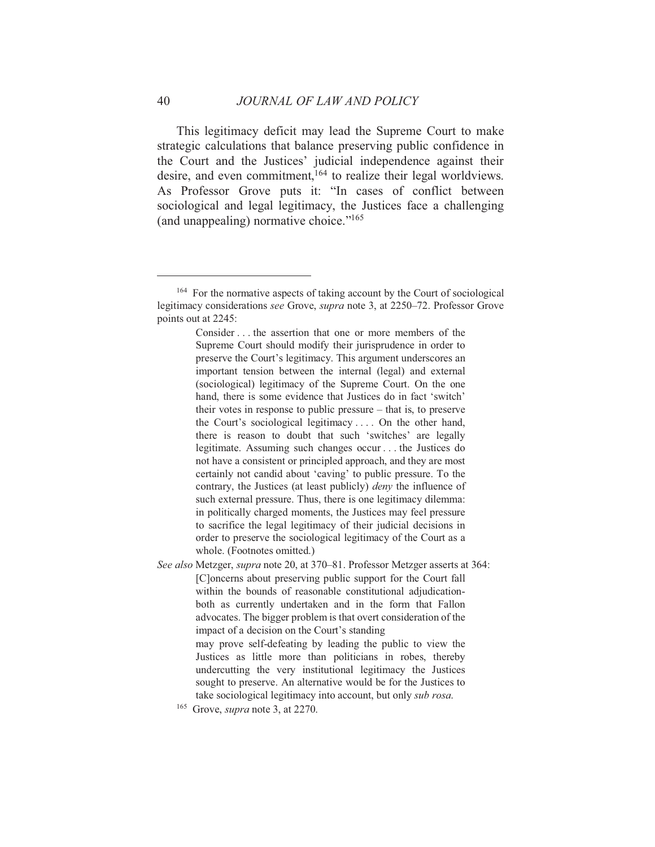This legitimacy deficit may lead the Supreme Court to make strategic calculations that balance preserving public confidence in the Court and the Justices' judicial independence against their desire, and even commitment,<sup>164</sup> to realize their legal worldviews. As Professor Grove puts it: "In cases of conflict between sociological and legal legitimacy, the Justices face a challenging (and unappealing) normative choice."<sup>165</sup>

Consider . . . the assertion that one or more members of the Supreme Court should modify their jurisprudence in order to preserve the Court's legitimacy. This argument underscores an important tension between the internal (legal) and external (sociological) legitimacy of the Supreme Court. On the one hand, there is some evidence that Justices do in fact 'switch' their votes in response to public pressure  $-$  that is, to preserve the Court's sociological legitimacy.... On the other hand, there is reason to doubt that such 'switches' are legally legitimate. Assuming such changes occur... the Justices do not have a consistent or principled approach, and they are most certainly not candid about 'caving' to public pressure. To the contrary, the Justices (at least publicly) *deny* the influence of such external pressure. Thus, there is one legitimacy dilemma: in politically charged moments, the Justices may feel pressure to sacrifice the legal legitimacy of their judicial decisions in order to preserve the sociological legitimacy of the Court as a whole. (Footnotes omitted.)

See also Metzger, supra note 20, at 370-81. Professor Metzger asserts at 364: [C] oncerns about preserving public support for the Court fall within the bounds of reasonable constitutional adjudicationboth as currently undertaken and in the form that Fallon advocates. The bigger problem is that overt consideration of the impact of a decision on the Court's standing

may prove self-defeating by leading the public to view the Justices as little more than politicians in robes, thereby undercutting the very institutional legitimacy the Justices sought to preserve. An alternative would be for the Justices to take sociological legitimacy into account, but only sub rosa.

<sup>&</sup>lt;sup>164</sup> For the normative aspects of taking account by the Court of sociological legitimacy considerations see Grove, supra note 3, at 2250-72. Professor Grove points out at 2245:

 $165$  Grove, *supra* note 3, at 2270.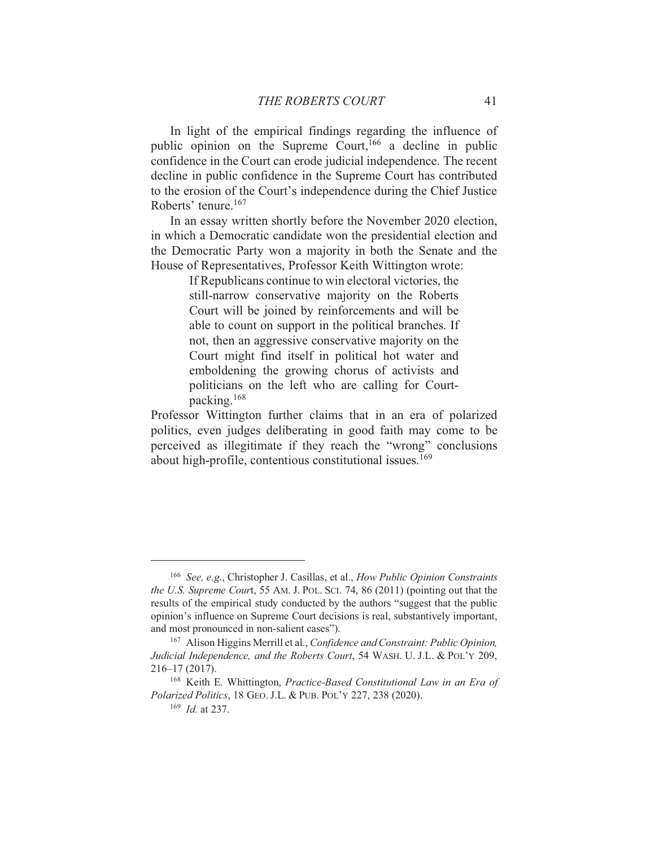In light of the empirical findings regarding the influence of public opinion on the Supreme Court, <sup>166</sup> a decline in public confidence in the Court can erode judicial independence. The recent decline in public confidence in the Supreme Court has contributed to the erosion of the Court's independence during the Chief Justice Roberts' tenure.<sup>167</sup>

In an essay written shortly before the November 2020 election, in which a Democratic candidate won the presidential election and the Democratic Party won a majority in both the Senate and the House of Representatives, Professor Keith Wittington wrote:

> If Republicans continue to win electoral victories, the still-narrow conservative majority on the Roberts Court will be joined by reinforcements and will be able to count on support in the political branches. If not, then an aggressive conservative majority on the Court might find itself in political hot water and emboldening the growing chorus of activists and politicians on the left who are calling for Courtpacking.<sup>168</sup>

Professor Wittington further claims that in an era of polarized politics, even judges deliberating in good faith may come to be perceived as illegitimate if they reach the "wrong" conclusions about high-profile, contentious constitutional issues.<sup>169</sup>

<sup>&</sup>lt;sup>166</sup> See, e.g., Christopher J. Casillas, et al., How Public Opinion Constraints the U.S. Supreme Court, 55 AM, J. POL, SCI, 74, 86 (2011) (pointing out that the results of the empirical study conducted by the authors "suggest that the public opinion's influence on Supreme Court decisions is real, substantively important, and most pronounced in non-salient cases").

<sup>&</sup>lt;sup>167</sup> Alison Higgins Merrill et al., *Confidence and Constraint: Public Opinion*, Judicial Independence, and the Roberts Court, 54 WASH. U. J.L. & POL'Y 209,  $216 - 17(2017)$ .

<sup>&</sup>lt;sup>168</sup> Keith E. Whittington, Practice-Based Constitutional Law in an Era of Polarized Politics, 18 GEO. J.L. & PUB. POL'Y 227, 238 (2020).

 $169$  *Id.* at 237.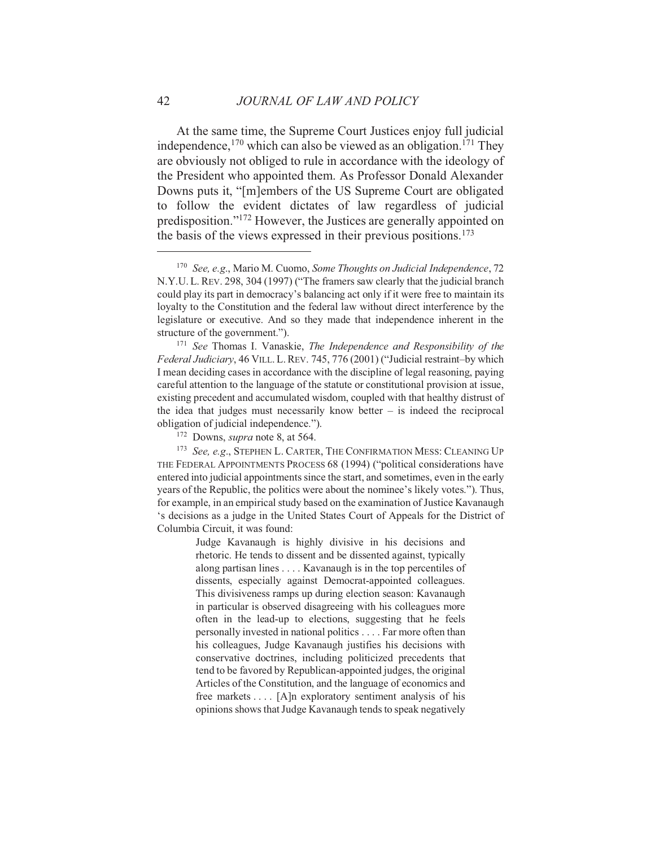At the same time, the Supreme Court Justices enjoy full judicial independence,  $170$  which can also be viewed as an obligation.  $171$  They are obviously not obliged to rule in accordance with the ideology of the President who appointed them. As Professor Donald Alexander Downs puts it, "[m]embers of the US Supreme Court are obligated to follow the evident dictates of law regardless of judicial predisposition."<sup>172</sup> However, the Justices are generally appointed on the basis of the views expressed in their previous positions.<sup>173</sup>

Judge Kavanaugh is highly divisive in his decisions and rhetoric. He tends to dissent and be dissented against, typically along partisan lines  $\dots$ . Kavanaugh is in the top percentiles of dissents, especially against Democrat-appointed colleagues. This divisiveness ramps up during election season: Kavanaugh in particular is observed disagreeing with his colleagues more often in the lead-up to elections, suggesting that he feels personally invested in national politics . . . . Far more often than his colleagues, Judge Kavanaugh justifies his decisions with conservative doctrines, including politicized precedents that tend to be favored by Republican-appointed judges, the original Articles of the Constitution, and the language of economics and free markets ... [A]n exploratory sentiment analysis of his opinions shows that Judge Kavanaugh tends to speak negatively

<sup>&</sup>lt;sup>170</sup> See, e.g., Mario M. Cuomo, Some Thoughts on Judicial Independence, 72 N.Y.U.L. REV. 298, 304 (1997) ("The framers saw clearly that the judicial branch could play its part in democracy's balancing act only if it were free to maintain its loyalty to the Constitution and the federal law without direct interference by the legislature or executive. And so they made that independence inherent in the structure of the government.").

 $171$  See Thomas I. Vanaskie, The Independence and Responsibility of the Federal Judiciary, 46 VILL, L. REV. 745, 776 (2001) ("Judicial restraint-by which I mean deciding cases in accordance with the discipline of legal reasoning, paying careful attention to the language of the statute or constitutional provision at issue. existing precedent and accumulated wisdom, coupled with that healthy distrust of the idea that judges must necessarily know better  $-$  is indeed the reciprocal obligation of judicial independence.").

<sup>&</sup>lt;sup>172</sup> Downs, *supra* note 8, at 564.

<sup>&</sup>lt;sup>173</sup> See, e.g., STEPHEN L. CARTER, THE CONFIRMATION MESS: CLEANING UP THE FEDERAL APPOINTMENTS PROCESS 68 (1994) ("political considerations have entered into judicial appointments since the start, and sometimes, even in the early years of the Republic, the politics were about the nominee's likely votes."). Thus, for example, in an empirical study based on the examination of Justice Kavanaugh 's decisions as a judge in the United States Court of Appeals for the District of Columbia Circuit, it was found: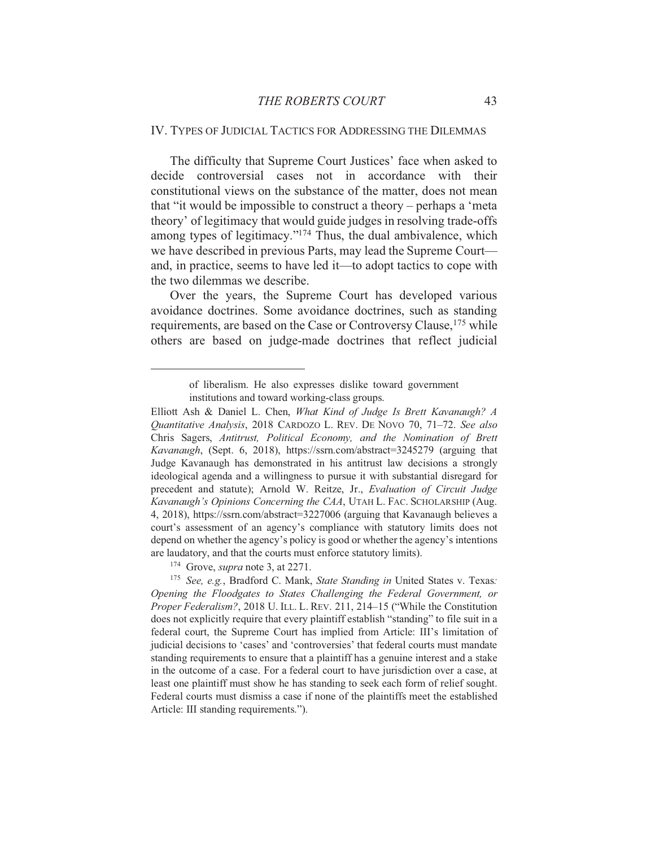#### IV. TYPES OF JUDICIAL TACTICS FOR ADDRESSING THE DILEMMAS

The difficulty that Supreme Court Justices' face when asked to decide controversial cases not in accordance with their constitutional views on the substance of the matter, does not mean that "it would be impossible to construct a theory – perhaps a 'meta theory' of legitimacy that would guide judges in resolving trade-offs among types of legitimacy."<sup>174</sup> Thus, the dual ambivalence, which we have described in previous Parts, may lead the Supreme Court and, in practice, seems to have led it—to adopt tactics to cope with the two dilemmas we describe.

Over the years, the Supreme Court has developed various avoidance doctrines. Some avoidance doctrines, such as standing requirements, are based on the Case or Controversy Clause, <sup>175</sup> while others are based on judge-made doctrines that reflect judicial

<sup>174</sup> Grove, *supra* note 3, at 2271.

of liberalism. He also expresses dislike toward government institutions and toward working-class groups.

Elliott Ash & Daniel L. Chen, What Kind of Judge Is Brett Kavanaugh? A Quantitative Analysis, 2018 CARDOZO L. REV. DE NOVO 70, 71-72. See also Chris Sagers, Antitrust, Political Economy, and the Nomination of Brett Kavanaugh, (Sept. 6, 2018), https://ssrn.com/abstract=3245279 (arguing that Judge Kavanaugh has demonstrated in his antitrust law decisions a strongly ideological agenda and a willingness to pursue it with substantial disregard for precedent and statute); Arnold W. Reitze, Jr., Evaluation of Circuit Judge Kavanaugh's Opinions Concerning the CAA, UTAH L. FAC. SCHOLARSHIP (Aug. 4, 2018), https://ssrn.com/abstract=3227006 (arguing that Kavanaugh believes a court's assessment of an agency's compliance with statutory limits does not depend on whether the agency's policy is good or whether the agency's intentions are laudatory, and that the courts must enforce statutory limits).

<sup>&</sup>lt;sup>175</sup> See, e.g., Bradford C. Mank, State Standing in United States v. Texas: Opening the Floodgates to States Challenging the Federal Government, or Proper Federalism?, 2018 U. ILL. L. REV. 211, 214-15 ("While the Constitution does not explicitly require that every plaintiff establish "standing" to file suit in a federal court, the Supreme Court has implied from Article: III's limitation of judicial decisions to 'cases' and 'controversies' that federal courts must mandate standing requirements to ensure that a plaintiff has a genuine interest and a stake in the outcome of a case. For a federal court to have jurisdiction over a case, at least one plaintiff must show he has standing to seek each form of relief sought. Federal courts must dismiss a case if none of the plaintiffs meet the established Article: III standing requirements.").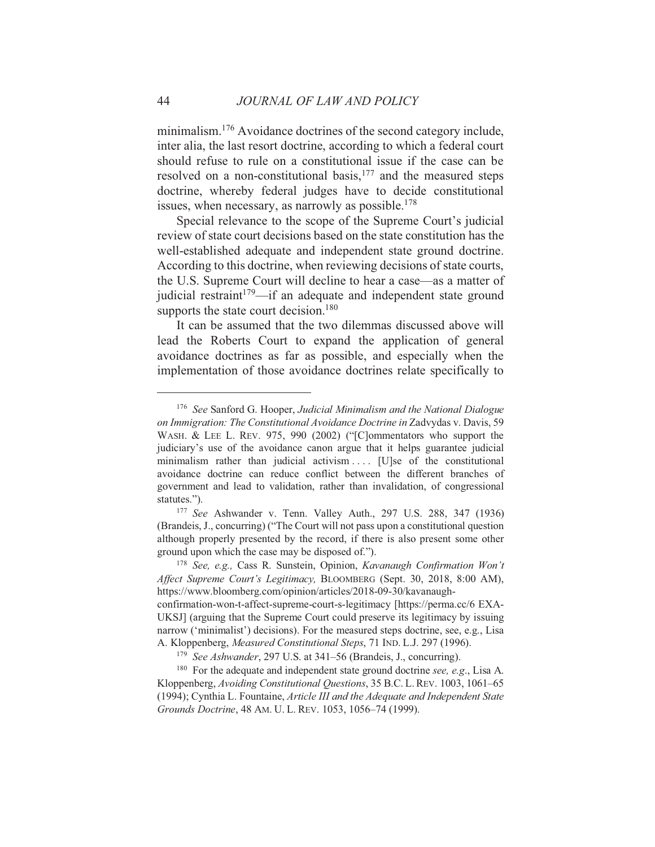minimalism.<sup>176</sup> Avoidance doctrines of the second category include, inter alia, the last resort doctrine, according to which a federal court should refuse to rule on a constitutional issue if the case can be resolved on a non-constitutional basis,<sup>177</sup> and the measured steps doctrine, whereby federal judges have to decide constitutional issues, when necessary, as narrowly as possible.<sup>178</sup>

Special relevance to the scope of the Supreme Court's judicial review of state court decisions based on the state constitution has the well-established adequate and independent state ground doctrine. According to this doctrine, when reviewing decisions of state courts, the U.S. Supreme Court will decline to hear a case—as a matter of judicial restraint<sup>179</sup>—if an adequate and independent state ground supports the state court decision.<sup>180</sup>

It can be assumed that the two dilemmas discussed above will lead the Roberts Court to expand the application of general avoidance doctrines as far as possible, and especially when the implementation of those avoidance doctrines relate specifically to

<sup>&</sup>lt;sup>176</sup> See Sanford G. Hooper, Judicial Minimalism and the National Dialogue on Immigration: The Constitutional Avoidance Doctrine in Zadvydas v. Davis, 59 WASH. & LEE L. REV. 975, 990 (2002) ("[C]ommentators who support the judiciary's use of the avoidance canon argue that it helps guarantee judicial minimalism rather than judicial activism .... [U]se of the constitutional avoidance doctrine can reduce conflict between the different branches of government and lead to validation, rather than invalidation, of congressional statutes.").

<sup>&</sup>lt;sup>177</sup> See Ashwander v. Tenn. Valley Auth., 297 U.S. 288, 347 (1936) (Brandeis, J., concurring) ("The Court will not pass upon a constitutional question although properly presented by the record, if there is also present some other ground upon which the case may be disposed of.").

<sup>&</sup>lt;sup>178</sup> See, e.g., Cass R. Sunstein, Opinion, Kavanaugh Confirmation Won't Affect Supreme Court's Legitimacy, BLOOMBERG (Sept. 30, 2018, 8:00 AM), https://www.bloomberg.com/opinion/articles/2018-09-30/kavanaugh-

confirmation-won-t-affect-supreme-court-s-legitimacy [https://perma.cc/6 EXA-UKSJ] (arguing that the Supreme Court could preserve its legitimacy by issuing narrow ('minimalist') decisions). For the measured steps doctrine, see, e.g., Lisa A. Kloppenberg, Measured Constitutional Steps, 71 IND. L.J. 297 (1996).

<sup>&</sup>lt;sup>179</sup> See Ashwander, 297 U.S. at 341–56 (Brandeis, J., concurring).

<sup>&</sup>lt;sup>180</sup> For the adequate and independent state ground doctrine see, e.g., Lisa A. Kloppenberg, Avoiding Constitutional Questions, 35 B.C. L. REV. 1003, 1061–65 (1994); Cynthia L. Fountaine, Article III and the Adequate and Independent State Grounds Doctrine, 48 AM. U. L. REV. 1053, 1056-74 (1999).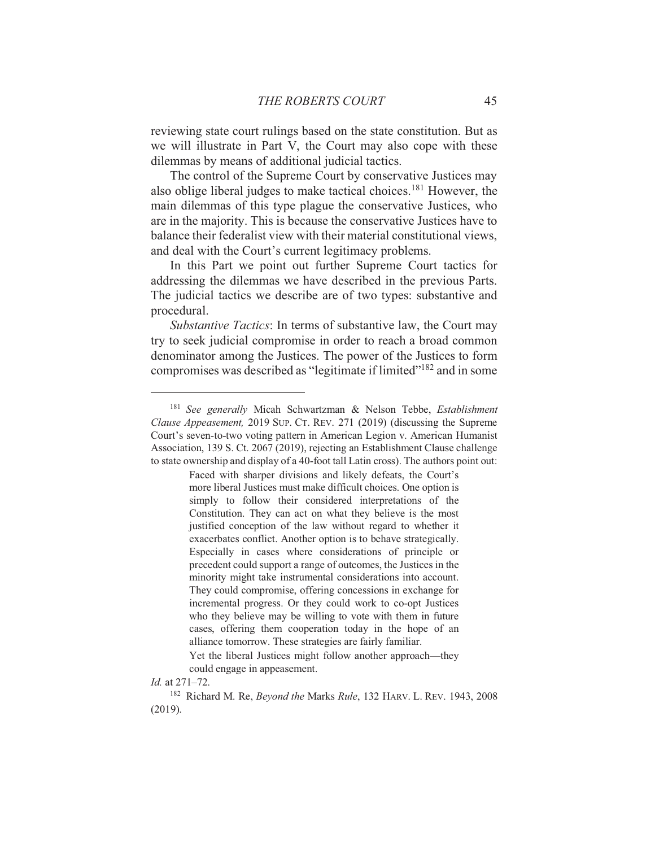reviewing state court rulings based on the state constitution. But as we will illustrate in Part V, the Court may also cope with these dilemmas by means of additional judicial tactics.

The control of the Supreme Court by conservative Justices may also oblige liberal judges to make tactical choices.<sup>181</sup> However, the main dilemmas of this type plague the conservative Justices, who are in the majority. This is because the conservative Justices have to balance their federalist view with their material constitutional views, and deal with the Court's current legitimacy problems.

In this Part we point out further Supreme Court tactics for addressing the dilemmas we have described in the previous Parts. The judicial tactics we describe are of two types: substantive and procedural.

Substantive Tactics: In terms of substantive law, the Court may try to seek judicial compromise in order to reach a broad common denominator among the Justices. The power of the Justices to form compromises was described as "legitimate if limited"<sup>182</sup> and in some

<sup>&</sup>lt;sup>181</sup> See generally Micah Schwartzman & Nelson Tebbe, Establishment Clause Appeasement, 2019 SUP. CT. REV. 271 (2019) (discussing the Supreme Court's seven-to-two voting pattern in American Legion v. American Humanist Association, 139 S. Ct. 2067 (2019), rejecting an Establishment Clause challenge to state ownership and display of a 40-foot tall Latin cross). The authors point out:

Faced with sharper divisions and likely defeats, the Court's more liberal Justices must make difficult choices. One option is simply to follow their considered interpretations of the Constitution. They can act on what they believe is the most justified conception of the law without regard to whether it exacerbates conflict. Another option is to behave strategically. Especially in cases where considerations of principle or precedent could support a range of outcomes, the Justices in the minority might take instrumental considerations into account. They could compromise, offering concessions in exchange for incremental progress. Or they could work to co-opt Justices who they believe may be willing to vote with them in future cases, offering them cooperation today in the hope of an alliance tomorrow. These strategies are fairly familiar.

Yet the liberal Justices might follow another approach—they could engage in appeasement.

Id. at 271-72.

<sup>&</sup>lt;sup>182</sup> Richard M. Re, *Beyond the Marks Rule*, 132 HARV. L. REV. 1943, 2008  $(2019).$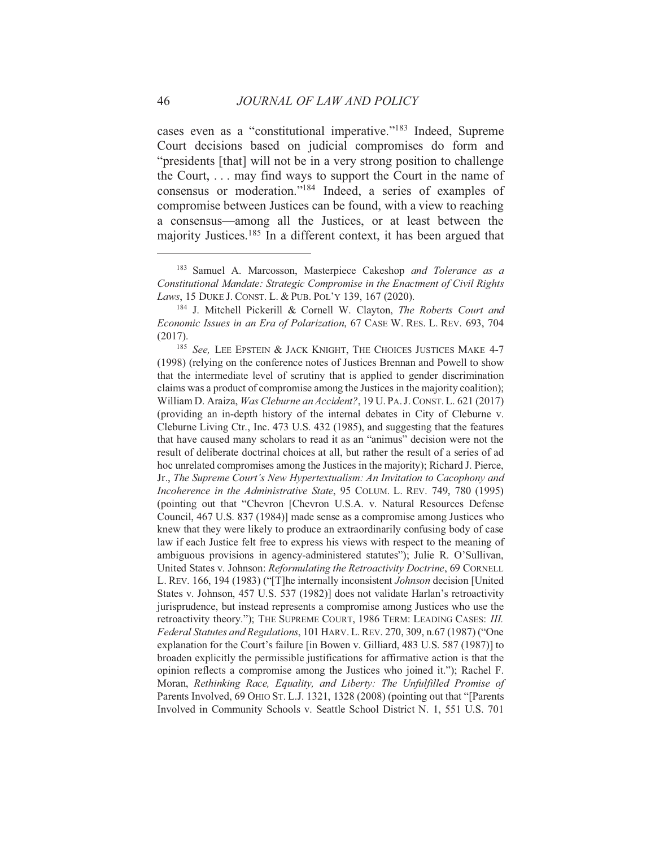cases even as a "constitutional imperative."<sup>183</sup> Indeed, Supreme Court decisions based on judicial compromises do form and "presidents [that] will not be in a very strong position to challenge the Court,  $\dots$  may find ways to support the Court in the name of consensus or moderation."<sup>184</sup> Indeed, a series of examples of compromise between Justices can be found, with a view to reaching a consensus—among all the Justices, or at least between the majority Justices.<sup>185</sup> In a different context, it has been argued that

<sup>&</sup>lt;sup>183</sup> Samuel A. Marcosson, Masterpiece Cakeshop and Tolerance as a Constitutional Mandate: Strategic Compromise in the Enactment of Civil Rights Laws, 15 DUKE J. CONST. L. & PUB. POL'Y 139, 167 (2020).

<sup>&</sup>lt;sup>184</sup> J. Mitchell Pickerill & Cornell W. Clayton, *The Roberts Court and* Economic Issues in an Era of Polarization, 67 CASE W. RES. L. REV. 693, 704  $(2017).$ 

<sup>&</sup>lt;sup>185</sup> See, LEE EPSTEIN & JACK KNIGHT, THE CHOICES JUSTICES MAKE 4-7 (1998) (relying on the conference notes of Justices Brennan and Powell to show that the intermediate level of scrutiny that is applied to gender discrimination claims was a product of compromise among the Justices in the majority coalition); William D. Araiza, Was Cleburne an Accident?, 19 U. PA. J. CONST. L. 621 (2017) (providing an in-depth history of the internal debates in City of Cleburne v. Cleburne Living Ctr., Inc. 473 U.S. 432 (1985), and suggesting that the features that have caused many scholars to read it as an "animus" decision were not the result of deliberate doctrinal choices at all, but rather the result of a series of ad hoc unrelated compromises among the Justices in the majority); Richard J. Pierce, Jr., The Supreme Court's New Hypertextualism: An Invitation to Cacophony and Incoherence in the Administrative State, 95 COLUM. L. REV. 749, 780 (1995) (pointing out that "Chevron [Chevron U.S.A. v. Natural Resources Defense Council, 467 U.S. 837 (1984)] made sense as a compromise among Justices who knew that they were likely to produce an extraordinarily confusing body of case law if each Justice felt free to express his views with respect to the meaning of ambiguous provisions in agency-administered statutes"); Julie R. O'Sullivan, United States v. Johnson: Reformulating the Retroactivity Doctrine, 69 CORNELL L. REV. 166, 194 (1983) ("[T]he internally inconsistent Johnson decision [United] States v. Johnson, 457 U.S. 537 (1982)] does not validate Harlan's retroactivity jurisprudence, but instead represents a compromise among Justices who use the retroactivity theory."); THE SUPREME COURT, 1986 TERM: LEADING CASES: III. Federal Statutes and Regulations, 101 HARV. L. REV. 270, 309, n.67 (1987) ("One explanation for the Court's failure [in Bowen v. Gilliard, 483 U.S. 587 (1987)] to broaden explicitly the permissible justifications for affirmative action is that the opinion reflects a compromise among the Justices who joined it."); Rachel F. Moran, Rethinking Race, Equality, and Liberty: The Unfulfilled Promise of Parents Involved, 69 OHIO ST. L.J. 1321, 1328 (2008) (pointing out that "[Parents] Involved in Community Schools v. Seattle School District N. 1, 551 U.S. 701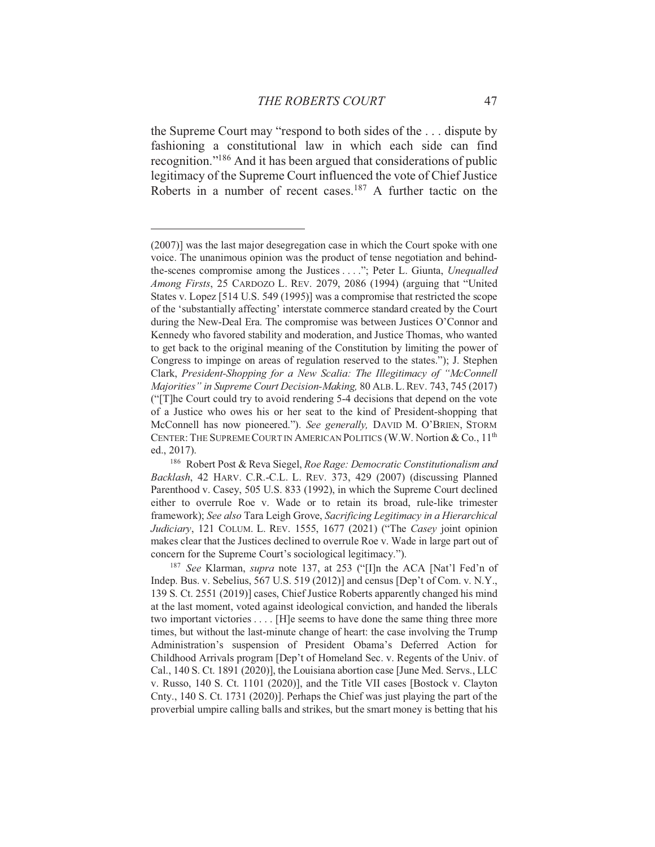the Supreme Court may "respond to both sides of the ... dispute by fashioning a constitutional law in which each side can find recognition."<sup>186</sup> And it has been argued that considerations of public legitimacy of the Supreme Court influenced the vote of Chief Justice Roberts in a number of recent cases.<sup>187</sup> A further tactic on the

<sup>(2007)]</sup> was the last major desegregation case in which the Court spoke with one voice. The unanimous opinion was the product of tense negotiation and behindthe-scenes compromise among the Justices . . . ."; Peter L. Giunta, Unequalled Among Firsts, 25 CARDOZO L. REV. 2079, 2086 (1994) (arguing that "United States v. Lopez [514 U.S. 549 (1995)] was a compromise that restricted the scope of the 'substantially affecting' interstate commerce standard created by the Court during the New-Deal Era. The compromise was between Justices O'Connor and Kennedy who favored stability and moderation, and Justice Thomas, who wanted to get back to the original meaning of the Constitution by limiting the power of Congress to impinge on areas of regulation reserved to the states."); J. Stephen Clark, President-Shopping for a New Scalia: The Illegitimacy of "McConnell" Majorities" in Supreme Court Decision-Making, 80 ALB. L. REV. 743, 745 (2017) ("[T]he Court could try to avoid rendering 5-4 decisions that depend on the vote of a Justice who owes his or her seat to the kind of President-shopping that McConnell has now pioneered."). See generally, DAVID M. O'BRIEN, STORM CENTER: THE SUPREME COURT IN AMERICAN POLITICS (W.W. Nortion & Co., 11<sup>th</sup> ed., 2017).

<sup>&</sup>lt;sup>186</sup> Robert Post & Reva Siegel, Roe Rage: Democratic Constitutionalism and Backlash, 42 HARV. C.R.-C.L. L. REV. 373, 429 (2007) (discussing Planned Parenthood v. Casey, 505 U.S. 833 (1992), in which the Supreme Court declined either to overrule Roe v. Wade or to retain its broad, rule-like trimester framework); See also Tara Leigh Grove, Sacrificing Legitimacy in a Hierarchical Judiciary, 121 COLUM. L. REV. 1555, 1677 (2021) ("The Casey joint opinion makes clear that the Justices declined to overrule Roe v. Wade in large part out of concern for the Supreme Court's sociological legitimacy.").

<sup>&</sup>lt;sup>187</sup> See Klarman, *supra* note 137, at 253 ("IIIn the ACA [Nat'l Fed'n of Indep. Bus. v. Sebelius, 567 U.S. 519 (2012)] and census [Dep't of Com. v. N.Y., 139 S. Ct. 2551 (2019)] cases, Chief Justice Roberts apparently changed his mind at the last moment, voted against ideological conviction, and handed the liberals two important victories . . . . [H] e seems to have done the same thing three more times, but without the last-minute change of heart: the case involving the Trump Administration's suspension of President Obama's Deferred Action for Childhood Arrivals program [Dep't of Homeland Sec. v. Regents of the Univ. of Cal., 140 S. Ct. 1891 (2020)], the Louisiana abortion case [June Med. Servs., LLC v. Russo, 140 S. Ct. 1101 (2020)], and the Title VII cases [Bostock v. Clayton Cnty., 140 S. Ct. 1731 (2020)]. Perhaps the Chief was just playing the part of the proverbial umpire calling balls and strikes, but the smart money is betting that his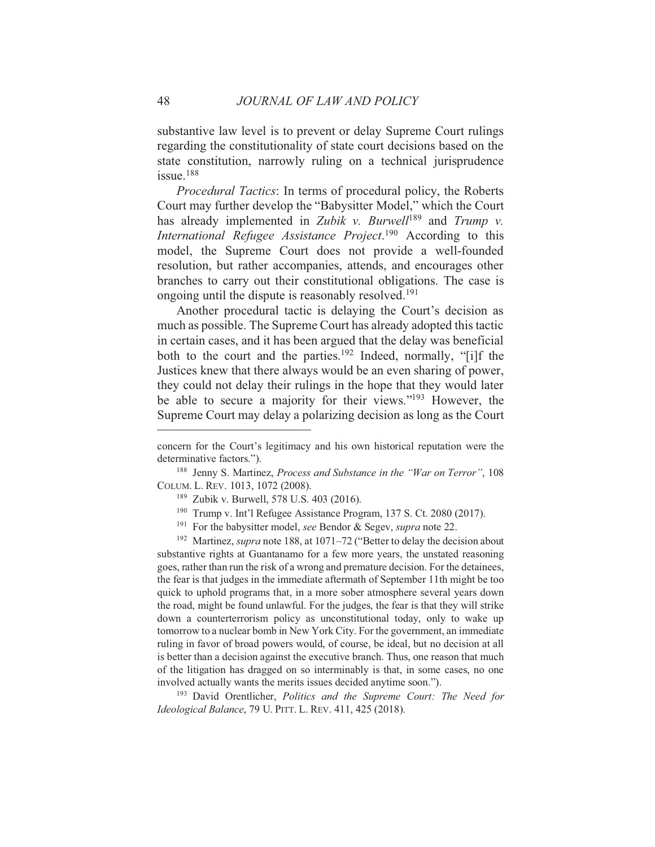substantive law level is to prevent or delay Supreme Court rulings regarding the constitutionality of state court decisions based on the state constitution, narrowly ruling on a technical jurisprudence  $i$ ssue.<sup>188</sup>

*Procedural Tactics:* In terms of procedural policy, the Roberts Court may further develop the "Babysitter Model," which the Court has already implemented in Zubik v. Burwell<sup>189</sup> and Trump v. *International Refugee Assistance Project.*<sup>190</sup> According to this model, the Supreme Court does not provide a well-founded resolution, but rather accompanies, attends, and encourages other branches to carry out their constitutional obligations. The case is ongoing until the dispute is reasonably resolved.<sup>191</sup>

Another procedural tactic is delaying the Court's decision as much as possible. The Supreme Court has already adopted this tactic in certain cases, and it has been argued that the delay was beneficial both to the court and the parties.<sup>192</sup> Indeed, normally, "[i]f the Justices knew that there always would be an even sharing of power, they could not delay their rulings in the hope that they would later be able to secure a majority for their views."<sup>193</sup> However, the Supreme Court may delay a polarizing decision as long as the Court

- <sup>190</sup> Trump v. Int'l Refugee Assistance Program, 137 S. Ct. 2080 (2017).
- 191 For the babysitter model, see Bendor & Segev, supra note 22.

<sup>192</sup> Martinez, *supra* note 188, at 1071–72 ("Better to delay the decision about substantive rights at Guantanamo for a few more years, the unstated reasoning goes, rather than run the risk of a wrong and premature decision. For the detainees, the fear is that judges in the immediate aftermath of September 11th might be too quick to uphold programs that, in a more sober atmosphere several years down the road, might be found unlawful. For the judges, the fear is that they will strike down a counterterrorism policy as unconstitutional today, only to wake up tomorrow to a nuclear bomb in New York City. For the government, an immediate ruling in favor of broad powers would, of course, be ideal, but no decision at all is better than a decision against the executive branch. Thus, one reason that much of the litigation has dragged on so interminably is that, in some cases, no one involved actually wants the merits issues decided anytime soon.").

<sup>193</sup> David Orentlicher, *Politics and the Supreme Court: The Need for* Ideological Balance, 79 U. PITT. L. REV. 411, 425 (2018).

concern for the Court's legitimacy and his own historical reputation were the determinative factors.").

<sup>&</sup>lt;sup>188</sup> Jenny S. Martinez, Process and Substance in the "War on Terror", 108 COLUM. L. REV. 1013, 1072 (2008).

<sup>&</sup>lt;sup>189</sup> Zubik v. Burwell, 578 U.S. 403 (2016).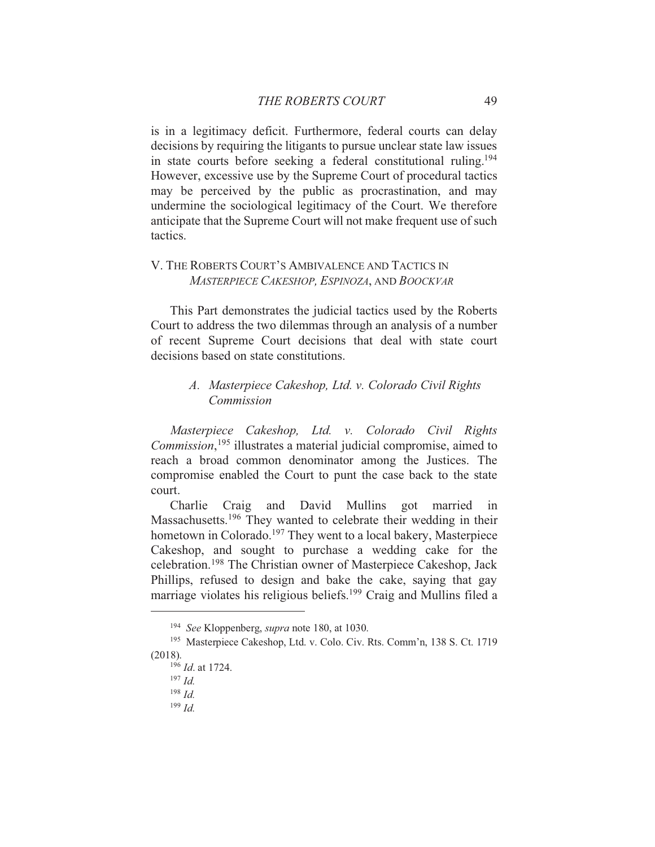is in a legitimacy deficit. Furthermore, federal courts can delay decisions by requiring the litigants to pursue unclear state law issues in state courts before seeking a federal constitutional ruling.<sup>194</sup> However, excessive use by the Supreme Court of procedural tactics may be perceived by the public as procrastination, and may undermine the sociological legitimacy of the Court. We therefore anticipate that the Supreme Court will not make frequent use of such tactics.

## V. THE ROBERTS COURT'S AMBIVALENCE AND TACTICS IN MASTERPIECE CAKESHOP, ESPINOZA, AND BOOCKVAR

This Part demonstrates the judicial tactics used by the Roberts Court to address the two dilemmas through an analysis of a number of recent Supreme Court decisions that deal with state court decisions based on state constitutions

## A. Masterpiece Cakeshop, Ltd. v. Colorado Civil Rights Commission

Masterpiece Cakeshop, Ltd. v. Colorado Civil Rights *Commission*,<sup>195</sup> illustrates a material judicial compromise, aimed to reach a broad common denominator among the Justices. The compromise enabled the Court to punt the case back to the state court.

Charlie Craig and David Mullins got married  $in$ Massachusetts.<sup>196</sup> They wanted to celebrate their wedding in their hometown in Colorado.<sup>197</sup> They went to a local bakery, Masterpiece Cakeshop, and sought to purchase a wedding cake for the celebration.<sup>198</sup> The Christian owner of Masterpiece Cakeshop, Jack Phillips, refused to design and bake the cake, saying that gay marriage violates his religious beliefs.<sup>199</sup> Craig and Mullins filed a

<sup>&</sup>lt;sup>194</sup> See Kloppenberg, supra note 180, at 1030.

<sup>&</sup>lt;sup>195</sup> Masterpiece Cakeshop, Ltd. v. Colo. Civ. Rts. Comm'n, 138 S. Ct. 1719  $(2018).$ 

 $196$  *Id.* at 1724.

 $197$  *Id.* 

 $198$  *Id.* 

 $199$  *Id.*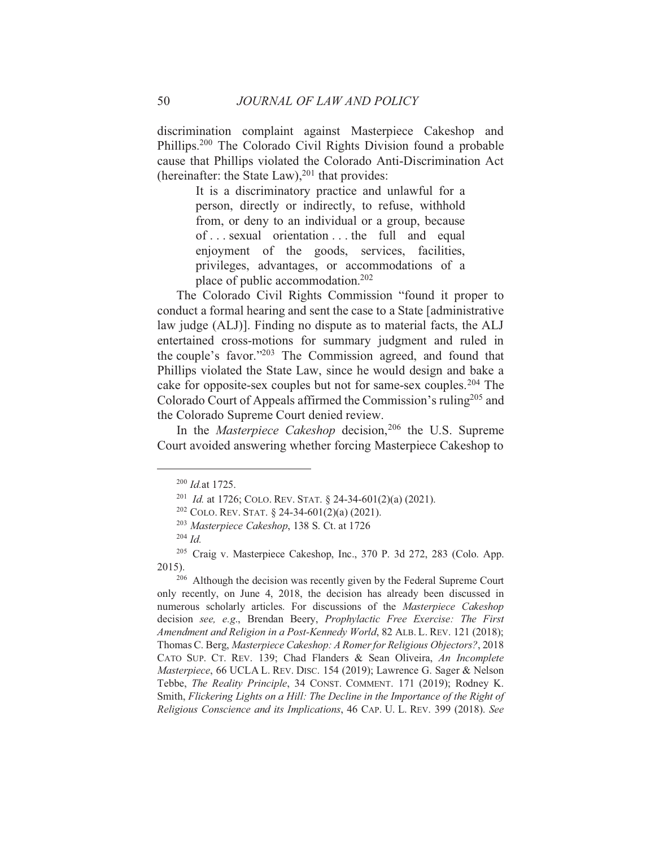discrimination complaint against Masterpiece Cakeshop and Phillips.<sup>200</sup> The Colorado Civil Rights Division found a probable cause that Phillips violated the Colorado Anti-Discrimination Act (hereinafter: the State Law),  $201$  that provides:

> It is a discriminatory practice and unlawful for a person, directly or indirectly, to refuse, withhold from, or deny to an individual or a group, because of...sexual orientation...the full and equal enjoyment of the goods, services, facilities, privileges, advantages, or accommodations of a place of public accommodation.<sup>202</sup>

The Colorado Civil Rights Commission "found it proper to conduct a formal hearing and sent the case to a State [administrative] law judge (ALJ)]. Finding no dispute as to material facts, the ALJ entertained cross-motions for summary judgment and ruled in the couple's favor."<sup>203</sup> The Commission agreed, and found that Phillips violated the State Law, since he would design and bake a cake for opposite-sex couples but not for same-sex couples.<sup>204</sup> The Colorado Court of Appeals affirmed the Commission's ruling<sup>205</sup> and the Colorado Supreme Court denied review.

In the Masterpiece Cakeshop decision,<sup>206</sup> the U.S. Supreme Court avoided answering whether forcing Masterpiece Cakeshop to

 $200$  *Id.* at 1725.

<sup>&</sup>lt;sup>201</sup> *Id.* at 1726; COLO. REV. STAT. § 24-34-601(2)(a) (2021).

<sup>&</sup>lt;sup>202</sup> COLO. REV. STAT. § 24-34-601(2)(a) (2021).

<sup>&</sup>lt;sup>203</sup> Masterpiece Cakeshop, 138 S. Ct. at 1726

 $204$  *Id.* 

<sup>&</sup>lt;sup>205</sup> Craig v. Masterpiece Cakeshop, Inc., 370 P. 3d 272, 283 (Colo. App. 2015).

<sup>&</sup>lt;sup>206</sup> Although the decision was recently given by the Federal Supreme Court only recently, on June 4, 2018, the decision has already been discussed in numerous scholarly articles. For discussions of the Masterpiece Cakeshop decision see, e.g., Brendan Beery, Prophylactic Free Exercise: The First Amendment and Religion in a Post-Kennedy World, 82 ALB. L. REV. 121 (2018); Thomas C. Berg, Masterpiece Cakeshop: A Romer for Religious Objectors?, 2018 CATO SUP. CT. REV. 139; Chad Flanders & Sean Oliveira, An Incomplete Masterpiece, 66 UCLA L. REV. DISC. 154 (2019); Lawrence G. Sager & Nelson Tebbe, The Reality Principle, 34 CONST. COMMENT. 171 (2019); Rodney K. Smith, Flickering Lights on a Hill: The Decline in the Importance of the Right of Religious Conscience and its Implications, 46 CAP. U. L. REV. 399 (2018). See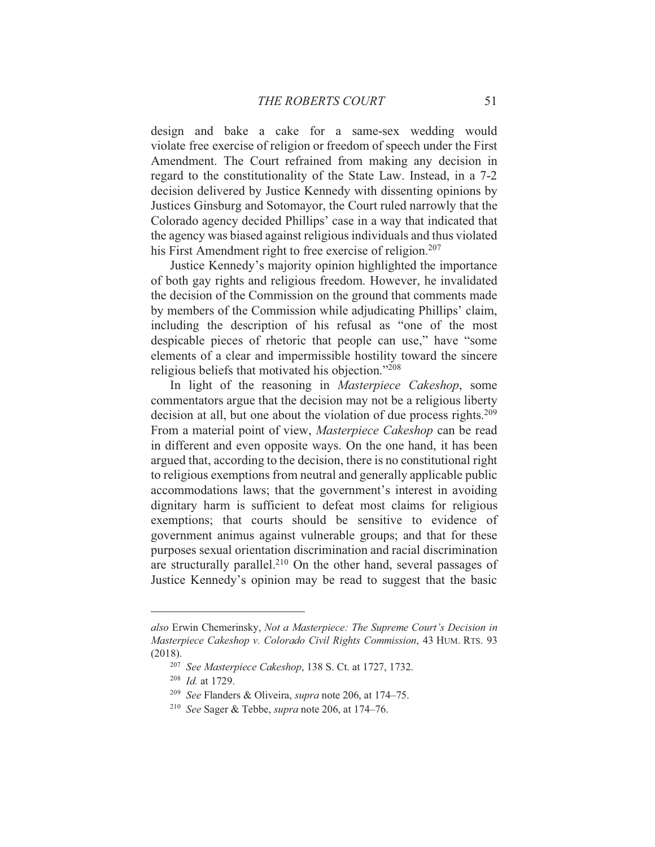design and bake a cake for a same-sex wedding would violate free exercise of religion or freedom of speech under the First Amendment. The Court refrained from making any decision in regard to the constitutionality of the State Law. Instead, in a 7-2 decision delivered by Justice Kennedy with dissenting opinions by Justices Ginsburg and Sotomayor, the Court ruled narrowly that the Colorado agency decided Phillips' case in a way that indicated that the agency was biased against religious individuals and thus violated his First Amendment right to free exercise of religion.<sup>207</sup>

Justice Kennedy's majority opinion highlighted the importance of both gay rights and religious freedom. However, he invalidated the decision of the Commission on the ground that comments made by members of the Commission while adjudicating Phillips' claim, including the description of his refusal as "one of the most despicable pieces of rhetoric that people can use," have "some elements of a clear and impermissible hostility toward the sincere religious beliefs that motivated his objection."208

In light of the reasoning in Masterpiece Cakeshop, some commentators argue that the decision may not be a religious liberty decision at all, but one about the violation of due process rights.<sup>209</sup> From a material point of view, Masterpiece Cakeshop can be read in different and even opposite ways. On the one hand, it has been argued that, according to the decision, there is no constitutional right to religious exemptions from neutral and generally applicable public accommodations laws; that the government's interest in avoiding dignitary harm is sufficient to defeat most claims for religious exemptions; that courts should be sensitive to evidence of government animus against vulnerable groups; and that for these purposes sexual orientation discrimination and racial discrimination are structurally parallel.<sup>210</sup> On the other hand, several passages of Justice Kennedy's opinion may be read to suggest that the basic

also Erwin Chemerinsky, Not a Masterpiece: The Supreme Court's Decision in Masterpiece Cakeshop v. Colorado Civil Rights Commission, 43 HUM. RTS. 93  $(2018).$ 

<sup>&</sup>lt;sup>207</sup> See Masterpiece Cakeshop, 138 S. Ct. at 1727, 1732.

 $208$  *Id.* at 1729.

<sup>&</sup>lt;sup>209</sup> See Flanders & Oliveira, *supra* note 206, at 174-75.

<sup>&</sup>lt;sup>210</sup> See Sager & Tebbe, *supra* note 206, at 174–76.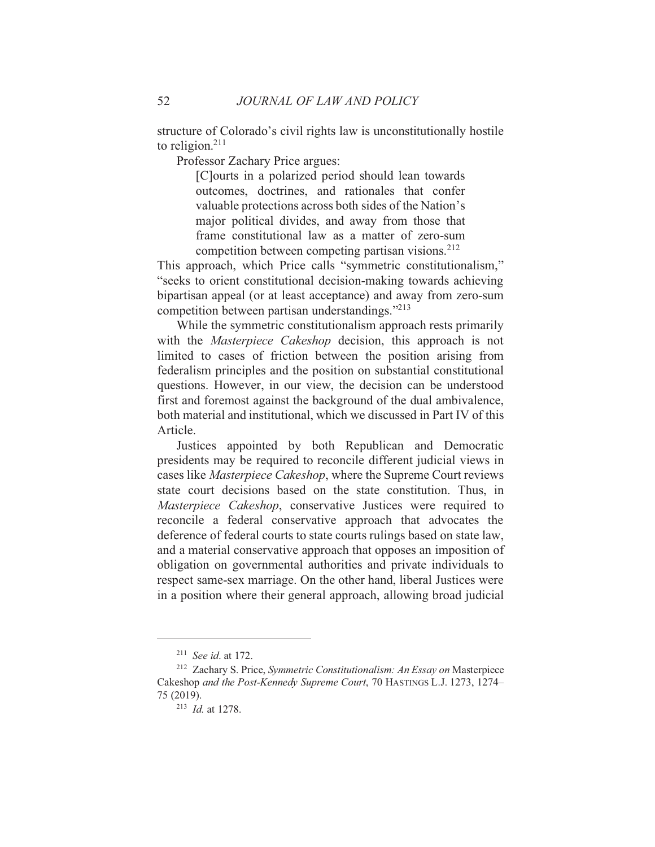structure of Colorado's civil rights law is unconstitutionally hostile to religion. $211$ 

Professor Zachary Price argues:

[C] ourts in a polarized period should lean towards outcomes, doctrines, and rationales that confer valuable protections across both sides of the Nation's major political divides, and away from those that frame constitutional law as a matter of zero-sum competition between competing partisan visions.<sup>212</sup>

This approach, which Price calls "symmetric constitutionalism," "seeks to orient constitutional decision-making towards achieving bipartisan appeal (or at least acceptance) and away from zero-sum competition between partisan understandings."<sup>213</sup>

While the symmetric constitutionalism approach rests primarily with the *Masterpiece Cakeshop* decision, this approach is not limited to cases of friction between the position arising from federalism principles and the position on substantial constitutional questions. However, in our view, the decision can be understood first and foremost against the background of the dual ambivalence, both material and institutional, which we discussed in Part IV of this Article.

Justices appointed by both Republican and Democratic presidents may be required to reconcile different judicial views in cases like Masterpiece Cakeshop, where the Supreme Court reviews state court decisions based on the state constitution. Thus, in Masterpiece Cakeshop, conservative Justices were required to reconcile a federal conservative approach that advocates the deference of federal courts to state courts rulings based on state law, and a material conservative approach that opposes an imposition of obligation on governmental authorities and private individuals to respect same-sex marriage. On the other hand, liberal Justices were in a position where their general approach, allowing broad judicial

52

<sup>&</sup>lt;sup>211</sup> See id. at 172.

<sup>&</sup>lt;sup>212</sup> Zachary S. Price, Symmetric Constitutionalism: An Essay on Masterpiece Cakeshop and the Post-Kennedy Supreme Court, 70 HASTINGS L.J. 1273, 1274-75 (2019).

 $213$  *Id.* at 1278.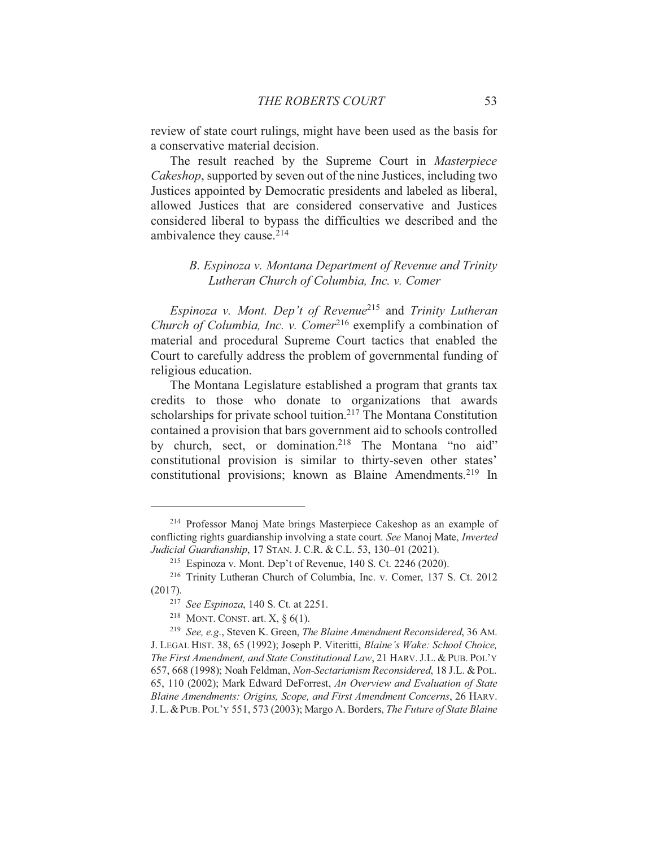review of state court rulings, might have been used as the basis for a conservative material decision.

The result reached by the Supreme Court in Masterpiece Cakeshop, supported by seven out of the nine Justices, including two Justices appointed by Democratic presidents and labeled as liberal, allowed Justices that are considered conservative and Justices considered liberal to bypass the difficulties we described and the ambivalence they cause.<sup>214</sup>

## B. Espinoza v. Montana Department of Revenue and Trinity Lutheran Church of Columbia, Inc. v. Comer

Espinoza v. Mont. Dep't of Revenue<sup>215</sup> and Trinity Lutheran Church of Columbia, Inc. v. Comer<sup>216</sup> exemplify a combination of material and procedural Supreme Court tactics that enabled the Court to carefully address the problem of governmental funding of religious education.

The Montana Legislature established a program that grants tax credits to those who donate to organizations that awards scholarships for private school tuition.<sup>217</sup> The Montana Constitution contained a provision that bars government aid to schools controlled by church, sect, or domination.<sup>218</sup> The Montana "no aid" constitutional provision is similar to thirty-seven other states' constitutional provisions; known as Blaine Amendments.<sup>219</sup> In

<sup>&</sup>lt;sup>214</sup> Professor Manoj Mate brings Masterpiece Cakeshop as an example of conflicting rights guardianship involving a state court. See Manoj Mate, Inverted Judicial Guardianship, 17 STAN. J. C.R. & C.L. 53, 130–01 (2021).

<sup>&</sup>lt;sup>215</sup> Espinoza v. Mont. Dep't of Revenue, 140 S. Ct. 2246 (2020).

<sup>&</sup>lt;sup>216</sup> Trinity Lutheran Church of Columbia, Inc. v. Comer, 137 S. Ct. 2012  $(2017).$ 

<sup>&</sup>lt;sup>217</sup> See Espinoza, 140 S. Ct. at 2251.

<sup>&</sup>lt;sup>218</sup> MONT. CONST. art. X,  $\S$  6(1).

<sup>&</sup>lt;sup>219</sup> See. e.g., Steven K. Green, The Blaine Amendment Reconsidered, 36 AM. J. LEGAL HIST. 38, 65 (1992); Joseph P. Viteritti, Blaine's Wake: School Choice, The First Amendment, and State Constitutional Law, 21 HARV. J.L. & PUB. POL'Y 657, 668 (1998); Noah Feldman, Non-Sectarianism Reconsidered, 18 J.L. & POL. 65, 110 (2002); Mark Edward DeForrest, An Overview and Evaluation of State Blaine Amendments: Origins, Scope, and First Amendment Concerns, 26 HARV. J. L. & PUB. POL'Y 551, 573 (2003); Margo A. Borders, The Future of State Blaine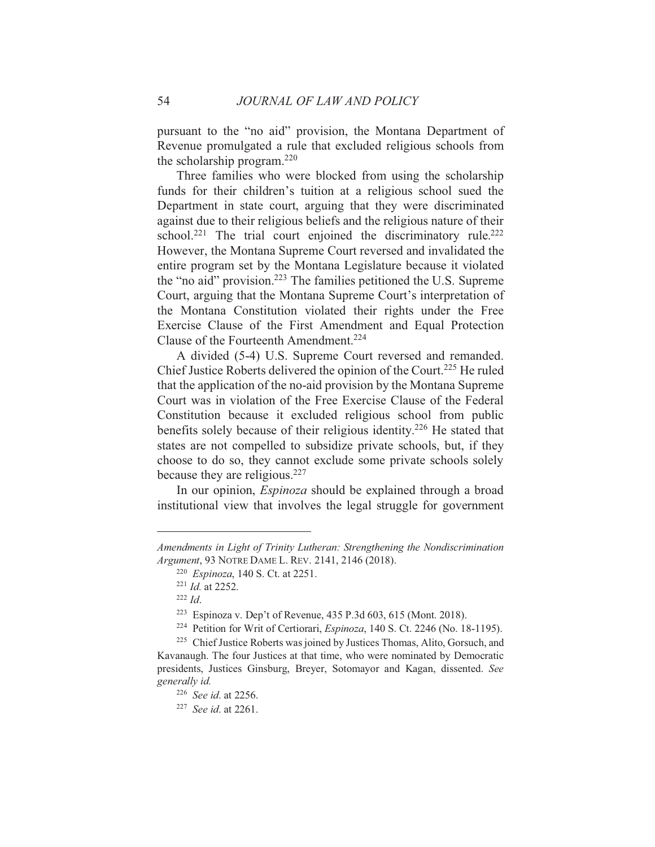pursuant to the "no aid" provision, the Montana Department of Revenue promulgated a rule that excluded religious schools from the scholarship program. $220$ 

Three families who were blocked from using the scholarship funds for their children's tuition at a religious school sued the Department in state court, arguing that they were discriminated against due to their religious beliefs and the religious nature of their school.<sup>221</sup> The trial court enjoined the discriminatory rule.<sup>222</sup> However, the Montana Supreme Court reversed and invalidated the entire program set by the Montana Legislature because it violated the "no aid" provision.<sup>223</sup> The families petitioned the U.S. Supreme Court, arguing that the Montana Supreme Court's interpretation of the Montana Constitution violated their rights under the Free Exercise Clause of the First Amendment and Equal Protection Clause of the Fourteenth Amendment.<sup>224</sup>

A divided (5-4) U.S. Supreme Court reversed and remanded. Chief Justice Roberts delivered the opinion of the Court.<sup>225</sup> He ruled that the application of the no-aid provision by the Montana Supreme Court was in violation of the Free Exercise Clause of the Federal Constitution because it excluded religious school from public benefits solely because of their religious identity.<sup>226</sup> He stated that states are not compelled to subsidize private schools, but, if they choose to do so, they cannot exclude some private schools solely because they are religious.  $227$ 

In our opinion, *Espinoza* should be explained through a broad institutional view that involves the legal struggle for government

Amendments in Light of Trinity Lutheran: Strengthening the Nondiscrimination Argument, 93 NOTRE DAME L. REV. 2141, 2146 (2018).

<sup>&</sup>lt;sup>220</sup> *Espinoza*, 140 S. Ct. at 2251.

 $^{221}$  *Id.* at 2252.

 $222$  *Id.* 

<sup>&</sup>lt;sup>223</sup> Espinoza v. Dep't of Revenue, 435 P.3d 603, 615 (Mont. 2018).

<sup>&</sup>lt;sup>224</sup> Petition for Writ of Certiorari, *Espinoza*, 140 S. Ct. 2246 (No. 18-1195).

<sup>&</sup>lt;sup>225</sup> Chief Justice Roberts was joined by Justices Thomas, Alito, Gorsuch, and Kavanaugh. The four Justices at that time, who were nominated by Democratic presidents, Justices Ginsburg, Breyer, Sotomayor and Kagan, dissented. See generally id.

<sup>&</sup>lt;sup>226</sup> See id. at 2256.

 $227$  See id. at 2261.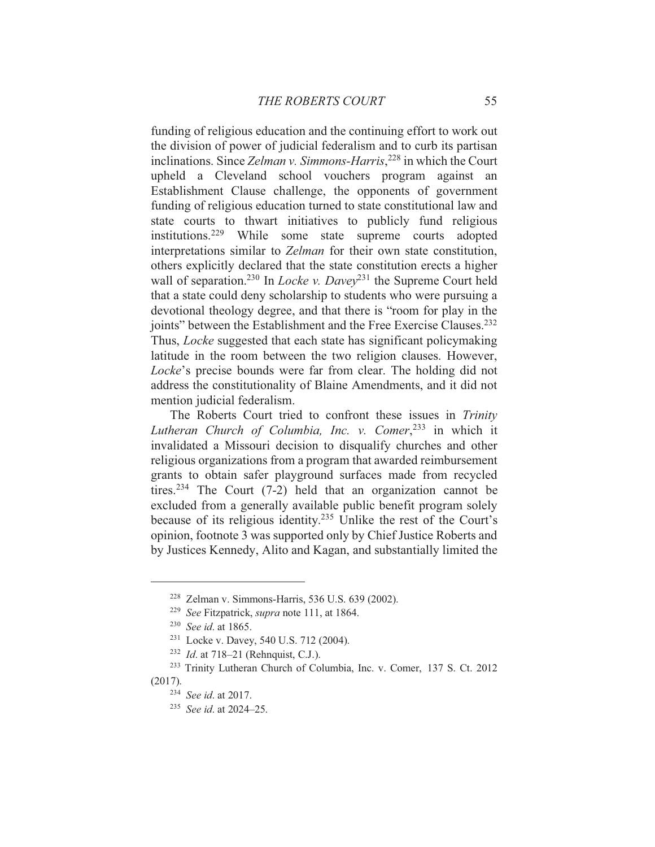funding of religious education and the continuing effort to work out the division of power of judicial federalism and to curb its partisan inclinations. Since Zelman v. Simmons-Harris,<sup>228</sup> in which the Court upheld a Cleveland school vouchers program against an Establishment Clause challenge, the opponents of government funding of religious education turned to state constitutional law and state courts to thwart initiatives to publicly fund religious institutions.<sup>229</sup> While some state supreme courts adopted interpretations similar to Zelman for their own state constitution, others explicitly declared that the state constitution erects a higher wall of separation.<sup>230</sup> In *Locke v. Davey*<sup>231</sup> the Supreme Court held that a state could deny scholarship to students who were pursuing a devotional theology degree, and that there is "room for play in the joints" between the Establishment and the Free Exercise Clauses.<sup>232</sup> Thus, *Locke* suggested that each state has significant policymaking latitude in the room between the two religion clauses. However, Locke's precise bounds were far from clear. The holding did not address the constitutionality of Blaine Amendments, and it did not mention judicial federalism.

The Roberts Court tried to confront these issues in Trinity Lutheran Church of Columbia, Inc. v. Comer,<sup>233</sup> in which it invalidated a Missouri decision to disqualify churches and other religious organizations from a program that awarded reimbursement grants to obtain safer playground surfaces made from recycled tires.<sup>234</sup> The Court  $(7-2)$  held that an organization cannot be excluded from a generally available public benefit program solely because of its religious identity.<sup>235</sup> Unlike the rest of the Court's opinion, footnote 3 was supported only by Chief Justice Roberts and by Justices Kennedy, Alito and Kagan, and substantially limited the

<sup>&</sup>lt;sup>228</sup> Zelman v. Simmons-Harris, 536 U.S. 639 (2002).

<sup>&</sup>lt;sup>229</sup> See Fitzpatrick, *supra* note 111, at 1864.

<sup>&</sup>lt;sup>230</sup> See id. at 1865.

<sup>&</sup>lt;sup>231</sup> Locke v. Davey, 540 U.S. 712 (2004).

<sup>&</sup>lt;sup>232</sup> *Id.* at 718–21 (Rehnquist, C.J.).

<sup>&</sup>lt;sup>233</sup> Trinity Lutheran Church of Columbia, Inc. v. Comer, 137 S. Ct. 2012  $(2017).$ 

<sup>&</sup>lt;sup>234</sup> See id. at 2017.

 $235$  See id. at 2024-25.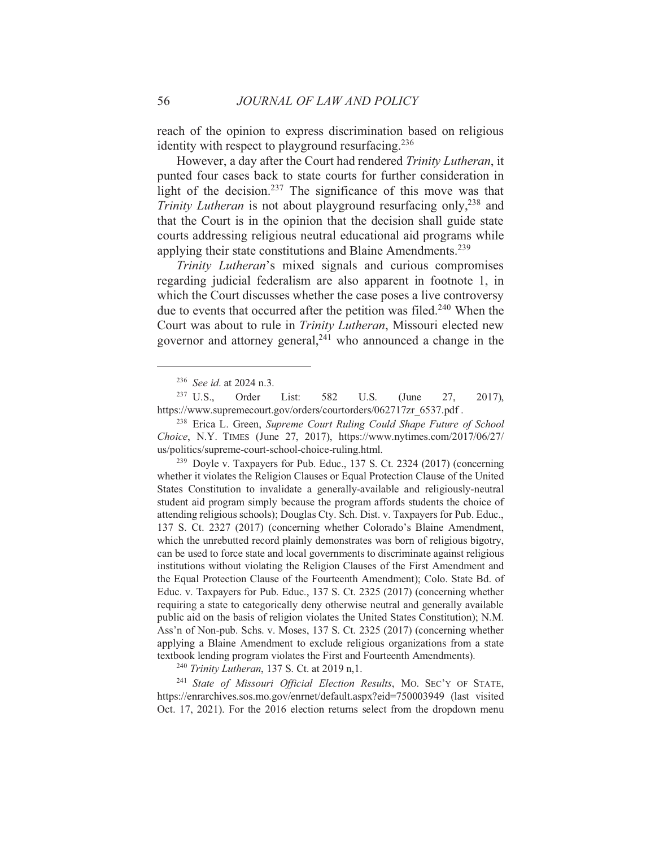reach of the opinion to express discrimination based on religious identity with respect to playground resurfacing.<sup>236</sup>

However, a day after the Court had rendered Trinity Lutheran, it punted four cases back to state courts for further consideration in light of the decision.<sup>237</sup> The significance of this move was that *Trinity Lutheran* is not about playground resurfacing only,<sup>238</sup> and that the Court is in the opinion that the decision shall guide state courts addressing religious neutral educational aid programs while applying their state constitutions and Blaine Amendments.<sup>239</sup>

Trinity Lutheran's mixed signals and curious compromises regarding judicial federalism are also apparent in footnote 1, in which the Court discusses whether the case poses a live controversy due to events that occurred after the petition was filed.<sup>240</sup> When the Court was about to rule in Trinity Lutheran, Missouri elected new governor and attorney general,<sup>241</sup> who announced a change in the

<sup>238</sup> Erica L. Green, Supreme Court Ruling Could Shape Future of School Choice, N.Y. TIMES (June 27, 2017), https://www.nytimes.com/2017/06/27/ us/politics/supreme-court-school-choice-ruling.html.

<sup>239</sup> Doyle v. Taxpayers for Pub. Educ., 137 S. Ct. 2324 (2017) (concerning whether it violates the Religion Clauses or Equal Protection Clause of the United States Constitution to invalidate a generally-available and religiously-neutral student aid program simply because the program affords students the choice of attending religious schools); Douglas Cty. Sch. Dist. v. Taxpayers for Pub. Educ., 137 S. Ct. 2327 (2017) (concerning whether Colorado's Blaine Amendment, which the unrebutted record plainly demonstrates was born of religious bigotry, can be used to force state and local governments to discriminate against religious institutions without violating the Religion Clauses of the First Amendment and the Equal Protection Clause of the Fourteenth Amendment); Colo. State Bd. of Educ. v. Taxpayers for Pub. Educ., 137 S. Ct. 2325 (2017) (concerning whether requiring a state to categorically deny otherwise neutral and generally available public aid on the basis of religion violates the United States Constitution); N.M. Ass'n of Non-pub. Schs. v. Moses, 137 S. Ct. 2325 (2017) (concerning whether applying a Blaine Amendment to exclude religious organizations from a state textbook lending program violates the First and Fourteenth Amendments).

<sup>240</sup> Trinity Lutheran, 137 S. Ct. at 2019 n.1.

<sup>241</sup> State of Missouri Official Election Results, MO. SEC'Y OF STATE, https://enrarchives.sos.mo.gov/enrnet/default.aspx?eid=750003949 (last visited Oct. 17, 2021). For the 2016 election returns select from the dropdown menu

<sup>&</sup>lt;sup>236</sup> See id. at 2024 n.3.

 $237 \text{ U.S.},$ Order List: 582 U.S.  $(June)$ 27, 2017), https://www.supremecourt.gov/orders/courtorders/062717zr\_6537.pdf.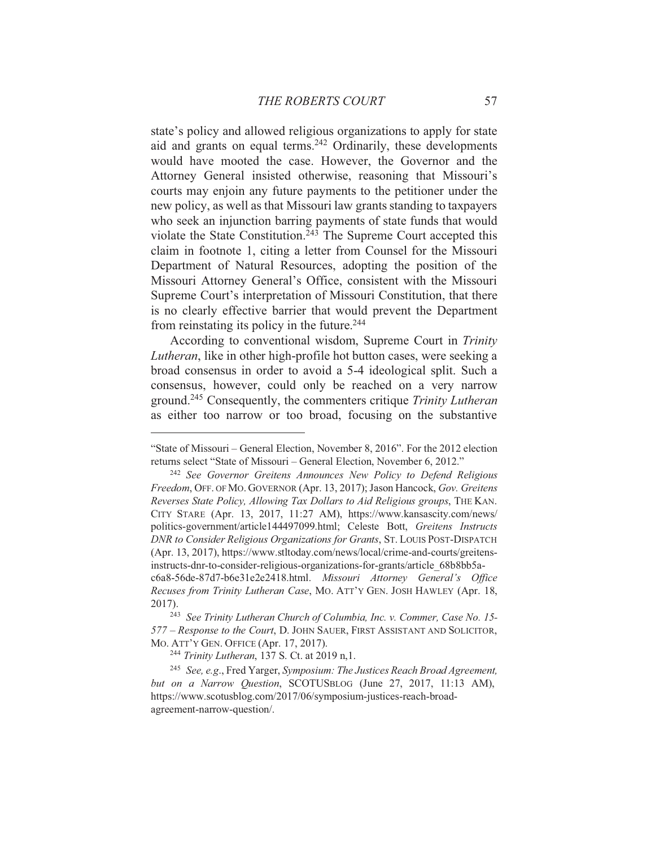state's policy and allowed religious organizations to apply for state aid and grants on equal terms.<sup>242</sup> Ordinarily, these developments would have mooted the case. However, the Governor and the Attorney General insisted otherwise, reasoning that Missouri's courts may enjoin any future payments to the petitioner under the new policy, as well as that Missouri law grants standing to taxpayers who seek an injunction barring payments of state funds that would violate the State Constitution.<sup>243</sup> The Supreme Court accepted this claim in footnote 1, citing a letter from Counsel for the Missouri Department of Natural Resources, adopting the position of the Missouri Attorney General's Office, consistent with the Missouri Supreme Court's interpretation of Missouri Constitution, that there is no clearly effective barrier that would prevent the Department from reinstating its policy in the future.<sup>244</sup>

According to conventional wisdom, Supreme Court in Trinity *Lutheran*, like in other high-profile hot button cases, were seeking a broad consensus in order to avoid a 5-4 ideological split. Such a consensus, however, could only be reached on a very narrow ground.<sup>245</sup> Consequently, the commenters critique Trinity Lutheran as either too narrow or too broad, focusing on the substantive

<sup>&</sup>quot;State of Missouri – General Election, November 8, 2016". For the 2012 election returns select "State of Missouri - General Election, November 6, 2012."

<sup>&</sup>lt;sup>242</sup> See Governor Greitens Announces New Policy to Defend Religious Freedom, OFF. OF MO. GOVERNOR (Apr. 13, 2017); Jason Hancock, Gov. Greitens Reverses State Policy, Allowing Tax Dollars to Aid Religious groups, THE KAN. CITY STARE (Apr. 13, 2017, 11:27 AM), https://www.kansascity.com/news/ politics-government/article144497099.html; Celeste Bott, Greitens Instructs DNR to Consider Religious Organizations for Grants, ST. LOUIS POST-DISPATCH (Apr. 13, 2017), https://www.stltoday.com/news/local/crime-and-courts/greitensinstructs-dnr-to-consider-religious-organizations-for-grants/article 68b8bb5ac6a8-56de-87d7-b6e31e2e2418.html. Missouri Attorney General's Office Recuses from Trinity Lutheran Case, MO. ATT'Y GEN. JOSH HAWLEY (Apr. 18, 2017).

<sup>&</sup>lt;sup>243</sup> See Trinity Lutheran Church of Columbia, Inc. v. Commer, Case No. 15-577 - Response to the Court, D. JOHN SAUER, FIRST ASSISTANT AND SOLICITOR, MO. ATT'Y GEN. OFFICE (Apr. 17, 2017).

<sup>&</sup>lt;sup>244</sup> Trinity Lutheran, 137 S. Ct. at 2019 n, 1.

<sup>&</sup>lt;sup>245</sup> See, e.g., Fred Yarger, Symposium: The Justices Reach Broad Agreement, but on a Narrow Ouestion, SCOTUSBLOG (June 27, 2017, 11:13 AM), https://www.scotusblog.com/2017/06/symposium-justices-reach-broadagreement-narrow-question/.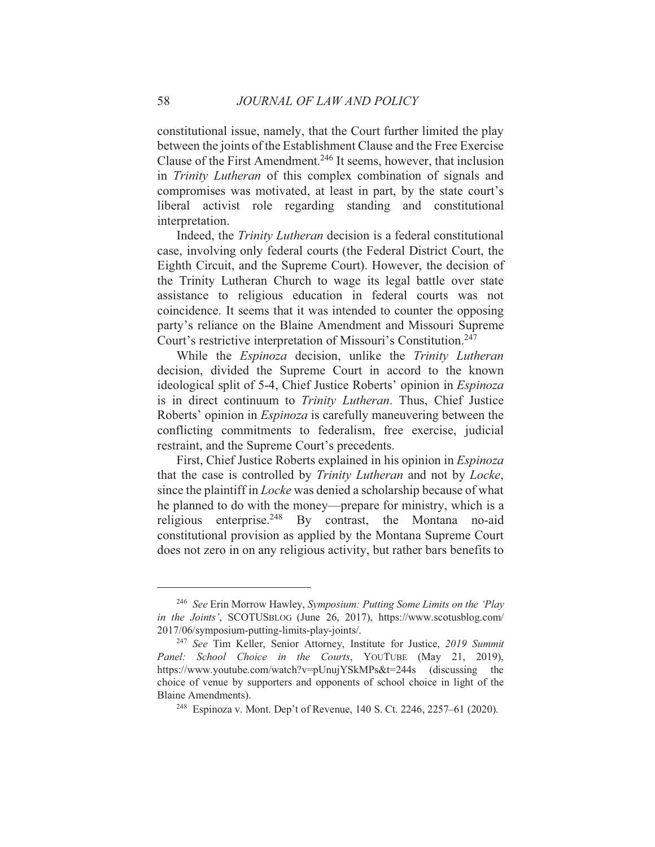constitutional issue, namely, that the Court further limited the play between the joints of the Establishment Clause and the Free Exercise Clause of the First Amendment.<sup>246</sup> It seems, however, that inclusion in Trinity Lutheran of this complex combination of signals and compromises was motivated, at least in part, by the state court's liberal activist role regarding standing and constitutional interpretation.

Indeed, the Trinity Lutheran decision is a federal constitutional case, involving only federal courts (the Federal District Court, the Eighth Circuit, and the Supreme Court). However, the decision of the Trinity Lutheran Church to wage its legal battle over state assistance to religious education in federal courts was not coincidence. It seems that it was intended to counter the opposing party's reliance on the Blaine Amendment and Missouri Supreme Court's restrictive interpretation of Missouri's Constitution.<sup>247</sup>

While the *Espinoza* decision, unlike the *Trinity Lutheran* decision, divided the Supreme Court in accord to the known ideological split of 5-4, Chief Justice Roberts' opinion in *Espinoza* is in direct continuum to Trinity Lutheran. Thus, Chief Justice Roberts' opinion in *Espinoza* is carefully maneuvering between the conflicting commitments to federalism, free exercise, judicial restraint, and the Supreme Court's precedents.

First, Chief Justice Roberts explained in his opinion in *Espinoza* that the case is controlled by Trinity Lutheran and not by Locke, since the plaintiff in *Locke* was denied a scholarship because of what he planned to do with the money—prepare for ministry, which is a enterprise.<sup>248</sup> By contrast, the Montana no-aid religious constitutional provision as applied by the Montana Supreme Court does not zero in on any religious activity, but rather bars benefits to

<sup>&</sup>lt;sup>246</sup> See Erin Morrow Hawley, Symposium: Putting Some Limits on the 'Play in the Joints', SCOTUSBLOG (June 26, 2017), https://www.scotusblog.com/ 2017/06/symposium-putting-limits-play-joints/.

<sup>&</sup>lt;sup>247</sup> See Tim Keller, Senior Attorney, Institute for Justice, 2019 Summit Panel: School Choice in the Courts, YOUTUBE (May 21, 2019), https://www.youtube.com/watch?v=pUnujYSkMPs&t=244s (discussing the choice of venue by supporters and opponents of school choice in light of the Blaine Amendments).

<sup>&</sup>lt;sup>248</sup> Espinoza v. Mont. Dep't of Revenue, 140 S. Ct. 2246, 2257–61 (2020).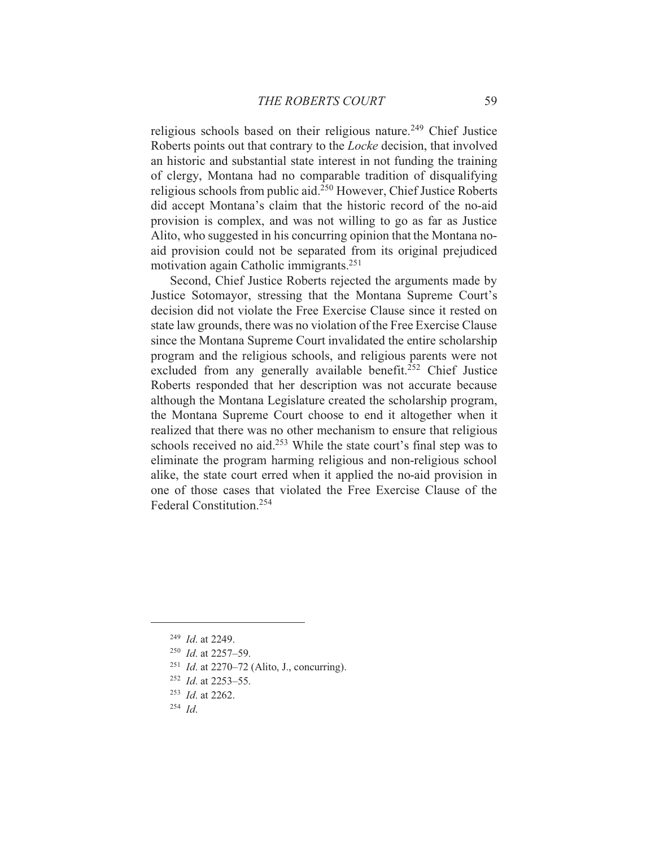religious schools based on their religious nature.<sup>249</sup> Chief Justice Roberts points out that contrary to the *Locke* decision, that involved an historic and substantial state interest in not funding the training of clergy, Montana had no comparable tradition of disqualifying religious schools from public aid.<sup>250</sup> However, Chief Justice Roberts did accept Montana's claim that the historic record of the no-aid provision is complex, and was not willing to go as far as Justice Alito, who suggested in his concurring opinion that the Montana noaid provision could not be separated from its original prejudiced motivation again Catholic immigrants.<sup>251</sup>

Second, Chief Justice Roberts rejected the arguments made by Justice Sotomayor, stressing that the Montana Supreme Court's decision did not violate the Free Exercise Clause since it rested on state law grounds, there was no violation of the Free Exercise Clause since the Montana Supreme Court invalidated the entire scholarship program and the religious schools, and religious parents were not excluded from any generally available benefit.<sup>252</sup> Chief Justice Roberts responded that her description was not accurate because although the Montana Legislature created the scholarship program, the Montana Supreme Court choose to end it altogether when it realized that there was no other mechanism to ensure that religious schools received no aid.<sup>253</sup> While the state court's final step was to eliminate the program harming religious and non-religious school alike, the state court erred when it applied the no-aid provision in one of those cases that violated the Free Exercise Clause of the Federal Constitution.<sup>254</sup>

 $^{253}$  *Id.* at 2262.

<sup>&</sup>lt;sup>249</sup> *Id.* at 2249.

 $250$  *Id.* at 2257-59.

<sup>&</sup>lt;sup>251</sup> *Id.* at 2270–72 (Alito, J., concurring).

 $252$  *Id.* at 2253-55.

 $254$  *Id.*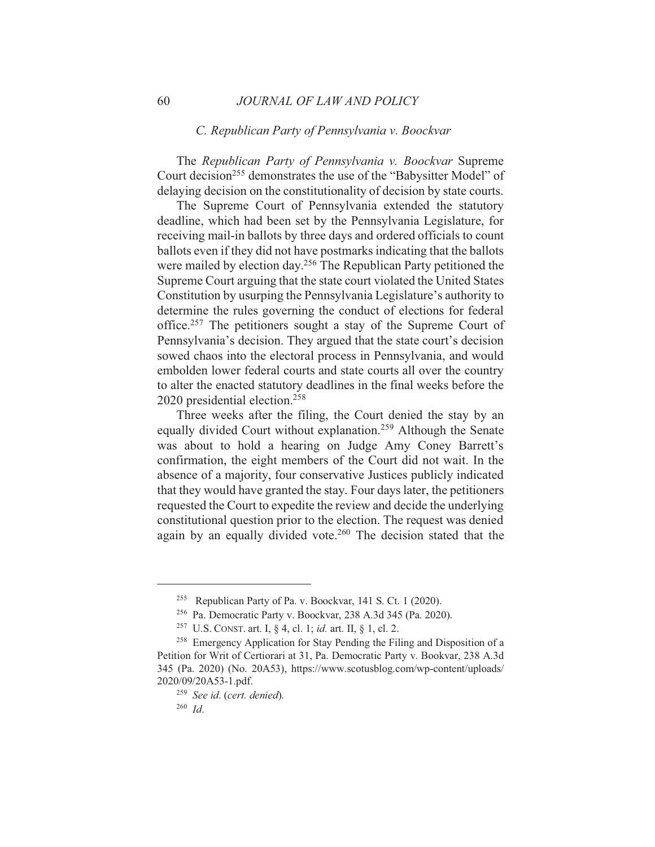#### C. Republican Party of Pennsylvania v. Boockvar

The Republican Party of Pennsylvania v. Boockvar Supreme Court decision<sup>255</sup> demonstrates the use of the "Babysitter Model" of delaying decision on the constitutionality of decision by state courts.

The Supreme Court of Pennsylvania extended the statutory deadline, which had been set by the Pennsylvania Legislature, for receiving mail-in ballots by three days and ordered officials to count ballots even if they did not have postmarks indicating that the ballots were mailed by election day.<sup>256</sup> The Republican Party petitioned the Supreme Court arguing that the state court violated the United States Constitution by usurping the Pennsylvania Legislature's authority to determine the rules governing the conduct of elections for federal office.<sup>257</sup> The petitioners sought a stay of the Supreme Court of Pennsylvania's decision. They argued that the state court's decision sowed chaos into the electoral process in Pennsylvania, and would embolden lower federal courts and state courts all over the country to alter the enacted statutory deadlines in the final weeks before the 2020 presidential election.<sup>258</sup>

Three weeks after the filing, the Court denied the stay by an equally divided Court without explanation.<sup>259</sup> Although the Senate was about to hold a hearing on Judge Amy Coney Barrett's confirmation, the eight members of the Court did not wait. In the absence of a majority, four conservative Justices publicly indicated that they would have granted the stay. Four days later, the petitioners requested the Court to expedite the review and decide the underlying constitutional question prior to the election. The request was denied again by an equally divided vote.<sup>260</sup> The decision stated that the

<sup>&</sup>lt;sup>255</sup> Republican Party of Pa. v. Boockvar, 141 S. Ct. 1 (2020).

<sup>&</sup>lt;sup>256</sup> Pa. Democratic Party v. Boockvar, 238 A.3d 345 (Pa. 2020).

<sup>&</sup>lt;sup>257</sup> U.S. CONST. art. I, § 4, cl. 1; *id.* art. II, § 1, cl. 2.

<sup>&</sup>lt;sup>258</sup> Emergency Application for Stay Pending the Filing and Disposition of a Petition for Writ of Certiorari at 31, Pa. Democratic Party v. Bookvar, 238 A.3d 345 (Pa. 2020) (No. 20A53), https://www.scotusblog.com/wp-content/uploads/ 2020/09/20A53-1.pdf.

<sup>&</sup>lt;sup>259</sup> See id. (cert. denied).

 $260$  Id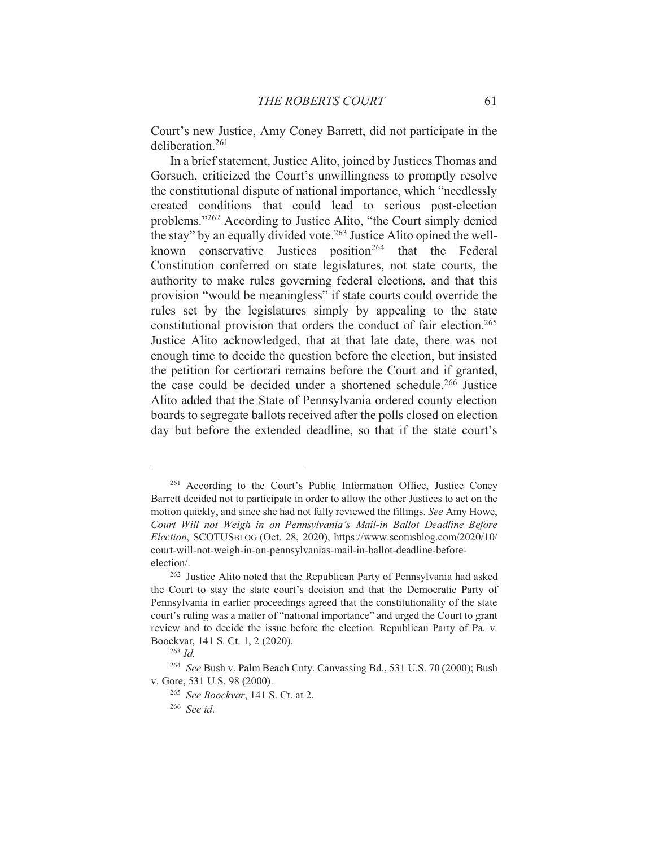Court's new Justice, Amy Coney Barrett, did not participate in the deliberation.<sup>261</sup>

In a brief statement, Justice Alito, joined by Justices Thomas and Gorsuch, criticized the Court's unwillingness to promptly resolve the constitutional dispute of national importance, which "needlessly created conditions that could lead to serious post-election problems."262 According to Justice Alito, "the Court simply denied the stay" by an equally divided vote.<sup>263</sup> Justice Alito opined the wellknown conservative Justices position<sup>264</sup> that the Federal Constitution conferred on state legislatures, not state courts, the authority to make rules governing federal elections, and that this provision "would be meaningless" if state courts could override the rules set by the legislatures simply by appealing to the state constitutional provision that orders the conduct of fair election.<sup>265</sup> Justice Alito acknowledged, that at that late date, there was not enough time to decide the question before the election, but insisted the petition for certiorari remains before the Court and if granted, the case could be decided under a shortened schedule.<sup>266</sup> Justice Alito added that the State of Pennsylvania ordered county election boards to segregate ballots received after the polls closed on election day but before the extended deadline, so that if the state court's

<sup>&</sup>lt;sup>261</sup> According to the Court's Public Information Office, Justice Coney Barrett decided not to participate in order to allow the other Justices to act on the motion quickly, and since she had not fully reviewed the fillings. See Amy Howe, Court Will not Weigh in on Pennsylvania's Mail-in Ballot Deadline Before Election, SCOTUSBLOG (Oct. 28, 2020), https://www.scotusblog.com/2020/10/ court-will-not-weigh-in-on-pennsylvanias-mail-in-ballot-deadline-beforeelection/.

<sup>&</sup>lt;sup>262</sup> Justice Alito noted that the Republican Party of Pennsylvania had asked the Court to stay the state court's decision and that the Democratic Party of Pennsylvania in earlier proceedings agreed that the constitutionality of the state court's ruling was a matter of "national importance" and urged the Court to grant review and to decide the issue before the election. Republican Party of Pa. v. Boockvar, 141 S. Ct. 1, 2 (2020).

 $^{263}$  *Id.* 

<sup>&</sup>lt;sup>264</sup> See Bush v. Palm Beach Cnty. Canvassing Bd., 531 U.S. 70 (2000); Bush v. Gore, 531 U.S. 98 (2000).

<sup>&</sup>lt;sup>265</sup> See Boockvar, 141 S. Ct. at 2.

 $266$  See id.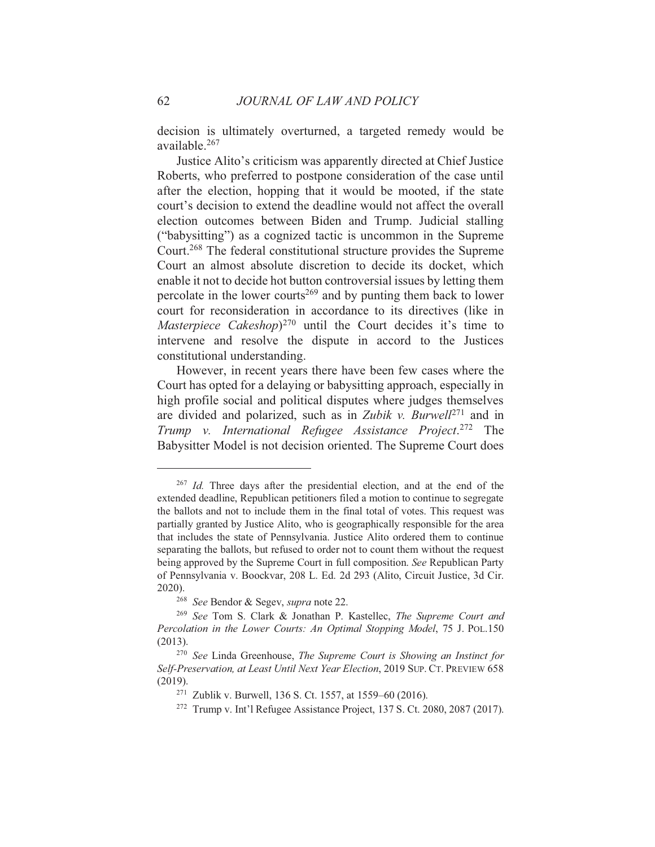decision is ultimately overturned, a targeted remedy would be available.<sup>267</sup>

Justice Alito's criticism was apparently directed at Chief Justice Roberts, who preferred to postpone consideration of the case until after the election, hopping that it would be mooted, if the state court's decision to extend the deadline would not affect the overall election outcomes between Biden and Trump. Judicial stalling ("babysitting") as a cognized tactic is uncommon in the Supreme Court.<sup>268</sup> The federal constitutional structure provides the Supreme Court an almost absolute discretion to decide its docket, which enable it not to decide hot button controversial issues by letting them percolate in the lower courts<sup>269</sup> and by punting them back to lower court for reconsideration in accordance to its directives (like in Masterpiece Cakeshop)<sup>270</sup> until the Court decides it's time to intervene and resolve the dispute in accord to the Justices constitutional understanding.

However, in recent years there have been few cases where the Court has opted for a delaying or babysitting approach, especially in high profile social and political disputes where judges themselves are divided and polarized, such as in Zubik v. Burwell<sup>271</sup> and in Trump v. International Refugee Assistance Project.<sup>272</sup> The Babysitter Model is not decision oriented. The Supreme Court does

<sup>&</sup>lt;sup>267</sup> *Id.* Three days after the presidential election, and at the end of the extended deadline, Republican petitioners filed a motion to continue to segregate the ballots and not to include them in the final total of votes. This request was partially granted by Justice Alito, who is geographically responsible for the area that includes the state of Pennsylvania. Justice Alito ordered them to continue separating the ballots, but refused to order not to count them without the request being approved by the Supreme Court in full composition. See Republican Party of Pennsylvania v. Boockvar, 208 L. Ed. 2d 293 (Alito, Circuit Justice, 3d Cir. 2020).

<sup>&</sup>lt;sup>268</sup> See Bendor & Segev, supra note 22.

<sup>&</sup>lt;sup>269</sup> See Tom S. Clark & Jonathan P. Kastellec, *The Supreme Court and* Percolation in the Lower Courts: An Optimal Stopping Model, 75 J. POL.150  $(2013).$ 

<sup>&</sup>lt;sup>270</sup> See Linda Greenhouse, The Supreme Court is Showing an Instinct for Self-Preservation, at Least Until Next Year Election, 2019 SUP. CT. PREVIEW 658  $(2019).$ 

<sup>&</sup>lt;sup>271</sup> Zublik v. Burwell, 136 S. Ct. 1557, at 1559–60 (2016).

<sup>&</sup>lt;sup>272</sup> Trump v. Int'l Refugee Assistance Project. 137 S. Ct. 2080, 2087 (2017).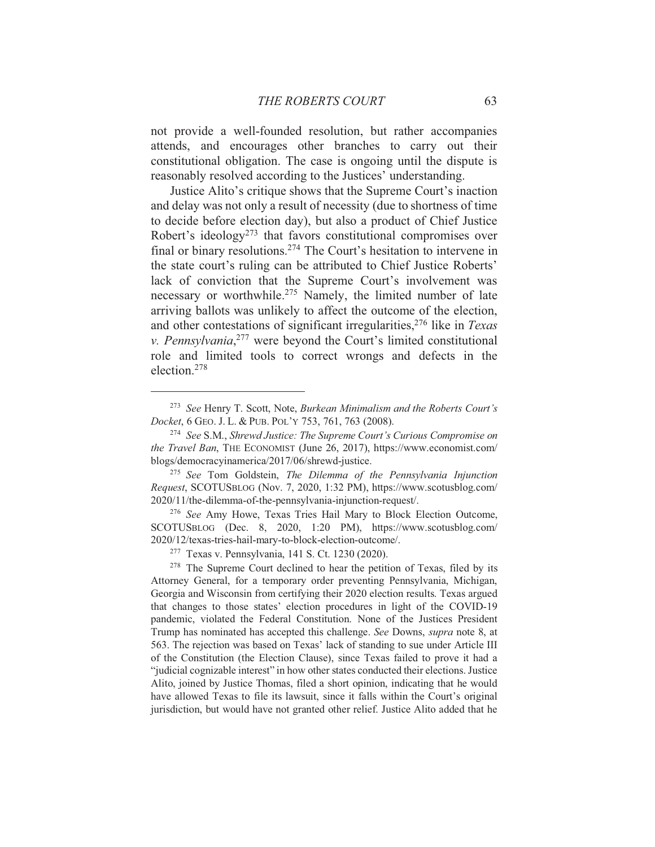not provide a well-founded resolution, but rather accompanies attends, and encourages other branches to carry out their constitutional obligation. The case is ongoing until the dispute is reasonably resolved according to the Justices' understanding.

Justice Alito's critique shows that the Supreme Court's inaction and delay was not only a result of necessity (due to shortness of time to decide before election day), but also a product of Chief Justice Robert's ideology<sup>273</sup> that favors constitutional compromises over final or binary resolutions.<sup>274</sup> The Court's hesitation to intervene in the state court's ruling can be attributed to Chief Justice Roberts' lack of conviction that the Supreme Court's involvement was necessary or worthwhile.<sup>275</sup> Namely, the limited number of late arriving ballots was unlikely to affect the outcome of the election, and other contestations of significant irregularities,<sup>276</sup> like in Texas v. Pennsylvania, $277$  were beyond the Court's limited constitutional role and limited tools to correct wrongs and defects in the election.<sup>278</sup>

<sup>&</sup>lt;sup>273</sup> See Henry T. Scott, Note, Burkean Minimalism and the Roberts Court's Docket, 6 GEO. J. L. & PUB. POL'Y 753, 761, 763 (2008).

<sup>&</sup>lt;sup>274</sup> See S.M., Shrewd Justice: The Supreme Court's Curious Compromise on the Travel Ban, THE ECONOMIST (June 26, 2017), https://www.economist.com/ blogs/democracyinamerica/2017/06/shrewd-justice.

<sup>&</sup>lt;sup>275</sup> See Tom Goldstein, The Dilemma of the Pennsylvania Injunction Request, SCOTUSBLOG (Nov. 7, 2020, 1:32 PM), https://www.scotusblog.com/ 2020/11/the-dilemma-of-the-pennsylvania-injunction-request/.

<sup>&</sup>lt;sup>276</sup> See Amy Howe, Texas Tries Hail Mary to Block Election Outcome, SCOTUSBLOG (Dec. 8, 2020, 1:20 PM), https://www.scotusblog.com/ 2020/12/texas-tries-hail-mary-to-block-election-outcome/.

<sup>&</sup>lt;sup>277</sup> Texas v. Pennsylvania, 141 S. Ct. 1230 (2020).

<sup>&</sup>lt;sup>278</sup> The Supreme Court declined to hear the petition of Texas, filed by its Attorney General, for a temporary order preventing Pennsylvania, Michigan, Georgia and Wisconsin from certifying their 2020 election results. Texas argued that changes to those states' election procedures in light of the COVID-19 pandemic, violated the Federal Constitution. None of the Justices President Trump has nominated has accepted this challenge. See Downs, *supra* note 8, at 563. The rejection was based on Texas' lack of standing to sue under Article III of the Constitution (the Election Clause), since Texas failed to prove it had a "judicial cognizable interest" in how other states conducted their elections. Justice Alito, joined by Justice Thomas, filed a short opinion, indicating that he would have allowed Texas to file its lawsuit, since it falls within the Court's original jurisdiction, but would have not granted other relief. Justice Alito added that he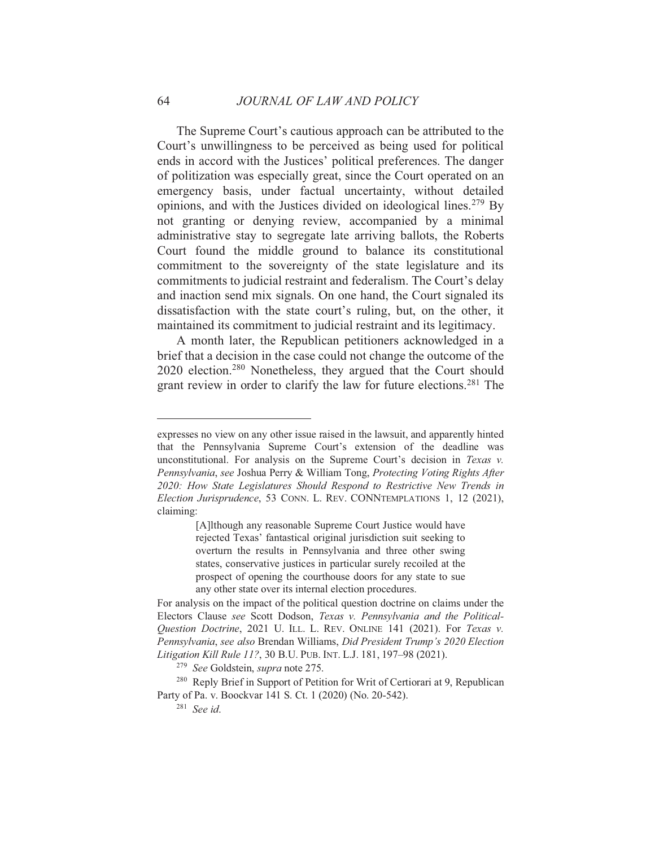The Supreme Court's cautious approach can be attributed to the Court's unwillingness to be perceived as being used for political ends in accord with the Justices' political preferences. The danger of politization was especially great, since the Court operated on an emergency basis, under factual uncertainty, without detailed opinions, and with the Justices divided on ideological lines.<sup>279</sup> By not granting or denying review, accompanied by a minimal administrative stay to segregate late arriving ballots, the Roberts Court found the middle ground to balance its constitutional commitment to the sovereignty of the state legislature and its commitments to judicial restraint and federalism. The Court's delay and inaction send mix signals. On one hand, the Court signaled its dissatisfaction with the state court's ruling, but, on the other, it maintained its commitment to judicial restraint and its legitimacy.

A month later, the Republican petitioners acknowledged in a brief that a decision in the case could not change the outcome of the 2020 election.<sup>280</sup> Nonetheless, they argued that the Court should grant review in order to clarify the law for future elections.<sup>281</sup> The

expresses no view on any other issue raised in the lawsuit, and apparently hinted that the Pennsylvania Supreme Court's extension of the deadline was unconstitutional. For analysis on the Supreme Court's decision in Texas v. Pennsylvania, see Joshua Perry & William Tong, Protecting Voting Rights After 2020: How State Legislatures Should Respond to Restrictive New Trends in Election Jurisprudence, 53 CONN. L. REV. CONNTEMPLATIONS 1, 12 (2021), claiming:

<sup>[</sup>A]lthough any reasonable Supreme Court Justice would have rejected Texas' fantastical original jurisdiction suit seeking to overturn the results in Pennsylvania and three other swing states, conservative justices in particular surely recoiled at the prospect of opening the courthouse doors for any state to sue any other state over its internal election procedures.

For analysis on the impact of the political question doctrine on claims under the Electors Clause see Scott Dodson, Texas v. Pennsylvania and the Political-Question Doctrine, 2021 U. ILL. L. REV. ONLINE 141 (2021). For Texas v. Pennsylvania, see also Brendan Williams, Did President Trump's 2020 Election Litigation Kill Rule 11?, 30 B.U. PUB. INT. L.J. 181, 197-98 (2021).

<sup>&</sup>lt;sup>279</sup> See Goldstein, supra note 275.

<sup>&</sup>lt;sup>280</sup> Reply Brief in Support of Petition for Writ of Certiorari at 9, Republican Party of Pa. v. Boockvar 141 S. Ct. 1 (2020) (No. 20-542).

 $281$  See id.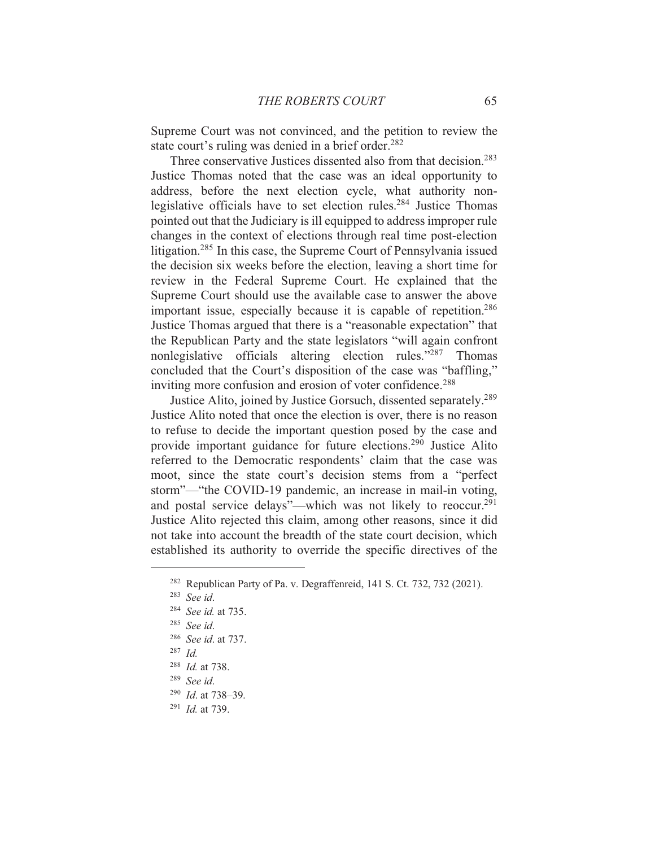Supreme Court was not convinced, and the petition to review the state court's ruling was denied in a brief order.<sup>282</sup>

Three conservative Justices dissented also from that decision.<sup>283</sup> Justice Thomas noted that the case was an ideal opportunity to address, before the next election cycle, what authority nonlegislative officials have to set election rules.<sup>284</sup> Justice Thomas pointed out that the Judiciary is ill equipped to address improper rule changes in the context of elections through real time post-election litigation.<sup>285</sup> In this case, the Supreme Court of Pennsylvania issued the decision six weeks before the election, leaving a short time for review in the Federal Supreme Court. He explained that the Supreme Court should use the available case to answer the above important issue, especially because it is capable of repetition.<sup>286</sup> Justice Thomas argued that there is a "reasonable expectation" that the Republican Party and the state legislators "will again confront" nonlegislative officials altering election rules."287 Thomas concluded that the Court's disposition of the case was "baffling," inviting more confusion and erosion of voter confidence.<sup>288</sup>

Justice Alito, joined by Justice Gorsuch, dissented separately.<sup>289</sup> Justice Alito noted that once the election is over, there is no reason to refuse to decide the important question posed by the case and provide important guidance for future elections.<sup>290</sup> Justice Alito referred to the Democratic respondents' claim that the case was moot, since the state court's decision stems from a "perfect" storm"-"the COVID-19 pandemic, an increase in mail-in voting, and postal service delays"—which was not likely to reoccur.<sup>291</sup> Justice Alito rejected this claim, among other reasons, since it did not take into account the breadth of the state court decision, which established its authority to override the specific directives of the

<sup>&</sup>lt;sup>282</sup> Republican Party of Pa. v. Degraffenreid, 141 S. Ct. 732, 732 (2021).

 $283$  See id.

<sup>&</sup>lt;sup>284</sup> See id. at 735.

 $285$  See id.

<sup>&</sup>lt;sup>286</sup> See id. at 737.

 $287$  *Id.* 

 $288$  *Id.* at 738.

 $289$  See id.

 $290$  *Id.* at 738-39.

 $^{291}$  *Id.* at 739.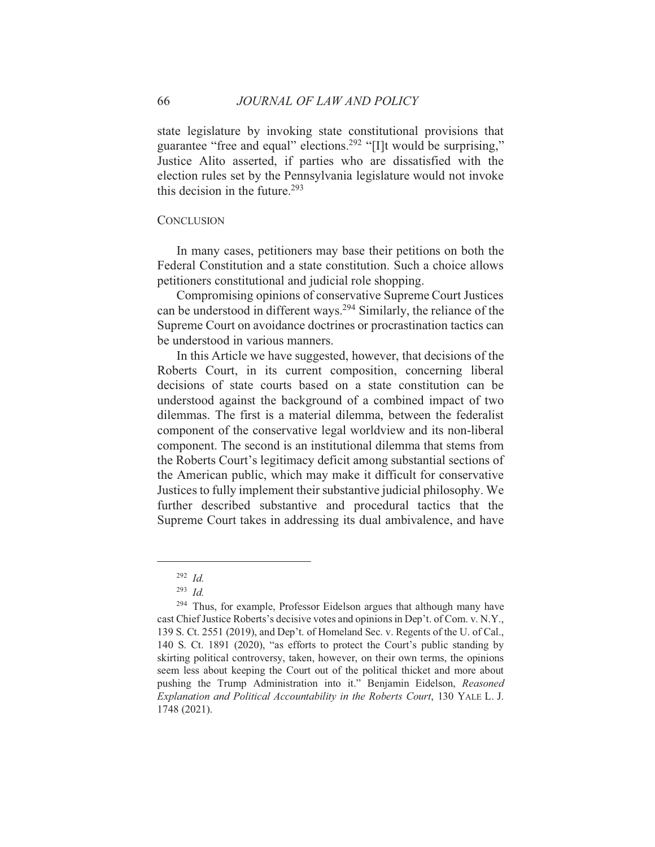state legislature by invoking state constitutional provisions that guarantee "free and equal" elections.<sup>292</sup> "[I]t would be surprising," Justice Alito asserted, if parties who are dissatisfied with the election rules set by the Pennsylvania legislature would not invoke this decision in the future.<sup>293</sup>

#### **CONCLUSION**

In many cases, petitioners may base their petitions on both the Federal Constitution and a state constitution. Such a choice allows petitioners constitutional and judicial role shopping.

Compromising opinions of conservative Supreme Court Justices can be understood in different ways.<sup>294</sup> Similarly, the reliance of the Supreme Court on avoidance doctrines or procrastination tactics can be understood in various manners.

In this Article we have suggested, however, that decisions of the Roberts Court, in its current composition, concerning liberal decisions of state courts based on a state constitution can be understood against the background of a combined impact of two dilemmas. The first is a material dilemma, between the federalist component of the conservative legal worldview and its non-liberal component. The second is an institutional dilemma that stems from the Roberts Court's legitimacy deficit among substantial sections of the American public, which may make it difficult for conservative Justices to fully implement their substantive judicial philosophy. We further described substantive and procedural tactics that the Supreme Court takes in addressing its dual ambivalence, and have

66

 $292$  *Id.* 

 $293$  *Id.* 

<sup>&</sup>lt;sup>294</sup> Thus, for example, Professor Eidelson argues that although many have cast Chief Justice Roberts's decisive votes and opinions in Dep't. of Com. v. N.Y., 139 S. Ct. 2551 (2019), and Dep't. of Homeland Sec. v. Regents of the U. of Cal., 140 S. Ct. 1891 (2020), "as efforts to protect the Court's public standing by skirting political controversy, taken, however, on their own terms, the opinions seem less about keeping the Court out of the political thicket and more about pushing the Trump Administration into it." Benjamin Eidelson, Reasoned Explanation and Political Accountability in the Roberts Court, 130 YALE L. J. 1748 (2021).